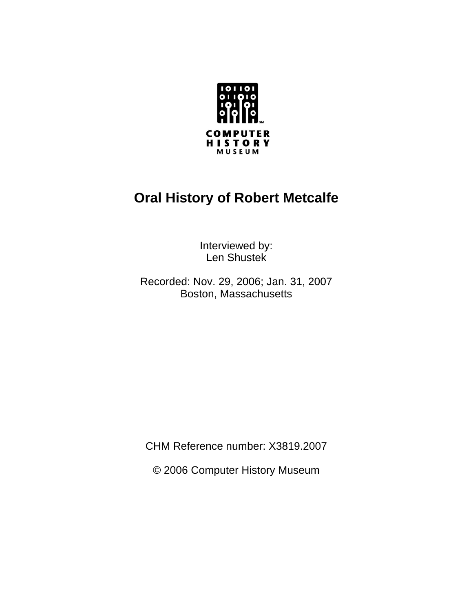

# **Oral History of Robert Metcalfe**

Interviewed by: Len Shustek

Recorded: Nov. 29, 2006; Jan. 31, 2007 Boston, Massachusetts

CHM Reference number: X3819.2007

© 2006 Computer History Museum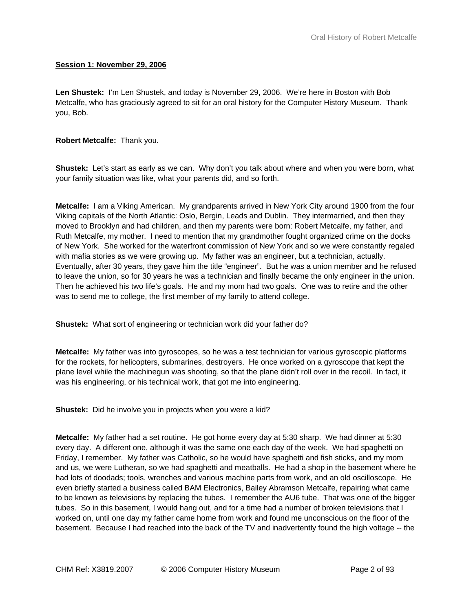### **Session 1: November 29, 2006**

**Len Shustek:** I'm Len Shustek, and today is November 29, 2006. We're here in Boston with Bob Metcalfe, who has graciously agreed to sit for an oral history for the Computer History Museum. Thank you, Bob.

### **Robert Metcalfe:** Thank you.

**Shustek:** Let's start as early as we can. Why don't you talk about where and when you were born, what your family situation was like, what your parents did, and so forth.

**Metcalfe:** I am a Viking American. My grandparents arrived in New York City around 1900 from the four Viking capitals of the North Atlantic: Oslo, Bergin, Leads and Dublin. They intermarried, and then they moved to Brooklyn and had children, and then my parents were born: Robert Metcalfe, my father, and Ruth Metcalfe, my mother. I need to mention that my grandmother fought organized crime on the docks of New York. She worked for the waterfront commission of New York and so we were constantly regaled with mafia stories as we were growing up. My father was an engineer, but a technician, actually. Eventually, after 30 years, they gave him the title "engineer". But he was a union member and he refused to leave the union, so for 30 years he was a technician and finally became the only engineer in the union. Then he achieved his two life's goals. He and my mom had two goals. One was to retire and the other was to send me to college, the first member of my family to attend college.

**Shustek:** What sort of engineering or technician work did your father do?

**Metcalfe:** My father was into gyroscopes, so he was a test technician for various gyroscopic platforms for the rockets, for helicopters, submarines, destroyers. He once worked on a gyroscope that kept the plane level while the machinegun was shooting, so that the plane didn't roll over in the recoil. In fact, it was his engineering, or his technical work, that got me into engineering.

**Shustek:** Did he involve you in projects when you were a kid?

**Metcalfe:** My father had a set routine. He got home every day at 5:30 sharp. We had dinner at 5:30 every day. A different one, although it was the same one each day of the week. We had spaghetti on Friday, I remember. My father was Catholic, so he would have spaghetti and fish sticks, and my mom and us, we were Lutheran, so we had spaghetti and meatballs. He had a shop in the basement where he had lots of doodads; tools, wrenches and various machine parts from work, and an old oscilloscope. He even briefly started a business called BAM Electronics, Bailey Abramson Metcalfe, repairing what came to be known as televisions by replacing the tubes. I remember the AU6 tube. That was one of the bigger tubes. So in this basement, I would hang out, and for a time had a number of broken televisions that I worked on, until one day my father came home from work and found me unconscious on the floor of the basement. Because I had reached into the back of the TV and inadvertently found the high voltage -- the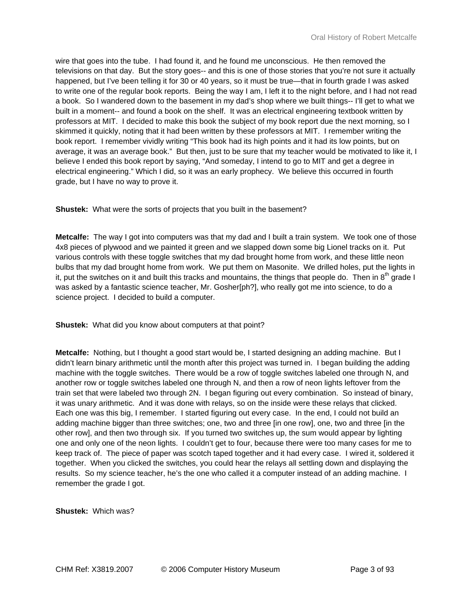wire that goes into the tube. I had found it, and he found me unconscious. He then removed the televisions on that day. But the story goes-- and this is one of those stories that you're not sure it actually happened, but I've been telling it for 30 or 40 years, so it must be true—that in fourth grade I was asked to write one of the regular book reports. Being the way I am, I left it to the night before, and I had not read a book. So I wandered down to the basement in my dad's shop where we built things-- I'll get to what we built in a moment-- and found a book on the shelf. It was an electrical engineering textbook written by professors at MIT. I decided to make this book the subject of my book report due the next morning, so I skimmed it quickly, noting that it had been written by these professors at MIT. I remember writing the book report. I remember vividly writing "This book had its high points and it had its low points, but on average, it was an average book." But then, just to be sure that my teacher would be motivated to like it, I believe I ended this book report by saying, "And someday, I intend to go to MIT and get a degree in electrical engineering." Which I did, so it was an early prophecy. We believe this occurred in fourth grade, but I have no way to prove it.

**Shustek:** What were the sorts of projects that you built in the basement?

**Metcalfe:** The way I got into computers was that my dad and I built a train system. We took one of those 4x8 pieces of plywood and we painted it green and we slapped down some big Lionel tracks on it. Put various controls with these toggle switches that my dad brought home from work, and these little neon bulbs that my dad brought home from work. We put them on Masonite. We drilled holes, put the lights in it, put the switches on it and built this tracks and mountains, the things that people do. Then in  $8<sup>th</sup>$  grade I was asked by a fantastic science teacher, Mr. Gosher[ph?], who really got me into science, to do a science project. I decided to build a computer.

**Shustek:** What did you know about computers at that point?

**Metcalfe:** Nothing, but I thought a good start would be, I started designing an adding machine. But I didn't learn binary arithmetic until the month after this project was turned in. I began building the adding machine with the toggle switches. There would be a row of toggle switches labeled one through N, and another row or toggle switches labeled one through N, and then a row of neon lights leftover from the train set that were labeled two through 2N. I began figuring out every combination. So instead of binary, it was unary arithmetic. And it was done with relays, so on the inside were these relays that clicked. Each one was this big, I remember. I started figuring out every case. In the end, I could not build an adding machine bigger than three switches; one, two and three [in one row], one, two and three [in the other row], and then two through six. If you turned two switches up, the sum would appear by lighting one and only one of the neon lights. I couldn't get to four, because there were too many cases for me to keep track of. The piece of paper was scotch taped together and it had every case. I wired it, soldered it together. When you clicked the switches, you could hear the relays all settling down and displaying the results. So my science teacher, he's the one who called it a computer instead of an adding machine. I remember the grade I got.

**Shustek:** Which was?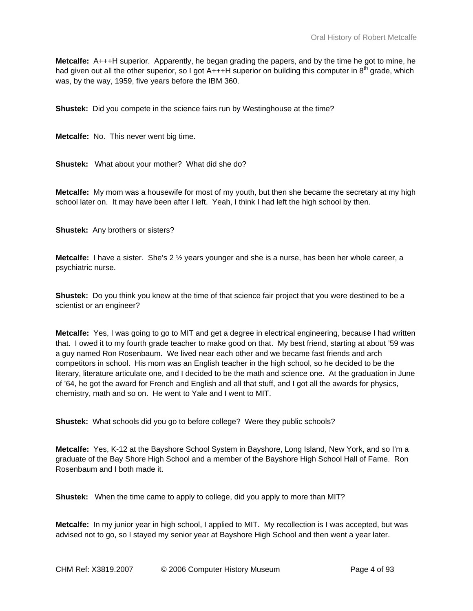**Metcalfe:** A+++H superior. Apparently, he began grading the papers, and by the time he got to mine, he had given out all the other superior, so I got  $A+++H$  superior on building this computer in  $8<sup>th</sup>$  grade, which was, by the way, 1959, five years before the IBM 360.

**Shustek:** Did you compete in the science fairs run by Westinghouse at the time?

**Metcalfe:** No. This never went big time.

**Shustek:** What about your mother? What did she do?

**Metcalfe:** My mom was a housewife for most of my youth, but then she became the secretary at my high school later on. It may have been after I left. Yeah, I think I had left the high school by then.

**Shustek:** Any brothers or sisters?

**Metcalfe:** I have a sister. She's 2 ½ years younger and she is a nurse, has been her whole career, a psychiatric nurse.

**Shustek:** Do you think you knew at the time of that science fair project that you were destined to be a scientist or an engineer?

**Metcalfe:** Yes, I was going to go to MIT and get a degree in electrical engineering, because I had written that. I owed it to my fourth grade teacher to make good on that. My best friend, starting at about '59 was a guy named Ron Rosenbaum. We lived near each other and we became fast friends and arch competitors in school. His mom was an English teacher in the high school, so he decided to be the literary, literature articulate one, and I decided to be the math and science one. At the graduation in June of '64, he got the award for French and English and all that stuff, and I got all the awards for physics, chemistry, math and so on. He went to Yale and I went to MIT.

**Shustek:** What schools did you go to before college? Were they public schools?

**Metcalfe:** Yes, K-12 at the Bayshore School System in Bayshore, Long Island, New York, and so I'm a graduate of the Bay Shore High School and a member of the Bayshore High School Hall of Fame. Ron Rosenbaum and I both made it.

**Shustek:** When the time came to apply to college, did you apply to more than MIT?

**Metcalfe:** In my junior year in high school, I applied to MIT. My recollection is I was accepted, but was advised not to go, so I stayed my senior year at Bayshore High School and then went a year later.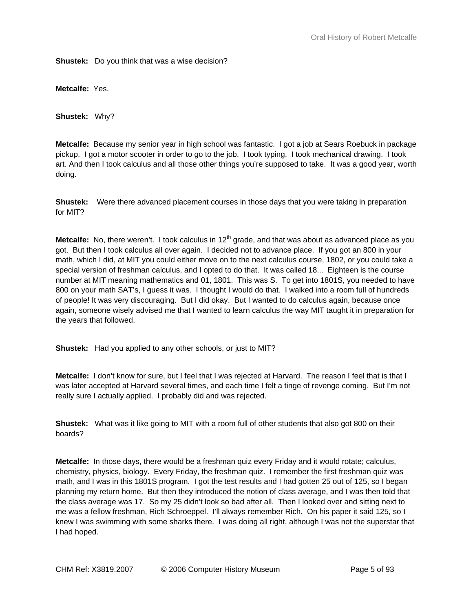**Shustek:** Do you think that was a wise decision?

**Metcalfe:** Yes.

**Shustek:** Why?

**Metcalfe:** Because my senior year in high school was fantastic. I got a job at Sears Roebuck in package pickup. I got a motor scooter in order to go to the job. I took typing. I took mechanical drawing. I took art. And then I took calculus and all those other things you're supposed to take. It was a good year, worth doing.

**Shustek:** Were there advanced placement courses in those days that you were taking in preparation for MIT?

**Metcalfe:** No, there weren't. I took calculus in 12<sup>th</sup> grade, and that was about as advanced place as you got. But then I took calculus all over again. I decided not to advance place. If you got an 800 in your math, which I did, at MIT you could either move on to the next calculus course, 1802, or you could take a special version of freshman calculus, and I opted to do that. It was called 18... Eighteen is the course number at MIT meaning mathematics and 01, 1801. This was S. To get into 1801S, you needed to have 800 on your math SAT's, I guess it was. I thought I would do that. I walked into a room full of hundreds of people! It was very discouraging. But I did okay. But I wanted to do calculus again, because once again, someone wisely advised me that I wanted to learn calculus the way MIT taught it in preparation for the years that followed.

**Shustek:** Had you applied to any other schools, or just to MIT?

**Metcalfe:** I don't know for sure, but I feel that I was rejected at Harvard. The reason I feel that is that I was later accepted at Harvard several times, and each time I felt a tinge of revenge coming. But I'm not really sure I actually applied. I probably did and was rejected.

**Shustek:** What was it like going to MIT with a room full of other students that also got 800 on their boards?

**Metcalfe:** In those days, there would be a freshman quiz every Friday and it would rotate; calculus, chemistry, physics, biology. Every Friday, the freshman quiz. I remember the first freshman quiz was math, and I was in this 1801S program. I got the test results and I had gotten 25 out of 125, so I began planning my return home. But then they introduced the notion of class average, and I was then told that the class average was 17. So my 25 didn't look so bad after all. Then I looked over and sitting next to me was a fellow freshman, Rich Schroeppel. I'll always remember Rich. On his paper it said 125, so I knew I was swimming with some sharks there. I was doing all right, although I was not the superstar that I had hoped.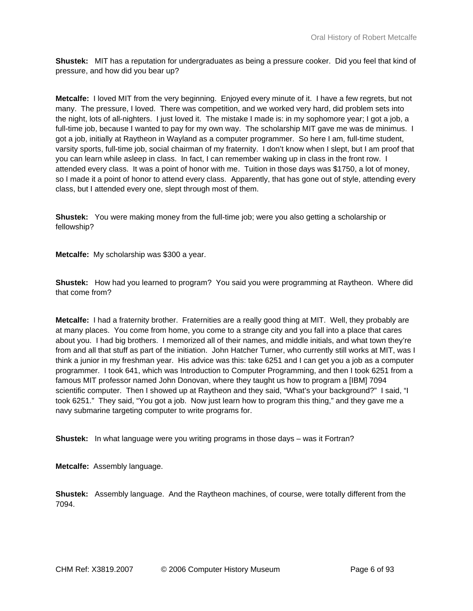**Shustek:** MIT has a reputation for undergraduates as being a pressure cooker. Did you feel that kind of pressure, and how did you bear up?

**Metcalfe:** I loved MIT from the very beginning. Enjoyed every minute of it. I have a few regrets, but not many. The pressure, I loved. There was competition, and we worked very hard, did problem sets into the night, lots of all-nighters. I just loved it. The mistake I made is: in my sophomore year; I got a job, a full-time job, because I wanted to pay for my own way. The scholarship MIT gave me was de minimus. I got a job, initially at Raytheon in Wayland as a computer programmer. So here I am, full-time student, varsity sports, full-time job, social chairman of my fraternity. I don't know when I slept, but I am proof that you can learn while asleep in class. In fact, I can remember waking up in class in the front row. I attended every class. It was a point of honor with me. Tuition in those days was \$1750, a lot of money, so I made it a point of honor to attend every class. Apparently, that has gone out of style, attending every class, but I attended every one, slept through most of them.

**Shustek:** You were making money from the full-time job; were you also getting a scholarship or fellowship?

**Metcalfe:** My scholarship was \$300 a year.

**Shustek:** How had you learned to program? You said you were programming at Raytheon. Where did that come from?

**Metcalfe:** I had a fraternity brother. Fraternities are a really good thing at MIT. Well, they probably are at many places. You come from home, you come to a strange city and you fall into a place that cares about you. I had big brothers. I memorized all of their names, and middle initials, and what town they're from and all that stuff as part of the initiation. John Hatcher Turner, who currently still works at MIT, was I think a junior in my freshman year. His advice was this: take 6251 and I can get you a job as a computer programmer. I took 641, which was Introduction to Computer Programming, and then I took 6251 from a famous MIT professor named John Donovan, where they taught us how to program a [IBM] 7094 scientific computer. Then I showed up at Raytheon and they said, "What's your background?" I said, "I took 6251." They said, "You got a job. Now just learn how to program this thing," and they gave me a navy submarine targeting computer to write programs for.

**Shustek:** In what language were you writing programs in those days – was it Fortran?

**Metcalfe:** Assembly language.

**Shustek:** Assembly language. And the Raytheon machines, of course, were totally different from the 7094.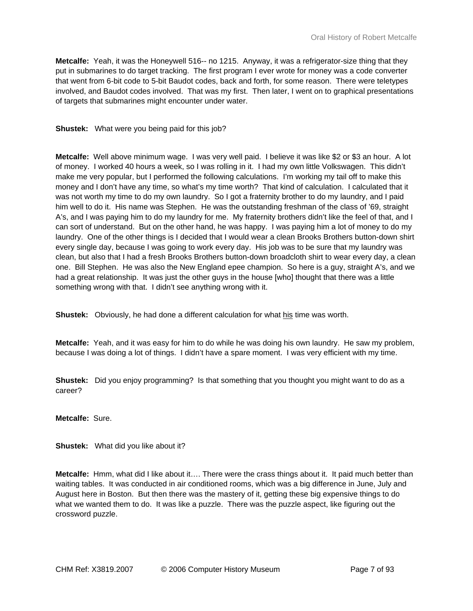**Metcalfe:** Yeah, it was the Honeywell 516-- no 1215. Anyway, it was a refrigerator-size thing that they put in submarines to do target tracking. The first program I ever wrote for money was a code converter that went from 6-bit code to 5-bit Baudot codes, back and forth, for some reason. There were teletypes involved, and Baudot codes involved. That was my first. Then later, I went on to graphical presentations of targets that submarines might encounter under water.

**Shustek:** What were you being paid for this job?

**Metcalfe:** Well above minimum wage. I was very well paid. I believe it was like \$2 or \$3 an hour. A lot of money. I worked 40 hours a week, so I was rolling in it. I had my own little Volkswagen. This didn't make me very popular, but I performed the following calculations. I'm working my tail off to make this money and I don't have any time, so what's my time worth? That kind of calculation. I calculated that it was not worth my time to do my own laundry. So I got a fraternity brother to do my laundry, and I paid him well to do it. His name was Stephen. He was the outstanding freshman of the class of '69, straight A's, and I was paying him to do my laundry for me. My fraternity brothers didn't like the feel of that, and I can sort of understand. But on the other hand, he was happy. I was paying him a lot of money to do my laundry. One of the other things is I decided that I would wear a clean Brooks Brothers button-down shirt every single day, because I was going to work every day. His job was to be sure that my laundry was clean, but also that I had a fresh Brooks Brothers button-down broadcloth shirt to wear every day, a clean one. Bill Stephen. He was also the New England epee champion. So here is a guy, straight A's, and we had a great relationship. It was just the other guys in the house [who] thought that there was a little something wrong with that. I didn't see anything wrong with it.

**Shustek:** Obviously, he had done a different calculation for what his time was worth.

**Metcalfe:** Yeah, and it was easy for him to do while he was doing his own laundry. He saw my problem, because I was doing a lot of things. I didn't have a spare moment. I was very efficient with my time.

**Shustek:** Did you enjoy programming? Is that something that you thought you might want to do as a career?

**Metcalfe:** Sure.

**Shustek:** What did you like about it?

**Metcalfe:** Hmm, what did I like about it…. There were the crass things about it. It paid much better than waiting tables. It was conducted in air conditioned rooms, which was a big difference in June, July and August here in Boston. But then there was the mastery of it, getting these big expensive things to do what we wanted them to do. It was like a puzzle. There was the puzzle aspect, like figuring out the crossword puzzle.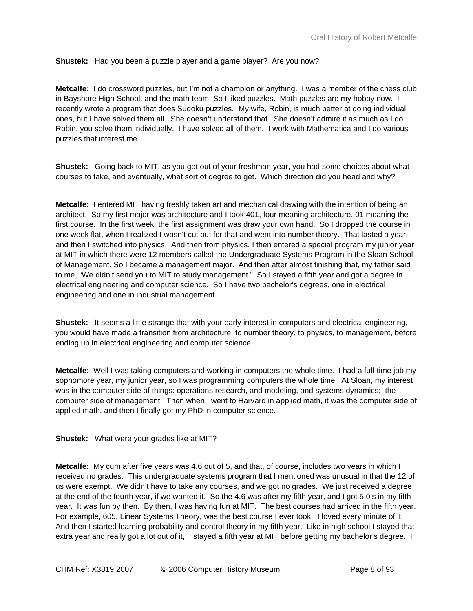# **Shustek:** Had you been a puzzle player and a game player? Are you now?

**Metcalfe:** I do crossword puzzles, but I'm not a champion or anything. I was a member of the chess club in Bayshore High School, and the math team. So I liked puzzles. Math puzzles are my hobby now. I recently wrote a program that does Sudoku puzzles. My wife, Robin, is much better at doing individual ones, but I have solved them all. She doesn't understand that. She doesn't admire it as much as I do. Robin, you solve them individually. I have solved all of them. I work with Mathematica and I do various puzzles that interest me.

**Shustek:** Going back to MIT, as you got out of your freshman year, you had some choices about what courses to take, and eventually, what sort of degree to get. Which direction did you head and why?

**Metcalfe:** I entered MIT having freshly taken art and mechanical drawing with the intention of being an architect. So my first major was architecture and I took 401, four meaning architecture, 01 meaning the first course. In the first week, the first assignment was draw your own hand. So I dropped the course in one week flat, when I realized I wasn't cut out for that and went into number theory. That lasted a year, and then I switched into physics. And then from physics, I then entered a special program my junior year at MIT in which there were 12 members called the Undergraduate Systems Program in the Sloan School of Management. So I became a management major. And then after almost finishing that, my father said to me, "We didn't send you to MIT to study management." So I stayed a fifth year and got a degree in electrical engineering and computer science. So I have two bachelor's degrees, one in electrical engineering and one in industrial management.

**Shustek:** It seems a little strange that with your early interest in computers and electrical engineering, you would have made a transition from architecture, to number theory, to physics, to management, before ending up in electrical engineering and computer science.

**Metcalfe:** Well I was taking computers and working in computers the whole time. I had a full-time job my sophomore year, my junior year, so I was programming computers the whole time. At Sloan, my interest was in the computer side of things: operations research, and modeling, and systems dynamics; the computer side of management. Then when I went to Harvard in applied math, it was the computer side of applied math, and then I finally got my PhD in computer science.

**Shustek:** What were your grades like at MIT?

**Metcalfe:** My cum after five years was 4.6 out of 5, and that, of course, includes two years in which I received no grades. This undergraduate systems program that I mentioned was unusual in that the 12 of us were exempt. We didn't have to take any courses, and we got no grades. We just received a degree at the end of the fourth year, if we wanted it. So the 4.6 was after my fifth year, and I got 5.0's in my fifth year. It was fun by then. By then, I was having fun at MIT. The best courses had arrived in the fifth year. For example, 605, Linear Systems Theory, was the best course I ever took. I loved every minute of it. And then I started learning probability and control theory in my fifth year. Like in high school I stayed that extra year and really got a lot out of it, I stayed a fifth year at MIT before getting my bachelor's degree. I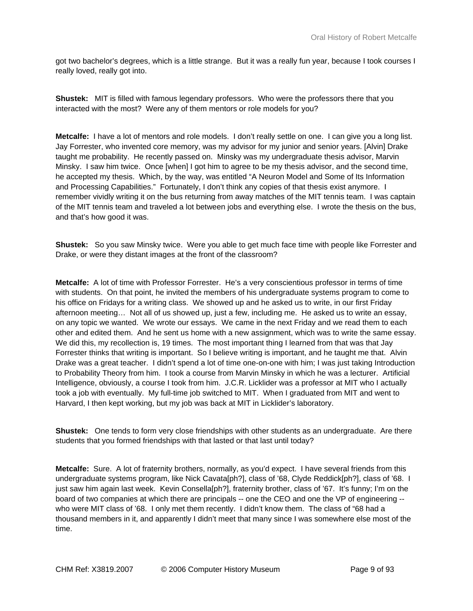got two bachelor's degrees, which is a little strange. But it was a really fun year, because I took courses I really loved, really got into.

**Shustek:** MIT is filled with famous legendary professors. Who were the professors there that you interacted with the most? Were any of them mentors or role models for you?

**Metcalfe:** I have a lot of mentors and role models. I don't really settle on one. I can give you a long list. Jay Forrester, who invented core memory, was my advisor for my junior and senior years. [Alvin] Drake taught me probability. He recently passed on. Minsky was my undergraduate thesis advisor, Marvin Minsky. I saw him twice. Once [when] I got him to agree to be my thesis advisor, and the second time, he accepted my thesis. Which, by the way, was entitled "A Neuron Model and Some of Its Information and Processing Capabilities." Fortunately, I don't think any copies of that thesis exist anymore. I remember vividly writing it on the bus returning from away matches of the MIT tennis team. I was captain of the MIT tennis team and traveled a lot between jobs and everything else. I wrote the thesis on the bus, and that's how good it was.

**Shustek:** So you saw Minsky twice. Were you able to get much face time with people like Forrester and Drake, or were they distant images at the front of the classroom?

**Metcalfe:** A lot of time with Professor Forrester. He's a very conscientious professor in terms of time with students. On that point, he invited the members of his undergraduate systems program to come to his office on Fridays for a writing class. We showed up and he asked us to write, in our first Friday afternoon meeting… Not all of us showed up, just a few, including me. He asked us to write an essay, on any topic we wanted. We wrote our essays. We came in the next Friday and we read them to each other and edited them. And he sent us home with a new assignment, which was to write the same essay. We did this, my recollection is, 19 times. The most important thing I learned from that was that Jay Forrester thinks that writing is important. So I believe writing is important, and he taught me that. Alvin Drake was a great teacher. I didn't spend a lot of time one-on-one with him; I was just taking Introduction to Probability Theory from him. I took a course from Marvin Minsky in which he was a lecturer. Artificial Intelligence, obviously, a course I took from him. J.C.R. Licklider was a professor at MIT who I actually took a job with eventually. My full-time job switched to MIT. When I graduated from MIT and went to Harvard, I then kept working, but my job was back at MIT in Licklider's laboratory.

**Shustek:** One tends to form very close friendships with other students as an undergraduate. Are there students that you formed friendships with that lasted or that last until today?

**Metcalfe:** Sure. A lot of fraternity brothers, normally, as you'd expect. I have several friends from this undergraduate systems program, like Nick Cavata[ph?], class of '68, Clyde Reddick[ph?], class of '68. I just saw him again last week. Kevin Consella[ph?], fraternity brother, class of '67. It's funny; I'm on the board of two companies at which there are principals -- one the CEO and one the VP of engineering - who were MIT class of '68. I only met them recently. I didn't know them. The class of "68 had a thousand members in it, and apparently I didn't meet that many since I was somewhere else most of the time.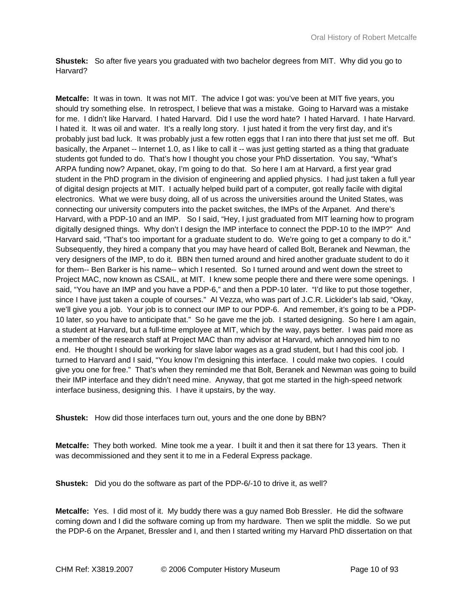**Shustek:** So after five years you graduated with two bachelor degrees from MIT. Why did you go to Harvard?

**Metcalfe:** It was in town. It was not MIT. The advice I got was: you've been at MIT five years, you should try something else. In retrospect, I believe that was a mistake. Going to Harvard was a mistake for me. I didn't like Harvard. I hated Harvard. Did I use the word hate? I hated Harvard. I hate Harvard. I hated it. It was oil and water. It's a really long story. I just hated it from the very first day, and it's probably just bad luck. It was probably just a few rotten eggs that I ran into there that just set me off. But basically, the Arpanet -- Internet 1.0, as I like to call it -- was just getting started as a thing that graduate students got funded to do. That's how I thought you chose your PhD dissertation. You say, "What's ARPA funding now? Arpanet, okay, I'm going to do that. So here I am at Harvard, a first year grad student in the PhD program in the division of engineering and applied physics. I had just taken a full year of digital design projects at MIT. I actually helped build part of a computer, got really facile with digital electronics. What we were busy doing, all of us across the universities around the United States, was connecting our university computers into the packet switches, the IMPs of the Arpanet. And there's Harvard, with a PDP-10 and an IMP. So I said, "Hey, I just graduated from MIT learning how to program digitally designed things. Why don't I design the IMP interface to connect the PDP-10 to the IMP?" And Harvard said, "That's too important for a graduate student to do. We're going to get a company to do it." Subsequently, they hired a company that you may have heard of called Bolt, Beranek and Newman, the very designers of the IMP, to do it. BBN then turned around and hired another graduate student to do it for them-- Ben Barker is his name-- which I resented. So I turned around and went down the street to Project MAC, now known as CSAIL, at MIT. I knew some people there and there were some openings. I said, "You have an IMP and you have a PDP-6," and then a PDP-10 later. "I'd like to put those together, since I have just taken a couple of courses." Al Vezza, who was part of J.C.R. Lickider's lab said, "Okay, we'll give you a job. Your job is to connect our IMP to our PDP-6. And remember, it's going to be a PDP-10 later, so you have to anticipate that." So he gave me the job. I started designing. So here I am again, a student at Harvard, but a full-time employee at MIT, which by the way, pays better. I was paid more as a member of the research staff at Project MAC than my advisor at Harvard, which annoyed him to no end. He thought I should be working for slave labor wages as a grad student, but I had this cool job. I turned to Harvard and I said, "You know I'm designing this interface. I could make two copies. I could give you one for free." That's when they reminded me that Bolt, Beranek and Newman was going to build their IMP interface and they didn't need mine. Anyway, that got me started in the high-speed network interface business, designing this. I have it upstairs, by the way.

**Shustek:** How did those interfaces turn out, yours and the one done by BBN?

**Metcalfe:** They both worked. Mine took me a year. I built it and then it sat there for 13 years. Then it was decommissioned and they sent it to me in a Federal Express package.

**Shustek:** Did you do the software as part of the PDP-6/-10 to drive it, as well?

**Metcalfe:** Yes. I did most of it. My buddy there was a guy named Bob Bressler. He did the software coming down and I did the software coming up from my hardware. Then we split the middle. So we put the PDP-6 on the Arpanet, Bressler and I, and then I started writing my Harvard PhD dissertation on that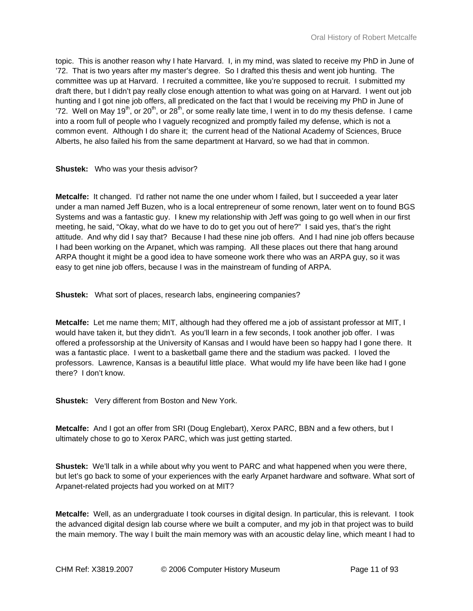topic. This is another reason why I hate Harvard. I, in my mind, was slated to receive my PhD in June of '72. That is two years after my master's degree. So I drafted this thesis and went job hunting. The committee was up at Harvard. I recruited a committee, like you're supposed to recruit. I submitted my draft there, but I didn't pay really close enough attention to what was going on at Harvard. I went out job hunting and I got nine job offers, all predicated on the fact that I would be receiving my PhD in June of '72. Well on May 19<sup>th</sup>, or 20<sup>th</sup>, or 28<sup>th</sup>, or some really late time, I went in to do my thesis defense. I came into a room full of people who I vaguely recognized and promptly failed my defense, which is not a common event. Although I do share it; the current head of the National Academy of Sciences, Bruce Alberts, he also failed his from the same department at Harvard, so we had that in common.

**Shustek:** Who was your thesis advisor?

**Metcalfe:** It changed. I'd rather not name the one under whom I failed, but I succeeded a year later under a man named Jeff Buzen, who is a local entrepreneur of some renown, later went on to found BGS Systems and was a fantastic guy. I knew my relationship with Jeff was going to go well when in our first meeting, he said, "Okay, what do we have to do to get you out of here?" I said yes, that's the right attitude. And why did I say that? Because I had these nine job offers. And I had nine job offers because I had been working on the Arpanet, which was ramping. All these places out there that hang around ARPA thought it might be a good idea to have someone work there who was an ARPA guy, so it was easy to get nine job offers, because I was in the mainstream of funding of ARPA.

**Shustek:** What sort of places, research labs, engineering companies?

**Metcalfe:** Let me name them; MIT, although had they offered me a job of assistant professor at MIT, I would have taken it, but they didn't. As you'll learn in a few seconds, I took another job offer. I was offered a professorship at the University of Kansas and I would have been so happy had I gone there. It was a fantastic place. I went to a basketball game there and the stadium was packed. I loved the professors. Lawrence, Kansas is a beautiful little place. What would my life have been like had I gone there? I don't know.

**Shustek:** Very different from Boston and New York.

**Metcalfe:** And I got an offer from SRI (Doug Englebart), Xerox PARC, BBN and a few others, but I ultimately chose to go to Xerox PARC, which was just getting started.

**Shustek:** We'll talk in a while about why you went to PARC and what happened when you were there, but let's go back to some of your experiences with the early Arpanet hardware and software. What sort of Arpanet-related projects had you worked on at MIT?

**Metcalfe:** Well, as an undergraduate I took courses in digital design. In particular, this is relevant. I took the advanced digital design lab course where we built a computer, and my job in that project was to build the main memory. The way I built the main memory was with an acoustic delay line, which meant I had to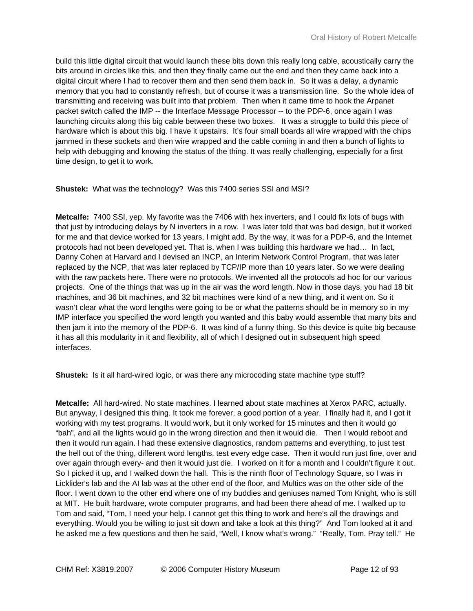build this little digital circuit that would launch these bits down this really long cable, acoustically carry the bits around in circles like this, and then they finally came out the end and then they came back into a digital circuit where I had to recover them and then send them back in. So it was a delay, a dynamic memory that you had to constantly refresh, but of course it was a transmission line. So the whole idea of transmitting and receiving was built into that problem. Then when it came time to hook the Arpanet packet switch called the IMP -- the Interface Message Processor -- to the PDP-6, once again I was launching circuits along this big cable between these two boxes. It was a struggle to build this piece of hardware which is about this big. I have it upstairs. It's four small boards all wire wrapped with the chips jammed in these sockets and then wire wrapped and the cable coming in and then a bunch of lights to help with debugging and knowing the status of the thing. It was really challenging, especially for a first time design, to get it to work.

**Shustek:** What was the technology? Was this 7400 series SSI and MSI?

**Metcalfe:** 7400 SSI, yep. My favorite was the 7406 with hex inverters, and I could fix lots of bugs with that just by introducing delays by N inverters in a row. I was later told that was bad design, but it worked for me and that device worked for 13 years, I might add. By the way, it was for a PDP-6, and the Internet protocols had not been developed yet. That is, when I was building this hardware we had… In fact, Danny Cohen at Harvard and I devised an INCP, an Interim Network Control Program, that was later replaced by the NCP, that was later replaced by TCP/IP more than 10 years later. So we were dealing with the raw packets here. There were no protocols. We invented all the protocols ad hoc for our various projects. One of the things that was up in the air was the word length. Now in those days, you had 18 bit machines, and 36 bit machines, and 32 bit machines were kind of a new thing, and it went on. So it wasn't clear what the word lengths were going to be or what the patterns should be in memory so in my IMP interface you specified the word length you wanted and this baby would assemble that many bits and then jam it into the memory of the PDP-6. It was kind of a funny thing. So this device is quite big because it has all this modularity in it and flexibility, all of which I designed out in subsequent high speed interfaces.

**Shustek:** Is it all hard-wired logic, or was there any microcoding state machine type stuff?

**Metcalfe:** All hard-wired. No state machines. I learned about state machines at Xerox PARC, actually. But anyway, I designed this thing. It took me forever, a good portion of a year. I finally had it, and I got it working with my test programs. It would work, but it only worked for 15 minutes and then it would go "bah", and all the lights would go in the wrong direction and then it would die. Then I would reboot and then it would run again. I had these extensive diagnostics, random patterns and everything, to just test the hell out of the thing, different word lengths, test every edge case. Then it would run just fine, over and over again through every- and then it would just die. I worked on it for a month and I couldn't figure it out. So I picked it up, and I walked down the hall. This is the ninth floor of Technology Square, so I was in Licklider's lab and the AI lab was at the other end of the floor, and Multics was on the other side of the floor. I went down to the other end where one of my buddies and geniuses named Tom Knight, who is still at MIT. He built hardware, wrote computer programs, and had been there ahead of me. I walked up to Tom and said, "Tom, I need your help. I cannot get this thing to work and here's all the drawings and everything. Would you be willing to just sit down and take a look at this thing?" And Tom looked at it and he asked me a few questions and then he said, "Well, I know what's wrong." "Really, Tom. Pray tell." He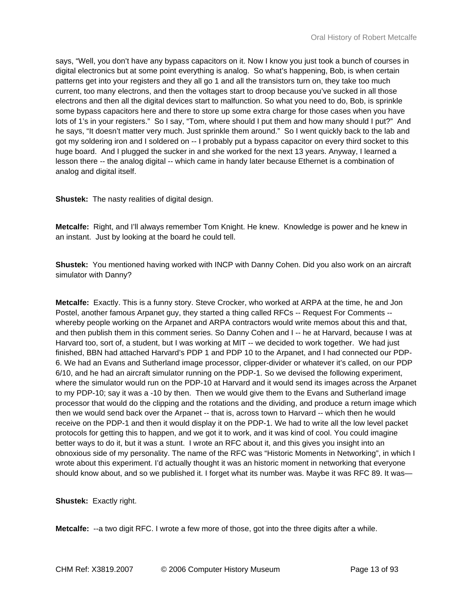says, "Well, you don't have any bypass capacitors on it. Now I know you just took a bunch of courses in digital electronics but at some point everything is analog. So what's happening, Bob, is when certain patterns get into your registers and they all go 1 and all the transistors turn on, they take too much current, too many electrons, and then the voltages start to droop because you've sucked in all those electrons and then all the digital devices start to malfunction. So what you need to do, Bob, is sprinkle some bypass capacitors here and there to store up some extra charge for those cases when you have lots of 1's in your registers." So I say, "Tom, where should I put them and how many should I put?" And he says, "It doesn't matter very much. Just sprinkle them around." So I went quickly back to the lab and got my soldering iron and I soldered on -- I probably put a bypass capacitor on every third socket to this huge board. And I plugged the sucker in and she worked for the next 13 years. Anyway, I learned a lesson there -- the analog digital -- which came in handy later because Ethernet is a combination of analog and digital itself.

**Shustek:** The nasty realities of digital design.

**Metcalfe:** Right, and I'll always remember Tom Knight. He knew. Knowledge is power and he knew in an instant. Just by looking at the board he could tell.

**Shustek:** You mentioned having worked with INCP with Danny Cohen. Did you also work on an aircraft simulator with Danny?

**Metcalfe:** Exactly. This is a funny story. Steve Crocker, who worked at ARPA at the time, he and Jon Postel, another famous Arpanet guy, they started a thing called RFCs -- Request For Comments - whereby people working on the Arpanet and ARPA contractors would write memos about this and that, and then publish them in this comment series. So Danny Cohen and I -- he at Harvard, because I was at Harvard too, sort of, a student, but I was working at MIT -- we decided to work together. We had just finished, BBN had attached Harvard's PDP 1 and PDP 10 to the Arpanet, and I had connected our PDP-6. We had an Evans and Sutherland image processor, clipper-divider or whatever it's called, on our PDP 6/10, and he had an aircraft simulator running on the PDP-1. So we devised the following experiment, where the simulator would run on the PDP-10 at Harvard and it would send its images across the Arpanet to my PDP-10; say it was a -10 by then. Then we would give them to the Evans and Sutherland image processor that would do the clipping and the rotations and the dividing, and produce a return image which then we would send back over the Arpanet -- that is, across town to Harvard -- which then he would receive on the PDP-1 and then it would display it on the PDP-1. We had to write all the low level packet protocols for getting this to happen, and we got it to work, and it was kind of cool. You could imagine better ways to do it, but it was a stunt. I wrote an RFC about it, and this gives you insight into an obnoxious side of my personality. The name of the RFC was "Historic Moments in Networking", in which I wrote about this experiment. I'd actually thought it was an historic moment in networking that everyone should know about, and so we published it. I forget what its number was. Maybe it was RFC 89. It was—

**Shustek:** Exactly right.

**Metcalfe:** --a two digit RFC. I wrote a few more of those, got into the three digits after a while.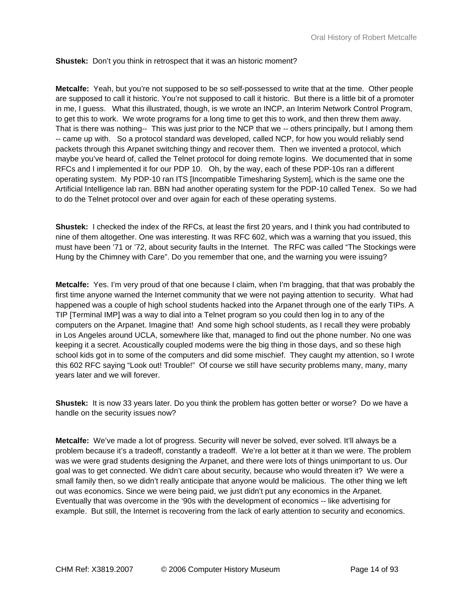## **Shustek:** Don't you think in retrospect that it was an historic moment?

**Metcalfe:** Yeah, but you're not supposed to be so self-possessed to write that at the time. Other people are supposed to call it historic. You're not supposed to call it historic. But there is a little bit of a promoter in me, I guess. What this illustrated, though, is we wrote an INCP, an Interim Network Control Program, to get this to work. We wrote programs for a long time to get this to work, and then threw them away. That is there was nothing-- This was just prior to the NCP that we -- others principally, but I among them -- came up with. So a protocol standard was developed, called NCP, for how you would reliably send packets through this Arpanet switching thingy and recover them. Then we invented a protocol, which maybe you've heard of, called the Telnet protocol for doing remote logins. We documented that in some RFCs and I implemented it for our PDP 10. Oh, by the way, each of these PDP-10s ran a different operating system. My PDP-10 ran ITS [Incompatible Timesharing System], which is the same one the Artificial Intelligence lab ran. BBN had another operating system for the PDP-10 called Tenex. So we had to do the Telnet protocol over and over again for each of these operating systems.

**Shustek:** I checked the index of the RFCs, at least the first 20 years, and I think you had contributed to nine of them altogether. One was interesting. It was RFC 602, which was a warning that you issued, this must have been '71 or '72, about security faults in the Internet. The RFC was called "The Stockings were Hung by the Chimney with Care". Do you remember that one, and the warning you were issuing?

**Metcalfe:** Yes. I'm very proud of that one because I claim, when I'm bragging, that that was probably the first time anyone warned the Internet community that we were not paying attention to security. What had happened was a couple of high school students hacked into the Arpanet through one of the early TIPs. A TIP [Terminal IMP] was a way to dial into a Telnet program so you could then log in to any of the computers on the Arpanet. Imagine that! And some high school students, as I recall they were probably in Los Angeles around UCLA, somewhere like that, managed to find out the phone number. No one was keeping it a secret. Acoustically coupled modems were the big thing in those days, and so these high school kids got in to some of the computers and did some mischief. They caught my attention, so I wrote this 602 RFC saying "Look out! Trouble!" Of course we still have security problems many, many, many years later and we will forever.

**Shustek:** It is now 33 years later. Do you think the problem has gotten better or worse? Do we have a handle on the security issues now?

**Metcalfe:** We've made a lot of progress. Security will never be solved, ever solved. It'll always be a problem because it's a tradeoff, constantly a tradeoff. We're a lot better at it than we were. The problem was we were grad students designing the Arpanet, and there were lots of things unimportant to us. Our goal was to get connected. We didn't care about security, because who would threaten it? We were a small family then, so we didn't really anticipate that anyone would be malicious. The other thing we left out was economics. Since we were being paid, we just didn't put any economics in the Arpanet. Eventually that was overcome in the '90s with the development of economics -- like advertising for example. But still, the Internet is recovering from the lack of early attention to security and economics.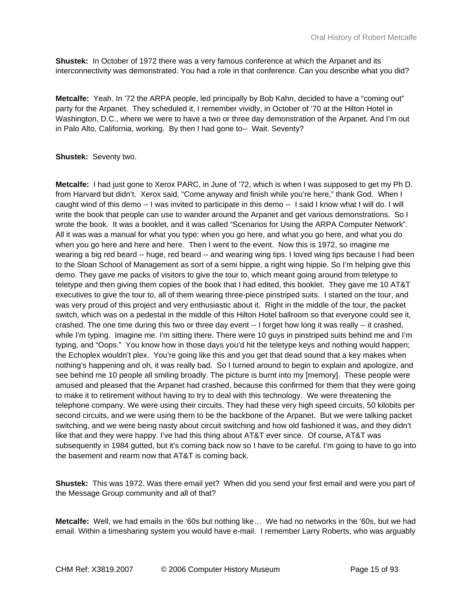**Shustek:** In October of 1972 there was a very famous conference at which the Arpanet and its interconnectivity was demonstrated. You had a role in that conference. Can you describe what you did?

**Metcalfe:** Yeah. In '72 the ARPA people, led principally by Bob Kahn, decided to have a "coming out" party for the Arpanet. They scheduled it, I remember vividly, in October of '70 at the Hilton Hotel in Washington, D.C., where we were to have a two or three day demonstration of the Arpanet. And I'm out in Palo Alto, California, working. By then I had gone to-- Wait. Seventy?

#### **Shustek:** Seventy two.

**Metcalfe:** I had just gone to Xerox PARC, in June of '72, which is when I was supposed to get my Ph D. from Harvard but didn't. Xerox said, "Come anyway and finish while you're here," thank God. When I caught wind of this demo -- I was invited to participate in this demo -- I said I know what I will do. I will write the book that people can use to wander around the Arpanet and get various demonstrations. So I wrote the book. It was a booklet, and it was called "Scenarios for Using the ARPA Computer Network". All it was was a manual for what you type: when you go here, and what you go here, and what you do when you go here and here and here. Then I went to the event. Now this is 1972, so imagine me wearing a big red beard -- huge, red beard -- and wearing wing tips. I loved wing tips because I had been to the Sloan School of Management as sort of a semi hippie, a right wing hippie. So I'm helping give this demo. They gave me packs of visitors to give the tour to, which meant going around from teletype to teletype and then giving them copies of the book that I had edited, this booklet. They gave me 10 AT&T executives to give the tour to, all of them wearing three-piece pinstriped suits. I started on the tour, and was very proud of this project and very enthusiastic about it. Right in the middle of the tour, the packet switch, which was on a pedestal in the middle of this Hilton Hotel ballroom so that everyone could see it, crashed. The one time during this two or three day event -- I forget how long it was really -- it crashed, while I'm typing. Imagine me. I'm sitting there. There were 10 guys in pinstriped suits behind me and I'm typing, and "Oops." You know how in those days you'd hit the teletype keys and nothing would happen; the Echoplex wouldn't plex. You're going like this and you get that dead sound that a key makes when nothing's happening and oh, it was really bad. So I turned around to begin to explain and apologize, and see behind me 10 people all smiling broadly. The picture is burnt into my [memory]. These people were amused and pleased that the Arpanet had crashed, because this confirmed for them that they were going to make it to retirement without having to try to deal with this technology. We were threatening the telephone company. We were using their circuits. They had these very high speed circuits, 50 kilobits per second circuits, and we were using them to be the backbone of the Arpanet. But we were talking packet switching, and we were being nasty about circuit switching and how old fashioned it was, and they didn't like that and they were happy. I've had this thing about AT&T ever since. Of course, AT&T was subsequently in 1984 gutted, but it's coming back now so I have to be careful. I'm going to have to go into the basement and rearm now that AT&T is coming back.

**Shustek:** This was 1972. Was there email yet? When did you send your first email and were you part of the Message Group community and all of that?

**Metcalfe:** Well, we had emails in the '60s but nothing like… We had no networks in the '60s, but we had email. Within a timesharing system you would have e-mail. I remember Larry Roberts, who was arguably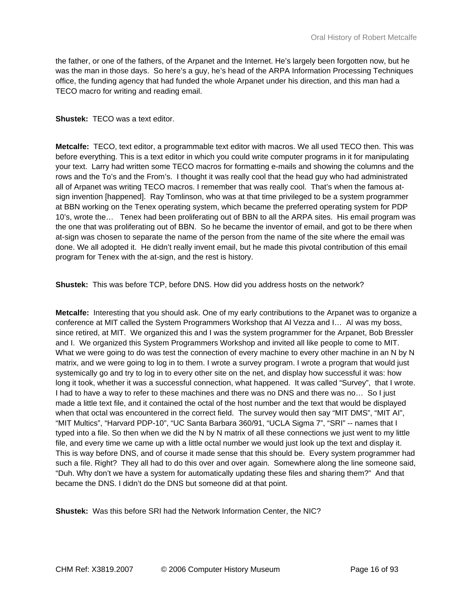the father, or one of the fathers, of the Arpanet and the Internet. He's largely been forgotten now, but he was the man in those days. So here's a guy, he's head of the ARPA Information Processing Techniques office, the funding agency that had funded the whole Arpanet under his direction, and this man had a TECO macro for writing and reading email.

#### **Shustek:** TECO was a text editor.

**Metcalfe:** TECO, text editor, a programmable text editor with macros. We all used TECO then. This was before everything. This is a text editor in which you could write computer programs in it for manipulating your text. Larry had written some TECO macros for formatting e-mails and showing the columns and the rows and the To's and the From's. I thought it was really cool that the head guy who had administrated all of Arpanet was writing TECO macros. I remember that was really cool. That's when the famous atsign invention [happened]. Ray Tomlinson, who was at that time privileged to be a system programmer at BBN working on the Tenex operating system, which became the preferred operating system for PDP 10's, wrote the… Tenex had been proliferating out of BBN to all the ARPA sites. His email program was the one that was proliferating out of BBN. So he became the inventor of email, and got to be there when at-sign was chosen to separate the name of the person from the name of the site where the email was done. We all adopted it. He didn't really invent email, but he made this pivotal contribution of this email program for Tenex with the at-sign, and the rest is history.

**Shustek:** This was before TCP, before DNS. How did you address hosts on the network?

**Metcalfe:** Interesting that you should ask. One of my early contributions to the Arpanet was to organize a conference at MIT called the System Programmers Workshop that Al Vezza and I… Al was my boss, since retired, at MIT. We organized this and I was the system programmer for the Arpanet, Bob Bressler and I. We organized this System Programmers Workshop and invited all like people to come to MIT. What we were going to do was test the connection of every machine to every other machine in an N by N matrix, and we were going to log in to them. I wrote a survey program. I wrote a program that would just systemically go and try to log in to every other site on the net, and display how successful it was: how long it took, whether it was a successful connection, what happened. It was called "Survey", that I wrote. I had to have a way to refer to these machines and there was no DNS and there was no… So I just made a little text file, and it contained the octal of the host number and the text that would be displayed when that octal was encountered in the correct field. The survey would then say "MIT DMS", "MIT AI", "MIT Multics", "Harvard PDP-10", "UC Santa Barbara 360/91, "UCLA Sigma 7", "SRI" -- names that I typed into a file. So then when we did the N by N matrix of all these connections we just went to my little file, and every time we came up with a little octal number we would just look up the text and display it. This is way before DNS, and of course it made sense that this should be. Every system programmer had such a file. Right? They all had to do this over and over again. Somewhere along the line someone said, "Duh. Why don't we have a system for automatically updating these files and sharing them?" And that became the DNS. I didn't do the DNS but someone did at that point.

**Shustek:** Was this before SRI had the Network Information Center, the NIC?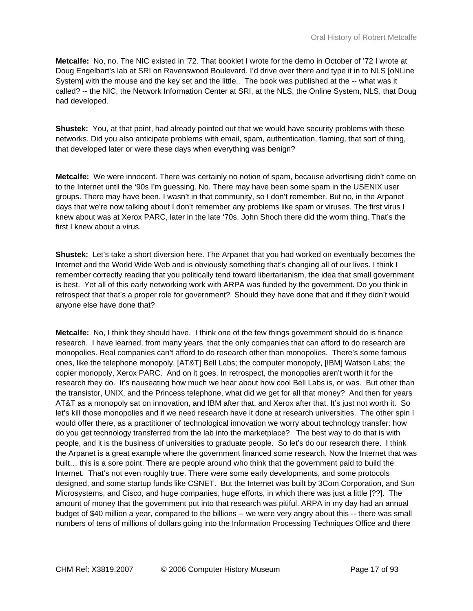**Metcalfe:** No, no. The NIC existed in '72. That booklet I wrote for the demo in October of '72 I wrote at Doug Engelbart's lab at SRI on Ravenswood Boulevard. I'd drive over there and type it in to NLS [oNLine System] with the mouse and the key set and the little.. The book was published at the -- what was it called? -- the NIC, the Network Information Center at SRI, at the NLS, the Online System, NLS, that Doug had developed.

**Shustek:** You, at that point, had already pointed out that we would have security problems with these networks. Did you also anticipate problems with email, spam, authentication, flaming, that sort of thing, that developed later or were these days when everything was benign?

**Metcalfe:** We were innocent. There was certainly no notion of spam, because advertising didn't come on to the Internet until the '90s I'm guessing. No. There may have been some spam in the USENIX user groups. There may have been. I wasn't in that community, so I don't remember. But no, in the Arpanet days that we're now talking about I don't remember any problems like spam or viruses. The first virus I knew about was at Xerox PARC, later in the late '70s. John Shoch there did the worm thing. That's the first I knew about a virus.

**Shustek:** Let's take a short diversion here. The Arpanet that you had worked on eventually becomes the Internet and the World Wide Web and is obviously something that's changing all of our lives. I think I remember correctly reading that you politically tend toward libertarianism, the idea that small government is best. Yet all of this early networking work with ARPA was funded by the government. Do you think in retrospect that that's a proper role for government? Should they have done that and if they didn't would anyone else have done that?

**Metcalfe:** No, I think they should have. I think one of the few things government should do is finance research. I have learned, from many years, that the only companies that can afford to do research are monopolies. Real companies can't afford to do research other than monopolies. There's some famous ones, like the telephone monopoly, [AT&T] Bell Labs; the computer monopoly, [IBM] Watson Labs; the copier monopoly, Xerox PARC. And on it goes. In retrospect, the monopolies aren't worth it for the research they do. It's nauseating how much we hear about how cool Bell Labs is, or was. But other than the transistor, UNIX, and the Princess telephone, what did we get for all that money? And then for years AT&T as a monopoly sat on innovation, and IBM after that, and Xerox after that. It's just not worth it. So let's kill those monopolies and if we need research have it done at research universities. The other spin I would offer there, as a practitioner of technological innovation we worry about technology transfer: how do you get technology transferred from the lab into the marketplace? The best way to do that is with people, and it is the business of universities to graduate people. So let's do our research there. I think the Arpanet is a great example where the government financed some research. Now the Internet that was built… this is a sore point. There are people around who think that the government paid to build the Internet. That's not even roughly true. There were some early developments, and some protocols designed, and some startup funds like CSNET. But the Internet was built by 3Com Corporation, and Sun Microsystems, and Cisco, and huge companies, huge efforts, in which there was just a little [??]. The amount of money that the government put into that research was pitiful. ARPA in my day had an annual budget of \$40 million a year, compared to the billions -- we were very angry about this -- there was small numbers of tens of millions of dollars going into the Information Processing Techniques Office and there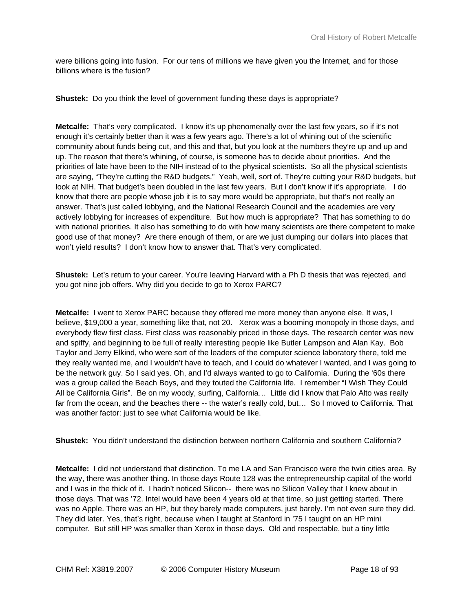were billions going into fusion. For our tens of millions we have given you the Internet, and for those billions where is the fusion?

**Shustek:** Do you think the level of government funding these days is appropriate?

**Metcalfe:** That's very complicated. I know it's up phenomenally over the last few years, so if it's not enough it's certainly better than it was a few years ago. There's a lot of whining out of the scientific community about funds being cut, and this and that, but you look at the numbers they're up and up and up. The reason that there's whining, of course, is someone has to decide about priorities. And the priorities of late have been to the NIH instead of to the physical scientists. So all the physical scientists are saying, "They're cutting the R&D budgets." Yeah, well, sort of. They're cutting your R&D budgets, but look at NIH. That budget's been doubled in the last few years. But I don't know if it's appropriate. I do know that there are people whose job it is to say more would be appropriate, but that's not really an answer. That's just called lobbying, and the National Research Council and the academies are very actively lobbying for increases of expenditure. But how much is appropriate? That has something to do with national priorities. It also has something to do with how many scientists are there competent to make good use of that money? Are there enough of them, or are we just dumping our dollars into places that won't yield results? I don't know how to answer that. That's very complicated.

**Shustek:** Let's return to your career. You're leaving Harvard with a Ph D thesis that was rejected, and you got nine job offers. Why did you decide to go to Xerox PARC?

**Metcalfe:** I went to Xerox PARC because they offered me more money than anyone else. It was, I believe, \$19,000 a year, something like that, not 20. Xerox was a booming monopoly in those days, and everybody flew first class. First class was reasonably priced in those days. The research center was new and spiffy, and beginning to be full of really interesting people like Butler Lampson and Alan Kay. Bob Taylor and Jerry Elkind, who were sort of the leaders of the computer science laboratory there, told me they really wanted me, and I wouldn't have to teach, and I could do whatever I wanted, and I was going to be the network guy. So I said yes. Oh, and I'd always wanted to go to California. During the '60s there was a group called the Beach Boys, and they touted the California life. I remember "I Wish They Could All be California Girls". Be on my woody, surfing, California… Little did I know that Palo Alto was really far from the ocean, and the beaches there -- the water's really cold, but… So I moved to California. That was another factor: just to see what California would be like.

**Shustek:** You didn't understand the distinction between northern California and southern California?

**Metcalfe:** I did not understand that distinction. To me LA and San Francisco were the twin cities area. By the way, there was another thing. In those days Route 128 was the entrepreneurship capital of the world and I was in the thick of it. I hadn't noticed Silicon-- there was no Silicon Valley that I knew about in those days. That was '72. Intel would have been 4 years old at that time, so just getting started. There was no Apple. There was an HP, but they barely made computers, just barely. I'm not even sure they did. They did later. Yes, that's right, because when I taught at Stanford in '75 I taught on an HP mini computer. But still HP was smaller than Xerox in those days. Old and respectable, but a tiny little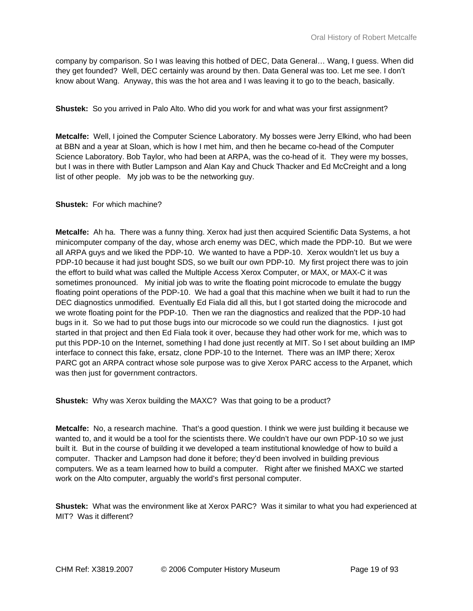company by comparison. So I was leaving this hotbed of DEC, Data General… Wang, I guess. When did they get founded? Well, DEC certainly was around by then. Data General was too. Let me see. I don't know about Wang. Anyway, this was the hot area and I was leaving it to go to the beach, basically.

**Shustek:** So you arrived in Palo Alto. Who did you work for and what was your first assignment?

**Metcalfe:** Well, I joined the Computer Science Laboratory. My bosses were Jerry Elkind, who had been at BBN and a year at Sloan, which is how I met him, and then he became co-head of the Computer Science Laboratory. Bob Taylor, who had been at ARPA, was the co-head of it. They were my bosses, but I was in there with Butler Lampson and Alan Kay and Chuck Thacker and Ed McCreight and a long list of other people. My job was to be the networking guy.

## **Shustek:** For which machine?

**Metcalfe:** Ah ha. There was a funny thing. Xerox had just then acquired Scientific Data Systems, a hot minicomputer company of the day, whose arch enemy was DEC, which made the PDP-10. But we were all ARPA guys and we liked the PDP-10. We wanted to have a PDP-10. Xerox wouldn't let us buy a PDP-10 because it had just bought SDS, so we built our own PDP-10. My first project there was to join the effort to build what was called the Multiple Access Xerox Computer, or MAX, or MAX-C it was sometimes pronounced. My initial job was to write the floating point microcode to emulate the buggy floating point operations of the PDP-10. We had a goal that this machine when we built it had to run the DEC diagnostics unmodified. Eventually Ed Fiala did all this, but I got started doing the microcode and we wrote floating point for the PDP-10. Then we ran the diagnostics and realized that the PDP-10 had bugs in it. So we had to put those bugs into our microcode so we could run the diagnostics. I just got started in that project and then Ed Fiala took it over, because they had other work for me, which was to put this PDP-10 on the Internet, something I had done just recently at MIT. So I set about building an IMP interface to connect this fake, ersatz, clone PDP-10 to the Internet. There was an IMP there; Xerox PARC got an ARPA contract whose sole purpose was to give Xerox PARC access to the Arpanet, which was then just for government contractors.

**Shustek:** Why was Xerox building the MAXC? Was that going to be a product?

**Metcalfe:** No, a research machine. That's a good question. I think we were just building it because we wanted to, and it would be a tool for the scientists there. We couldn't have our own PDP-10 so we just built it. But in the course of building it we developed a team institutional knowledge of how to build a computer. Thacker and Lampson had done it before; they'd been involved in building previous computers. We as a team learned how to build a computer. Right after we finished MAXC we started work on the Alto computer, arguably the world's first personal computer.

**Shustek:** What was the environment like at Xerox PARC? Was it similar to what you had experienced at MIT? Was it different?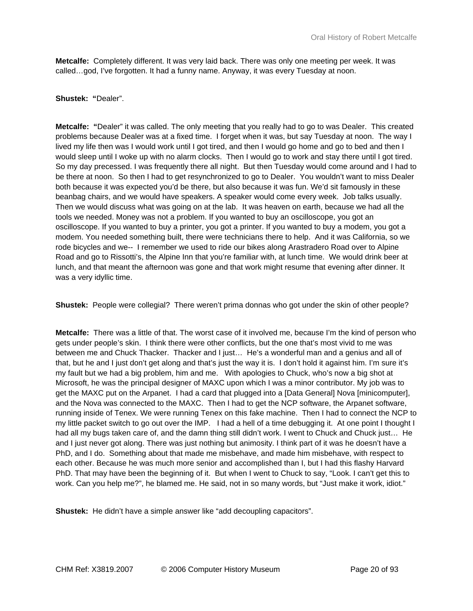**Metcalfe:** Completely different. It was very laid back. There was only one meeting per week. It was called…god, I've forgotten. It had a funny name. Anyway, it was every Tuesday at noon.

#### **Shustek: "**Dealer".

**Metcalfe: "**Dealer" it was called. The only meeting that you really had to go to was Dealer. This created problems because Dealer was at a fixed time. I forget when it was, but say Tuesday at noon. The way I lived my life then was I would work until I got tired, and then I would go home and go to bed and then I would sleep until I woke up with no alarm clocks. Then I would go to work and stay there until I got tired. So my day precessed. I was frequently there all night. But then Tuesday would come around and I had to be there at noon. So then I had to get resynchronized to go to Dealer. You wouldn't want to miss Dealer both because it was expected you'd be there, but also because it was fun. We'd sit famously in these beanbag chairs, and we would have speakers. A speaker would come every week. Job talks usually. Then we would discuss what was going on at the lab. It was heaven on earth, because we had all the tools we needed. Money was not a problem. If you wanted to buy an oscilloscope, you got an oscilloscope. If you wanted to buy a printer, you got a printer. If you wanted to buy a modem, you got a modem. You needed something built, there were technicians there to help. And it was California, so we rode bicycles and we-- I remember we used to ride our bikes along Arastradero Road over to Alpine Road and go to Rissotti's, the Alpine Inn that you're familiar with, at lunch time. We would drink beer at lunch, and that meant the afternoon was gone and that work might resume that evening after dinner. It was a very idyllic time.

**Shustek:** People were collegial? There weren't prima donnas who got under the skin of other people?

**Metcalfe:** There was a little of that. The worst case of it involved me, because I'm the kind of person who gets under people's skin. I think there were other conflicts, but the one that's most vivid to me was between me and Chuck Thacker. Thacker and I just… He's a wonderful man and a genius and all of that, but he and I just don't get along and that's just the way it is. I don't hold it against him. I'm sure it's my fault but we had a big problem, him and me. With apologies to Chuck, who's now a big shot at Microsoft, he was the principal designer of MAXC upon which I was a minor contributor. My job was to get the MAXC put on the Arpanet. I had a card that plugged into a [Data General] Nova [minicomputer], and the Nova was connected to the MAXC. Then I had to get the NCP software, the Arpanet software, running inside of Tenex. We were running Tenex on this fake machine. Then I had to connect the NCP to my little packet switch to go out over the IMP. I had a hell of a time debugging it. At one point I thought I had all my bugs taken care of, and the damn thing still didn't work. I went to Chuck and Chuck just... He and I just never got along. There was just nothing but animosity. I think part of it was he doesn't have a PhD, and I do. Something about that made me misbehave, and made him misbehave, with respect to each other. Because he was much more senior and accomplished than I, but I had this flashy Harvard PhD. That may have been the beginning of it. But when I went to Chuck to say, "Look. I can't get this to work. Can you help me?", he blamed me. He said, not in so many words, but "Just make it work, idiot."

**Shustek:** He didn't have a simple answer like "add decoupling capacitors".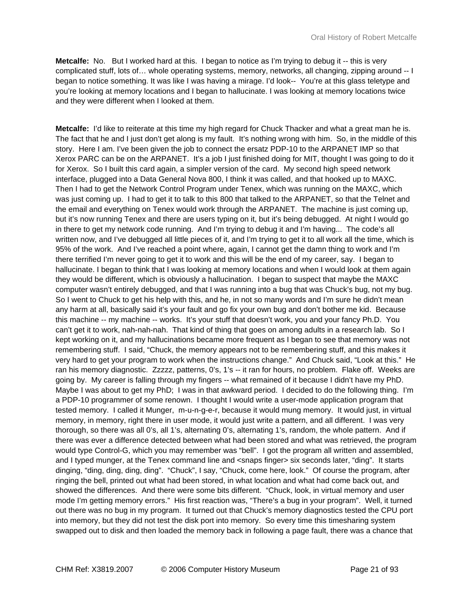**Metcalfe:** No. But I worked hard at this. I began to notice as I'm trying to debug it -- this is very complicated stuff, lots of… whole operating systems, memory, networks, all changing, zipping around -- I began to notice something. It was like I was having a mirage. I'd look-- You're at this glass teletype and you're looking at memory locations and I began to hallucinate. I was looking at memory locations twice and they were different when I looked at them.

**Metcalfe:** I'd like to reiterate at this time my high regard for Chuck Thacker and what a great man he is. The fact that he and I just don't get along is my fault. It's nothing wrong with him. So, in the middle of this story. Here I am. I've been given the job to connect the ersatz PDP-10 to the ARPANET IMP so that Xerox PARC can be on the ARPANET. It's a job I just finished doing for MIT, thought I was going to do it for Xerox. So I built this card again, a simpler version of the card. My second high speed network interface, plugged into a Data General Nova 800, I think it was called, and that hooked up to MAXC. Then I had to get the Network Control Program under Tenex, which was running on the MAXC, which was just coming up. I had to get it to talk to this 800 that talked to the ARPANET, so that the Telnet and the email and everything on Tenex would work through the ARPANET. The machine is just coming up, but it's now running Tenex and there are users typing on it, but it's being debugged. At night I would go in there to get my network code running. And I'm trying to debug it and I'm having... The code's all written now, and I've debugged all little pieces of it, and I'm trying to get it to all work all the time, which is 95% of the work. And I've reached a point where, again, I cannot get the damn thing to work and I'm there terrified I'm never going to get it to work and this will be the end of my career, say. I began to hallucinate. I began to think that I was looking at memory locations and when I would look at them again they would be different, which is obviously a hallucination. I began to suspect that maybe the MAXC computer wasn't entirely debugged, and that I was running into a bug that was Chuck's bug, not my bug. So I went to Chuck to get his help with this, and he, in not so many words and I'm sure he didn't mean any harm at all, basically said it's your fault and go fix your own bug and don't bother me kid. Because this machine -- my machine -- works. It's your stuff that doesn't work, you and your fancy Ph.D. You can't get it to work, nah-nah-nah. That kind of thing that goes on among adults in a research lab. So I kept working on it, and my hallucinations became more frequent as I began to see that memory was not remembering stuff. I said, "Chuck, the memory appears not to be remembering stuff, and this makes it very hard to get your program to work when the instructions change." And Chuck said, "Look at this." He ran his memory diagnostic. Zzzzz, patterns, 0's, 1's -- it ran for hours, no problem. Flake off. Weeks are going by. My career is falling through my fingers -- what remained of it because I didn't have my PhD. Maybe I was about to get my PhD; I was in that awkward period. I decided to do the following thing. I'm a PDP-10 programmer of some renown. I thought I would write a user-mode application program that tested memory. I called it Munger, m-u-n-g-e-r, because it would mung memory. It would just, in virtual memory, in memory, right there in user mode, it would just write a pattern, and all different. I was very thorough, so there was all 0's, all 1's, alternating 0's, alternating 1's, random, the whole pattern. And if there was ever a difference detected between what had been stored and what was retrieved, the program would type Control-G, which you may remember was "bell". I got the program all written and assembled, and I typed munger, at the Tenex command line and <snaps finger> six seconds later, "ding". It starts dinging, "ding, ding, ding, ding". "Chuck", I say, "Chuck, come here, look." Of course the program, after ringing the bell, printed out what had been stored, in what location and what had come back out, and showed the differences. And there were some bits different. "Chuck, look, in virtual memory and user mode I'm getting memory errors." His first reaction was, "There's a bug in your program". Well, it turned out there was no bug in my program. It turned out that Chuck's memory diagnostics tested the CPU port into memory, but they did not test the disk port into memory. So every time this timesharing system swapped out to disk and then loaded the memory back in following a page fault, there was a chance that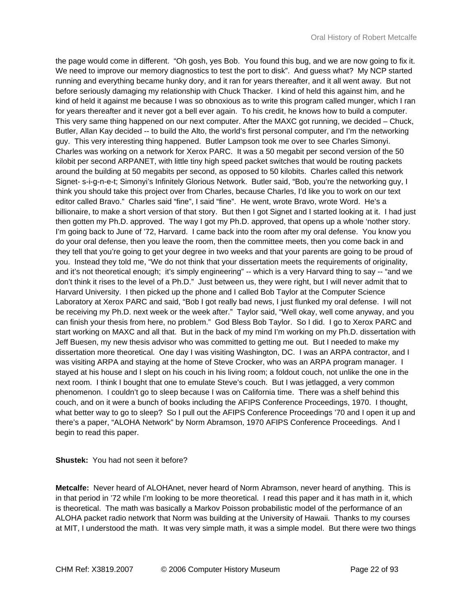the page would come in different. "Oh gosh, yes Bob. You found this bug, and we are now going to fix it. We need to improve our memory diagnostics to test the port to disk". And guess what? My NCP started running and everything became hunky dory, and it ran for years thereafter, and it all went away. But not before seriously damaging my relationship with Chuck Thacker. I kind of held this against him, and he kind of held it against me because I was so obnoxious as to write this program called munger, which I ran for years thereafter and it never got a bell ever again. To his credit, he knows how to build a computer. This very same thing happened on our next computer. After the MAXC got running, we decided – Chuck, Butler, Allan Kay decided -- to build the Alto, the world's first personal computer, and I'm the networking guy. This very interesting thing happened. Butler Lampson took me over to see Charles Simonyi. Charles was working on a network for Xerox PARC. It was a 50 megabit per second version of the 50 kilobit per second ARPANET, with little tiny high speed packet switches that would be routing packets around the building at 50 megabits per second, as opposed to 50 kilobits. Charles called this network Signet- s-i-g-n-e-t; Simonyi's Infinitely Glorious Network. Butler said, "Bob, you're the networking guy, I think you should take this project over from Charles, because Charles, I'd like you to work on our text editor called Bravo." Charles said "fine", I said "fine". He went, wrote Bravo, wrote Word. He's a billionaire, to make a short version of that story. But then I got Signet and I started looking at it. I had just then gotten my Ph.D. approved. The way I got my Ph.D. approved, that opens up a whole 'nother story. I'm going back to June of '72, Harvard. I came back into the room after my oral defense. You know you do your oral defense, then you leave the room, then the committee meets, then you come back in and they tell that you're going to get your degree in two weeks and that your parents are going to be proud of you. Instead they told me, "We do not think that your dissertation meets the requirements of originality, and it's not theoretical enough; it's simply engineering" -- which is a very Harvard thing to say -- "and we don't think it rises to the level of a Ph.D." Just between us, they were right, but I will never admit that to Harvard University. I then picked up the phone and I called Bob Taylor at the Computer Science Laboratory at Xerox PARC and said, "Bob I got really bad news, I just flunked my oral defense. I will not be receiving my Ph.D. next week or the week after." Taylor said, "Well okay, well come anyway, and you can finish your thesis from here, no problem." God Bless Bob Taylor. So I did. I go to Xerox PARC and start working on MAXC and all that. But in the back of my mind I'm working on my Ph.D. dissertation with Jeff Buesen, my new thesis advisor who was committed to getting me out. But I needed to make my dissertation more theoretical. One day I was visiting Washington, DC. I was an ARPA contractor, and I was visiting ARPA and staying at the home of Steve Crocker, who was an ARPA program manager. I stayed at his house and I slept on his couch in his living room; a foldout couch, not unlike the one in the next room. I think I bought that one to emulate Steve's couch. But I was jetlagged, a very common phenomenon. I couldn't go to sleep because I was on California time. There was a shelf behind this couch, and on it were a bunch of books including the AFIPS Conference Proceedings, 1970. I thought, what better way to go to sleep? So I pull out the AFIPS Conference Proceedings '70 and I open it up and there's a paper, "ALOHA Network" by Norm Abramson, 1970 AFIPS Conference Proceedings. And I begin to read this paper.

**Shustek:** You had not seen it before?

**Metcalfe:** Never heard of ALOHAnet, never heard of Norm Abramson, never heard of anything. This is in that period in '72 while I'm looking to be more theoretical. I read this paper and it has math in it, which is theoretical. The math was basically a Markov Poisson probabilistic model of the performance of an ALOHA packet radio network that Norm was building at the University of Hawaii. Thanks to my courses at MIT, I understood the math. It was very simple math, it was a simple model. But there were two things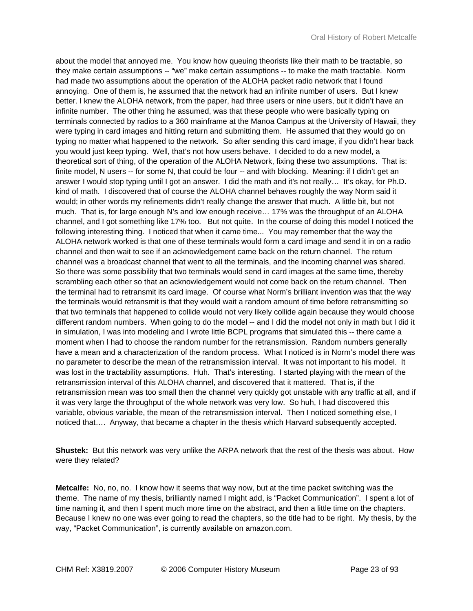about the model that annoyed me. You know how queuing theorists like their math to be tractable, so they make certain assumptions -- "we" make certain assumptions -- to make the math tractable. Norm had made two assumptions about the operation of the ALOHA packet radio network that I found annoying. One of them is, he assumed that the network had an infinite number of users. But I knew better. I knew the ALOHA network, from the paper, had three users or nine users, but it didn't have an infinite number. The other thing he assumed, was that these people who were basically typing on terminals connected by radios to a 360 mainframe at the Manoa Campus at the University of Hawaii, they were typing in card images and hitting return and submitting them. He assumed that they would go on typing no matter what happened to the network. So after sending this card image, if you didn't hear back you would just keep typing. Well, that's not how users behave. I decided to do a new model, a theoretical sort of thing, of the operation of the ALOHA Network, fixing these two assumptions. That is: finite model, N users -- for some N, that could be four -- and with blocking. Meaning: if I didn't get an answer I would stop typing until I got an answer. I did the math and it's not really… It's okay, for Ph.D. kind of math. I discovered that of course the ALOHA channel behaves roughly the way Norm said it would; in other words my refinements didn't really change the answer that much. A little bit, but not much. That is, for large enough N's and low enough receive… 17% was the throughput of an ALOHA channel, and I got something like 17% too. But not quite. In the course of doing this model I noticed the following interesting thing. I noticed that when it came time... You may remember that the way the ALOHA network worked is that one of these terminals would form a card image and send it in on a radio channel and then wait to see if an acknowledgement came back on the return channel. The return channel was a broadcast channel that went to all the terminals, and the incoming channel was shared. So there was some possibility that two terminals would send in card images at the same time, thereby scrambling each other so that an acknowledgement would not come back on the return channel. Then the terminal had to retransmit its card image. Of course what Norm's brilliant invention was that the way the terminals would retransmit is that they would wait a random amount of time before retransmitting so that two terminals that happened to collide would not very likely collide again because they would choose different random numbers. When going to do the model -- and I did the model not only in math but I did it in simulation, I was into modeling and I wrote little BCPL programs that simulated this -- there came a moment when I had to choose the random number for the retransmission. Random numbers generally have a mean and a characterization of the random process. What I noticed is in Norm's model there was no parameter to describe the mean of the retransmission interval. It was not important to his model. It was lost in the tractability assumptions. Huh. That's interesting. I started playing with the mean of the retransmission interval of this ALOHA channel, and discovered that it mattered. That is, if the retransmission mean was too small then the channel very quickly got unstable with any traffic at all, and if it was very large the throughput of the whole network was very low. So huh, I had discovered this variable, obvious variable, the mean of the retransmission interval. Then I noticed something else, I noticed that…. Anyway, that became a chapter in the thesis which Harvard subsequently accepted.

**Shustek:** But this network was very unlike the ARPA network that the rest of the thesis was about. How were they related?

**Metcalfe:** No, no, no. I know how it seems that way now, but at the time packet switching was the theme. The name of my thesis, brilliantly named I might add, is "Packet Communication". I spent a lot of time naming it, and then I spent much more time on the abstract, and then a little time on the chapters. Because I knew no one was ever going to read the chapters, so the title had to be right. My thesis, by the way, "Packet Communication", is currently available on amazon.com.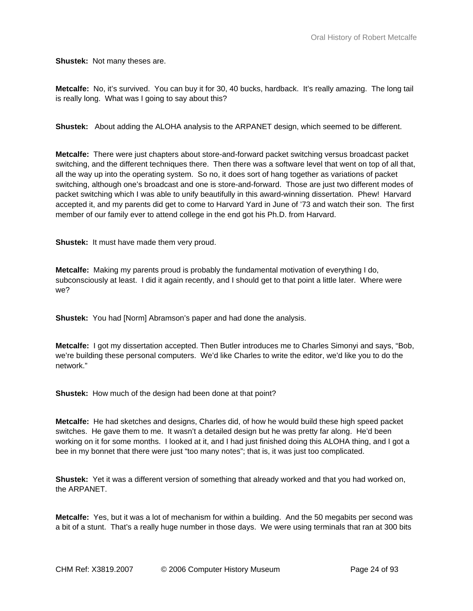**Shustek:** Not many theses are.

**Metcalfe:** No, it's survived. You can buy it for 30, 40 bucks, hardback. It's really amazing. The long tail is really long. What was I going to say about this?

**Shustek:** About adding the ALOHA analysis to the ARPANET design, which seemed to be different.

**Metcalfe:** There were just chapters about store-and-forward packet switching versus broadcast packet switching, and the different techniques there. Then there was a software level that went on top of all that, all the way up into the operating system. So no, it does sort of hang together as variations of packet switching, although one's broadcast and one is store-and-forward. Those are just two different modes of packet switching which I was able to unify beautifully in this award-winning dissertation. Phew! Harvard accepted it, and my parents did get to come to Harvard Yard in June of '73 and watch their son. The first member of our family ever to attend college in the end got his Ph.D. from Harvard.

**Shustek:** It must have made them very proud.

**Metcalfe:** Making my parents proud is probably the fundamental motivation of everything I do, subconsciously at least. I did it again recently, and I should get to that point a little later. Where were we?

**Shustek:** You had [Norm] Abramson's paper and had done the analysis.

**Metcalfe:** I got my dissertation accepted. Then Butler introduces me to Charles Simonyi and says, "Bob, we're building these personal computers. We'd like Charles to write the editor, we'd like you to do the network."

**Shustek:** How much of the design had been done at that point?

**Metcalfe:** He had sketches and designs, Charles did, of how he would build these high speed packet switches. He gave them to me. It wasn't a detailed design but he was pretty far along. He'd been working on it for some months. I looked at it, and I had just finished doing this ALOHA thing, and I got a bee in my bonnet that there were just "too many notes"; that is, it was just too complicated.

**Shustek:** Yet it was a different version of something that already worked and that you had worked on, the ARPANET.

**Metcalfe:** Yes, but it was a lot of mechanism for within a building. And the 50 megabits per second was a bit of a stunt. That's a really huge number in those days. We were using terminals that ran at 300 bits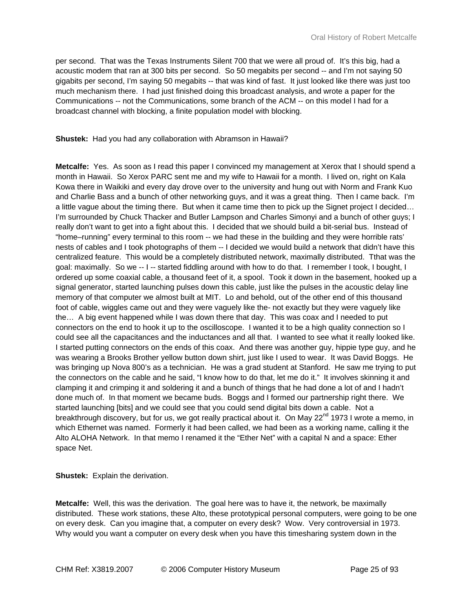per second. That was the Texas Instruments Silent 700 that we were all proud of. It's this big, had a acoustic modem that ran at 300 bits per second. So 50 megabits per second -- and I'm not saying 50 gigabits per second, I'm saying 50 megabits -- that was kind of fast. It just looked like there was just too much mechanism there. I had just finished doing this broadcast analysis, and wrote a paper for the Communications -- not the Communications, some branch of the ACM -- on this model I had for a broadcast channel with blocking, a finite population model with blocking.

**Shustek:** Had you had any collaboration with Abramson in Hawaii?

**Metcalfe:** Yes. As soon as I read this paper I convinced my management at Xerox that I should spend a month in Hawaii. So Xerox PARC sent me and my wife to Hawaii for a month. I lived on, right on Kala Kowa there in Waikiki and every day drove over to the university and hung out with Norm and Frank Kuo and Charlie Bass and a bunch of other networking guys, and it was a great thing. Then I came back. I'm a little vague about the timing there. But when it came time then to pick up the Signet project I decided… I'm surrounded by Chuck Thacker and Butler Lampson and Charles Simonyi and a bunch of other guys; I really don't want to get into a fight about this. I decided that we should build a bit-serial bus. Instead of "home–running" every terminal to this room -- we had these in the building and they were horrible rats' nests of cables and I took photographs of them -- I decided we would build a network that didn't have this centralized feature. This would be a completely distributed network, maximally distributed. Tthat was the goal: maximally. So we -- I -- started fiddling around with how to do that. I remember I took, I bought, I ordered up some coaxial cable, a thousand feet of it, a spool. Took it down in the basement, hooked up a signal generator, started launching pulses down this cable, just like the pulses in the acoustic delay line memory of that computer we almost built at MIT. Lo and behold, out of the other end of this thousand foot of cable, wiggles came out and they were vaguely like the- not exactly but they were vaguely like the… A big event happened while I was down there that day. This was coax and I needed to put connectors on the end to hook it up to the oscilloscope. I wanted it to be a high quality connection so I could see all the capacitances and the inductances and all that. I wanted to see what it really looked like. I started putting connectors on the ends of this coax. And there was another guy, hippie type guy, and he was wearing a Brooks Brother yellow button down shirt, just like I used to wear. It was David Boggs. He was bringing up Nova 800's as a technician. He was a grad student at Stanford. He saw me trying to put the connectors on the cable and he said, "I know how to do that, let me do it." It involves skinning it and clamping it and crimping it and soldering it and a bunch of things that he had done a lot of and I hadn't done much of. In that moment we became buds. Boggs and I formed our partnership right there. We started launching [bits] and we could see that you could send digital bits down a cable. Not a breakthrough discovery, but for us, we got really practical about it. On May 22<sup>nd</sup> 1973 I wrote a memo, in which Ethernet was named. Formerly it had been called, we had been as a working name, calling it the Alto ALOHA Network. In that memo I renamed it the "Ether Net" with a capital N and a space: Ether space Net.

**Shustek:** Explain the derivation.

**Metcalfe:** Well, this was the derivation. The goal here was to have it, the network, be maximally distributed. These work stations, these Alto, these prototypical personal computers, were going to be one on every desk. Can you imagine that, a computer on every desk? Wow. Very controversial in 1973. Why would you want a computer on every desk when you have this timesharing system down in the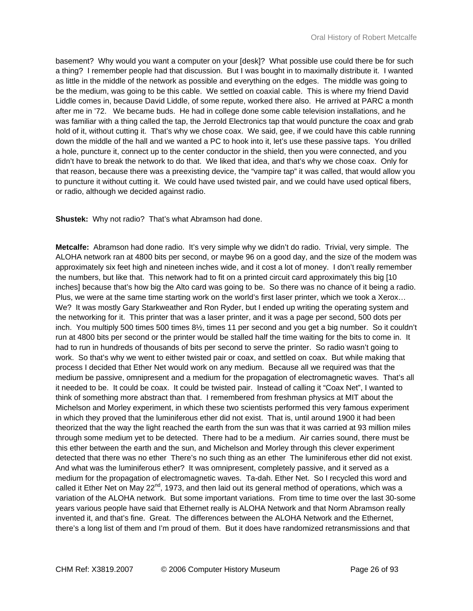basement? Why would you want a computer on your [desk]? What possible use could there be for such a thing? I remember people had that discussion. But I was bought in to maximally distribute it. I wanted as little in the middle of the network as possible and everything on the edges. The middle was going to be the medium, was going to be this cable. We settled on coaxial cable. This is where my friend David Liddle comes in, because David Liddle, of some repute, worked there also. He arrived at PARC a month after me in '72. We became buds. He had in college done some cable television installations, and he was familiar with a thing called the tap, the Jerrold Electronics tap that would puncture the coax and grab hold of it, without cutting it. That's why we chose coax. We said, gee, if we could have this cable running down the middle of the hall and we wanted a PC to hook into it, let's use these passive taps. You drilled a hole, puncture it, connect up to the center conductor in the shield, then you were connected, and you didn't have to break the network to do that. We liked that idea, and that's why we chose coax. Only for that reason, because there was a preexisting device, the "vampire tap" it was called, that would allow you to puncture it without cutting it. We could have used twisted pair, and we could have used optical fibers, or radio, although we decided against radio.

**Shustek:** Why not radio? That's what Abramson had done.

**Metcalfe:** Abramson had done radio. It's very simple why we didn't do radio. Trivial, very simple. The ALOHA network ran at 4800 bits per second, or maybe 96 on a good day, and the size of the modem was approximately six feet high and nineteen inches wide, and it cost a lot of money. I don't really remember the numbers, but like that. This network had to fit on a printed circuit card approximately this big [10 inches] because that's how big the Alto card was going to be. So there was no chance of it being a radio. Plus, we were at the same time starting work on the world's first laser printer, which we took a Xerox… We? It was mostly Gary Starkweather and Ron Ryder, but I ended up writing the operating system and the networking for it. This printer that was a laser printer, and it was a page per second, 500 dots per inch. You multiply 500 times 500 times 8½, times 11 per second and you get a big number. So it couldn't run at 4800 bits per second or the printer would be stalled half the time waiting for the bits to come in. It had to run in hundreds of thousands of bits per second to serve the printer. So radio wasn't going to work. So that's why we went to either twisted pair or coax, and settled on coax. But while making that process I decided that Ether Net would work on any medium. Because all we required was that the medium be passive, omnipresent and a medium for the propagation of electromagnetic waves. That's all it needed to be. It could be coax. It could be twisted pair. Instead of calling it "Coax Net", I wanted to think of something more abstract than that. I remembered from freshman physics at MIT about the Michelson and Morley experiment, in which these two scientists performed this very famous experiment in which they proved that the luminiferous ether did not exist. That is, until around 1900 it had been theorized that the way the light reached the earth from the sun was that it was carried at 93 million miles through some medium yet to be detected. There had to be a medium. Air carries sound, there must be this ether between the earth and the sun, and Michelson and Morley through this clever experiment detected that there was no ether There's no such thing as an ether The luminiferous ether did not exist. And what was the luminiferous ether? It was omnipresent, completely passive, and it served as a medium for the propagation of electromagnetic waves. Ta-dah. Ether Net. So I recycled this word and called it Ether Net on May  $22^{nd}$ , 1973, and then laid out its general method of operations, which was a variation of the ALOHA network. But some important variations. From time to time over the last 30-some years various people have said that Ethernet really is ALOHA Network and that Norm Abramson really invented it, and that's fine. Great. The differences between the ALOHA Network and the Ethernet, there's a long list of them and I'm proud of them. But it does have randomized retransmissions and that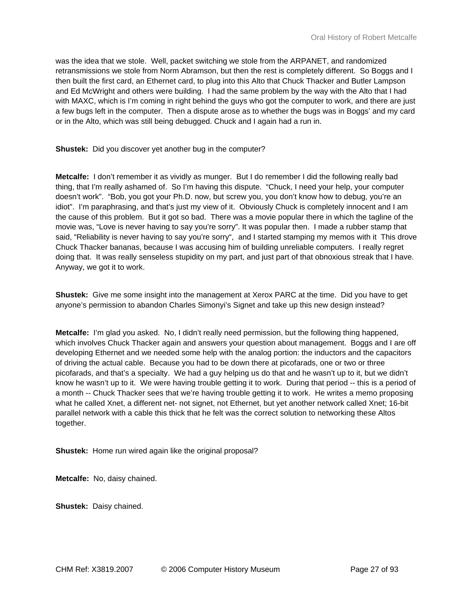was the idea that we stole. Well, packet switching we stole from the ARPANET, and randomized retransmissions we stole from Norm Abramson, but then the rest is completely different. So Boggs and I then built the first card, an Ethernet card, to plug into this Alto that Chuck Thacker and Butler Lampson and Ed McWright and others were building. I had the same problem by the way with the Alto that I had with MAXC, which is I'm coming in right behind the guys who got the computer to work, and there are just a few bugs left in the computer. Then a dispute arose as to whether the bugs was in Boggs' and my card or in the Alto, which was still being debugged. Chuck and I again had a run in.

**Shustek:** Did you discover yet another bug in the computer?

**Metcalfe:** I don't remember it as vividly as munger. But I do remember I did the following really bad thing, that I'm really ashamed of. So I'm having this dispute. "Chuck, I need your help, your computer doesn't work". "Bob, you got your Ph.D. now, but screw you, you don't know how to debug, you're an idiot". I'm paraphrasing, and that's just my view of it. Obviously Chuck is completely innocent and I am the cause of this problem. But it got so bad. There was a movie popular there in which the tagline of the movie was, "Love is never having to say you're sorry". It was popular then. I made a rubber stamp that said, "Reliability is never having to say you're sorry", and I started stamping my memos with it This drove Chuck Thacker bananas, because I was accusing him of building unreliable computers. I really regret doing that. It was really senseless stupidity on my part, and just part of that obnoxious streak that I have. Anyway, we got it to work.

**Shustek:** Give me some insight into the management at Xerox PARC at the time. Did you have to get anyone's permission to abandon Charles Simonyi's Signet and take up this new design instead?

**Metcalfe:** I'm glad you asked. No, I didn't really need permission, but the following thing happened, which involves Chuck Thacker again and answers your question about management. Boggs and I are off developing Ethernet and we needed some help with the analog portion: the inductors and the capacitors of driving the actual cable. Because you had to be down there at picofarads, one or two or three picofarads, and that's a specialty. We had a guy helping us do that and he wasn't up to it, but we didn't know he wasn't up to it. We were having trouble getting it to work. During that period -- this is a period of a month -- Chuck Thacker sees that we're having trouble getting it to work. He writes a memo proposing what he called Xnet, a different net- not signet, not Ethernet, but yet another network called Xnet; 16-bit parallel network with a cable this thick that he felt was the correct solution to networking these Altos together.

**Shustek:** Home run wired again like the original proposal?

**Metcalfe:** No, daisy chained.

**Shustek:** Daisy chained.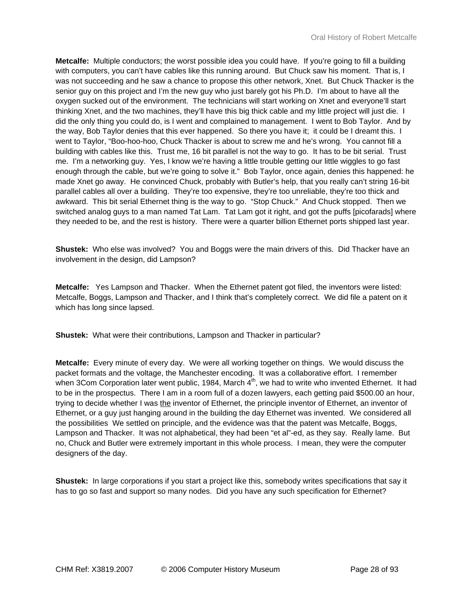**Metcalfe:** Multiple conductors; the worst possible idea you could have. If you're going to fill a building with computers, you can't have cables like this running around. But Chuck saw his moment. That is, I was not succeeding and he saw a chance to propose this other network, Xnet. But Chuck Thacker is the senior guy on this project and I'm the new guy who just barely got his Ph.D. I'm about to have all the oxygen sucked out of the environment. The technicians will start working on Xnet and everyone'll start thinking Xnet, and the two machines, they'll have this big thick cable and my little project will just die. I did the only thing you could do, is I went and complained to management. I went to Bob Taylor. And by the way, Bob Taylor denies that this ever happened. So there you have it; it could be I dreamt this. I went to Taylor, "Boo-hoo-hoo, Chuck Thacker is about to screw me and he's wrong. You cannot fill a building with cables like this. Trust me, 16 bit parallel is not the way to go. It has to be bit serial. Trust me. I'm a networking guy. Yes, I know we're having a little trouble getting our little wiggles to go fast enough through the cable, but we're going to solve it." Bob Taylor, once again, denies this happened: he made Xnet go away. He convinced Chuck, probably with Butler's help, that you really can't string 16-bit parallel cables all over a building. They're too expensive, they're too unreliable, they're too thick and awkward. This bit serial Ethernet thing is the way to go. "Stop Chuck." And Chuck stopped. Then we switched analog guys to a man named Tat Lam. Tat Lam got it right, and got the puffs [picofarads] where they needed to be, and the rest is history. There were a quarter billion Ethernet ports shipped last year.

**Shustek:** Who else was involved? You and Boggs were the main drivers of this. Did Thacker have an involvement in the design, did Lampson?

**Metcalfe:** Yes Lampson and Thacker. When the Ethernet patent got filed, the inventors were listed: Metcalfe, Boggs, Lampson and Thacker, and I think that's completely correct. We did file a patent on it which has long since lapsed.

**Shustek:** What were their contributions, Lampson and Thacker in particular?

**Metcalfe:** Every minute of every day. We were all working together on things. We would discuss the packet formats and the voltage, the Manchester encoding. It was a collaborative effort. I remember when 3Com Corporation later went public, 1984, March  $4<sup>th</sup>$ , we had to write who invented Ethernet. It had to be in the prospectus. There I am in a room full of a dozen lawyers, each getting paid \$500.00 an hour, trying to decide whether I was the inventor of Ethernet, the principle inventor of Ethernet, an inventor of Ethernet, or a guy just hanging around in the building the day Ethernet was invented. We considered all the possibilities We settled on principle, and the evidence was that the patent was Metcalfe, Boggs, Lampson and Thacker. It was not alphabetical, they had been "et al"-ed, as they say. Really lame. But no, Chuck and Butler were extremely important in this whole process. I mean, they were the computer designers of the day.

**Shustek:** In large corporations if you start a project like this, somebody writes specifications that say it has to go so fast and support so many nodes. Did you have any such specification for Ethernet?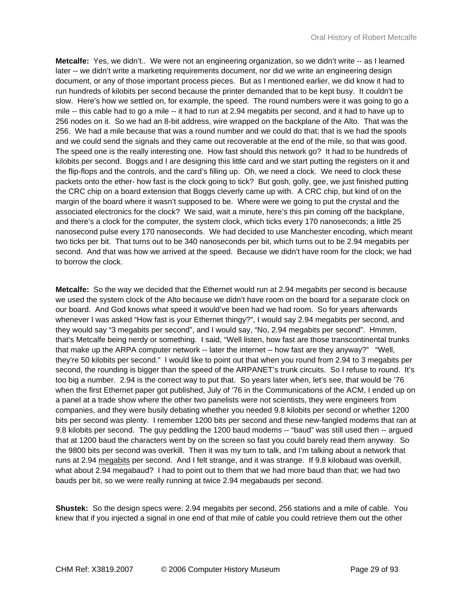**Metcalfe:** Yes, we didn't.. We were not an engineering organization, so we didn't write -- as I learned later -- we didn't write a marketing requirements document, nor did we write an engineering design document, or any of those important process pieces. But as I mentioned earlier, we did know it had to run hundreds of kilobits per second because the printer demanded that to be kept busy. It couldn't be slow. Here's how we settled on, for example, the speed. The round numbers were it was going to go a mile -- this cable had to go a mile -- it had to run at 2.94 megabits per second, and it had to have up to 256 nodes on it. So we had an 8-bit address, wire wrapped on the backplane of the Alto. That was the 256. We had a mile because that was a round number and we could do that; that is we had the spools and we could send the signals and they came out recoverable at the end of the mile, so that was good. The speed one is the really interesting one. How fast should this network go? It had to be hundreds of kilobits per second. Boggs and I are designing this little card and we start putting the registers on it and the flip-flops and the controls, and the card's filling up. Oh, we need a clock. We need to clock these packets onto the ether- how fast is the clock going to tick? But gosh, golly, gee, we just finished putting the CRC chip on a board extension that Boggs cleverly came up with. A CRC chip, but kind of on the margin of the board where it wasn't supposed to be. Where were we going to put the crystal and the associated electronics for the clock? We said, wait a minute, here's this pin coming off the backplane, and there's a clock for the computer, the system clock, which ticks every 170 nanoseconds; a little 25 nanosecond pulse every 170 nanoseconds. We had decided to use Manchester encoding, which meant two ticks per bit. That turns out to be 340 nanoseconds per bit, which turns out to be 2.94 megabits per second. And that was how we arrived at the speed. Because we didn't have room for the clock; we had to borrow the clock.

**Metcalfe:** So the way we decided that the Ethernet would run at 2.94 megabits per second is because we used the system clock of the Alto because we didn't have room on the board for a separate clock on our board. And God knows what speed it would've been had we had room. So for years afterwards whenever I was asked "How fast is your Ethernet thingy?", I would say 2.94 megabits per second, and they would say "3 megabits per second", and I would say, "No, 2.94 megabits per second". Hmmm, that's Metcalfe being nerdy or something. I said, "Well listen, how fast are those transcontinental trunks that make up the ARPA computer network -- later the internet -- how fast are they anyway?" "Well, they're 50 kilobits per second." I would like to point out that when you round from 2.94 to 3 megabits per second, the rounding is bigger than the speed of the ARPANET's trunk circuits. So I refuse to round. It's too big a number. 2.94 is the correct way to put that. So years later when, let's see, that would be '76 when the first Ethernet paper got published, July of '76 in the Communications of the ACM, I ended up on a panel at a trade show where the other two panelists were not scientists, they were engineers from companies, and they were busily debating whether you needed 9.8 kilobits per second or whether 1200 bits per second was plenty. I remember 1200 bits per second and these new-fangled modems that ran at 9.8 kilobits per second. The guy peddling the 1200 baud modems -- "baud" was still used then -- argued that at 1200 baud the characters went by on the screen so fast you could barely read them anyway. So the 9800 bits per second was overkill. Then it was my turn to talk, and I'm talking about a network that runs at 2.94 megabits per second. And I felt strange, and it was strange. If 9.8 kilobaud was overkill, what about 2.94 megabaud? I had to point out to them that we had more baud than that; we had two bauds per bit, so we were really running at twice 2.94 megabauds per second.

**Shustek:** So the design specs were: 2.94 megabits per second, 256 stations and a mile of cable. You knew that if you injected a signal in one end of that mile of cable you could retrieve them out the other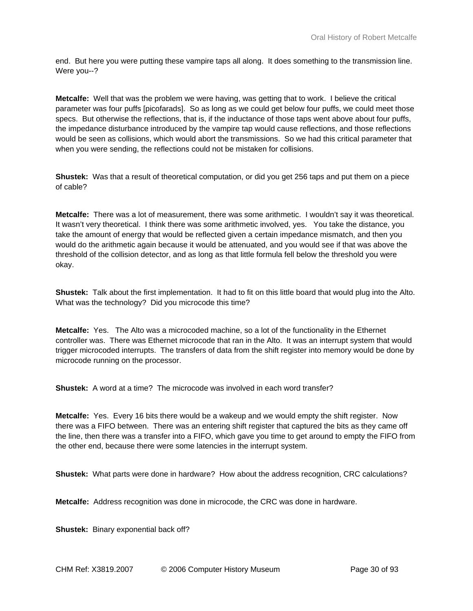end. But here you were putting these vampire taps all along. It does something to the transmission line. Were you--?

**Metcalfe:** Well that was the problem we were having, was getting that to work. I believe the critical parameter was four puffs [picofarads]. So as long as we could get below four puffs, we could meet those specs. But otherwise the reflections, that is, if the inductance of those taps went above about four puffs, the impedance disturbance introduced by the vampire tap would cause reflections, and those reflections would be seen as collisions, which would abort the transmissions. So we had this critical parameter that when you were sending, the reflections could not be mistaken for collisions.

**Shustek:** Was that a result of theoretical computation, or did you get 256 taps and put them on a piece of cable?

**Metcalfe:** There was a lot of measurement, there was some arithmetic. I wouldn't say it was theoretical. It wasn't very theoretical. I think there was some arithmetic involved, yes. You take the distance, you take the amount of energy that would be reflected given a certain impedance mismatch, and then you would do the arithmetic again because it would be attenuated, and you would see if that was above the threshold of the collision detector, and as long as that little formula fell below the threshold you were okay.

**Shustek:** Talk about the first implementation. It had to fit on this little board that would plug into the Alto. What was the technology? Did you microcode this time?

**Metcalfe:** Yes. The Alto was a microcoded machine, so a lot of the functionality in the Ethernet controller was. There was Ethernet microcode that ran in the Alto. It was an interrupt system that would trigger microcoded interrupts. The transfers of data from the shift register into memory would be done by microcode running on the processor.

**Shustek:** A word at a time? The microcode was involved in each word transfer?

**Metcalfe:** Yes. Every 16 bits there would be a wakeup and we would empty the shift register. Now there was a FIFO between. There was an entering shift register that captured the bits as they came off the line, then there was a transfer into a FIFO, which gave you time to get around to empty the FIFO from the other end, because there were some latencies in the interrupt system.

**Shustek:** What parts were done in hardware? How about the address recognition, CRC calculations?

**Metcalfe:** Address recognition was done in microcode, the CRC was done in hardware.

**Shustek:** Binary exponential back off?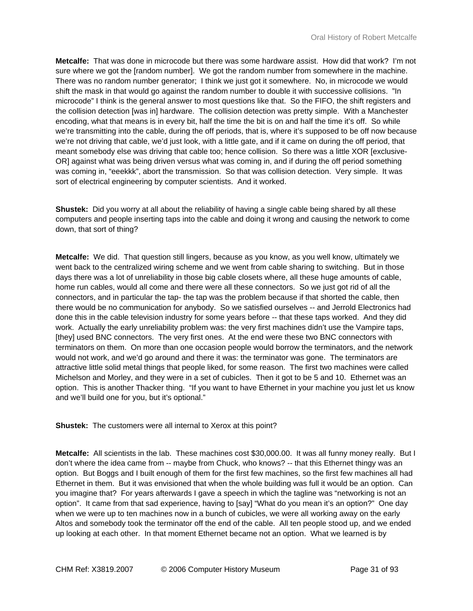**Metcalfe:** That was done in microcode but there was some hardware assist. How did that work? I'm not sure where we got the [random number]. We got the random number from somewhere in the machine. There was no random number generator; I think we just got it somewhere. No, in microcode we would shift the mask in that would go against the random number to double it with successive collisions. "In microcode" I think is the general answer to most questions like that. So the FIFO, the shift registers and the collision detection [was in] hardware. The collision detection was pretty simple. With a Manchester encoding, what that means is in every bit, half the time the bit is on and half the time it's off. So while we're transmitting into the cable, during the off periods, that is, where it's supposed to be off now because we're not driving that cable, we'd just look, with a little gate, and if it came on during the off period, that meant somebody else was driving that cable too; hence collision. So there was a little XOR [exclusive-OR] against what was being driven versus what was coming in, and if during the off period something was coming in, "eeekkk", abort the transmission. So that was collision detection. Very simple. It was sort of electrical engineering by computer scientists. And it worked.

**Shustek:** Did you worry at all about the reliability of having a single cable being shared by all these computers and people inserting taps into the cable and doing it wrong and causing the network to come down, that sort of thing?

**Metcalfe:** We did. That question still lingers, because as you know, as you well know, ultimately we went back to the centralized wiring scheme and we went from cable sharing to switching. But in those days there was a lot of unreliability in those big cable closets where, all these huge amounts of cable, home run cables, would all come and there were all these connectors. So we just got rid of all the connectors, and in particular the tap- the tap was the problem because if that shorted the cable, then there would be no communication for anybody. So we satisfied ourselves -- and Jerrold Electronics had done this in the cable television industry for some years before -- that these taps worked. And they did work. Actually the early unreliability problem was: the very first machines didn't use the Vampire taps, [they] used BNC connectors. The very first ones. At the end were these two BNC connectors with terminators on them. On more than one occasion people would borrow the terminators, and the network would not work, and we'd go around and there it was: the terminator was gone. The terminators are attractive little solid metal things that people liked, for some reason. The first two machines were called Michelson and Morley, and they were in a set of cubicles. Then it got to be 5 and 10. Ethernet was an option. This is another Thacker thing. "If you want to have Ethernet in your machine you just let us know and we'll build one for you, but it's optional."

**Shustek:** The customers were all internal to Xerox at this point?

**Metcalfe:** All scientists in the lab. These machines cost \$30,000.00. It was all funny money really. But I don't where the idea came from -- maybe from Chuck, who knows? -- that this Ethernet thingy was an option. But Boggs and I built enough of them for the first few machines, so the first few machines all had Ethernet in them. But it was envisioned that when the whole building was full it would be an option. Can you imagine that? For years afterwards I gave a speech in which the tagline was "networking is not an option". It came from that sad experience, having to [say] "What do you mean it's an option?" One day when we were up to ten machines now in a bunch of cubicles, we were all working away on the early Altos and somebody took the terminator off the end of the cable. All ten people stood up, and we ended up looking at each other. In that moment Ethernet became not an option. What we learned is by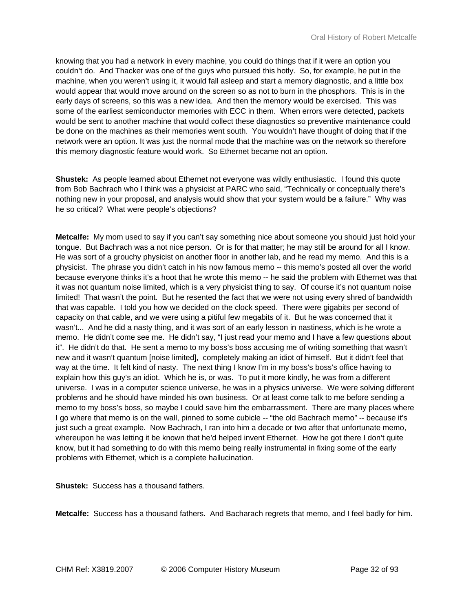knowing that you had a network in every machine, you could do things that if it were an option you couldn't do. And Thacker was one of the guys who pursued this hotly. So, for example, he put in the machine, when you weren't using it, it would fall asleep and start a memory diagnostic, and a little box would appear that would move around on the screen so as not to burn in the phosphors. This is in the early days of screens, so this was a new idea. And then the memory would be exercised. This was some of the earliest semiconductor memories with ECC in them. When errors were detected, packets would be sent to another machine that would collect these diagnostics so preventive maintenance could be done on the machines as their memories went south. You wouldn't have thought of doing that if the network were an option. It was just the normal mode that the machine was on the network so therefore this memory diagnostic feature would work. So Ethernet became not an option.

**Shustek:** As people learned about Ethernet not everyone was wildly enthusiastic. I found this quote from Bob Bachrach who I think was a physicist at PARC who said, "Technically or conceptually there's nothing new in your proposal, and analysis would show that your system would be a failure." Why was he so critical? What were people's objections?

**Metcalfe:** My mom used to say if you can't say something nice about someone you should just hold your tongue. But Bachrach was a not nice person. Or is for that matter; he may still be around for all I know. He was sort of a grouchy physicist on another floor in another lab, and he read my memo. And this is a physicist. The phrase you didn't catch in his now famous memo -- this memo's posted all over the world because everyone thinks it's a hoot that he wrote this memo -- he said the problem with Ethernet was that it was not quantum noise limited, which is a very physicist thing to say. Of course it's not quantum noise limited! That wasn't the point. But he resented the fact that we were not using every shred of bandwidth that was capable. I told you how we decided on the clock speed. There were gigabits per second of capacity on that cable, and we were using a pitiful few megabits of it. But he was concerned that it wasn't... And he did a nasty thing, and it was sort of an early lesson in nastiness, which is he wrote a memo. He didn't come see me. He didn't say, "I just read your memo and I have a few questions about it". He didn't do that. He sent a memo to my boss's boss accusing me of writing something that wasn't new and it wasn't quantum [noise limited], completely making an idiot of himself. But it didn't feel that way at the time. It felt kind of nasty. The next thing I know I'm in my boss's boss's office having to explain how this guy's an idiot. Which he is, or was. To put it more kindly, he was from a different universe. I was in a computer science universe, he was in a physics universe. We were solving different problems and he should have minded his own business. Or at least come talk to me before sending a memo to my boss's boss, so maybe I could save him the embarrassment. There are many places where I go where that memo is on the wall, pinned to some cubicle -- "the old Bachrach memo" -- because it's just such a great example. Now Bachrach, I ran into him a decade or two after that unfortunate memo, whereupon he was letting it be known that he'd helped invent Ethernet. How he got there I don't quite know, but it had something to do with this memo being really instrumental in fixing some of the early problems with Ethernet, which is a complete hallucination.

**Shustek:** Success has a thousand fathers.

**Metcalfe:** Success has a thousand fathers. And Bacharach regrets that memo, and I feel badly for him.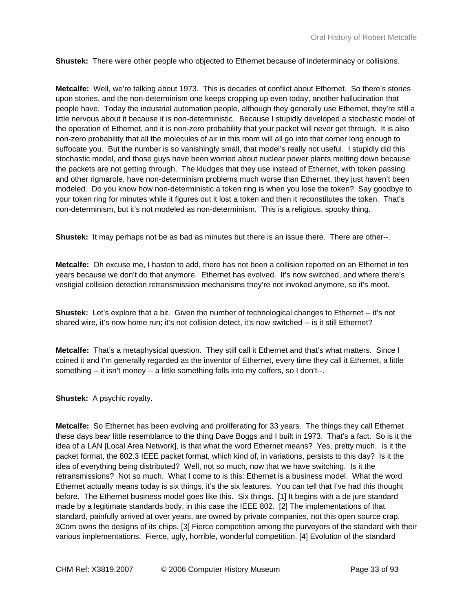**Shustek:** There were other people who objected to Ethernet because of indeterminacy or collisions.

**Metcalfe:** Well, we're talking about 1973. This is decades of conflict about Ethernet. So there's stories upon stories, and the non-determinism one keeps cropping up even today, another hallucination that people have. Today the industrial automation people, although they generally use Ethernet, they're still a little nervous about it because it is non-deterministic. Because I stupidly developed a stochastic model of the operation of Ethernet, and it is non-zero probability that your packet will never get through. It is also non-zero probability that all the molecules of air in this room will all go into that corner long enough to suffocate you. But the number is so vanishingly small, that model's really not useful. I stupidly did this stochastic model, and those guys have been worried about nuclear power plants melting down because the packets are not getting through. The kludges that they use instead of Ethernet, with token passing and other rigmarole, have non-determinism problems much worse than Ethernet, they just haven't been modeled. Do you know how non-deterministic a token ring is when you lose the token? Say goodbye to your token ring for minutes while it figures out it lost a token and then it reconstitutes the token. That's non-determinism, but it's not modeled as non-determinism. This is a religious, spooky thing.

**Shustek:** It may perhaps not be as bad as minutes but there is an issue there. There are other--.

**Metcalfe:** Oh excuse me, I hasten to add, there has not been a collision reported on an Ethernet in ten years because we don't do that anymore. Ethernet has evolved. It's now switched, and where there's vestigial collision detection retransmission mechanisms they're not invoked anymore, so it's moot.

**Shustek:** Let's explore that a bit. Given the number of technological changes to Ethernet -- it's not shared wire, it's now home run; it's not collision detect, it's now switched -- is it still Ethernet?

**Metcalfe:** That's a metaphysical question. They still call it Ethernet and that's what matters. Since I coined it and I'm generally regarded as the inventor of Ethernet, every time they call it Ethernet, a little something -- it isn't money -- a little something falls into my coffers, so I don't--.

**Shustek:** A psychic royalty.

**Metcalfe:** So Ethernet has been evolving and proliferating for 33 years. The things they call Ethernet these days bear little resemblance to the thing Dave Boggs and I built in 1973. That's a fact. So is it the idea of a LAN [Local Area Network], is that what the word Ethernet means? Yes, pretty much. Is it the packet format, the 802.3 IEEE packet format, which kind of, in variations, persists to this day? Is it the idea of everything being distributed? Well, not so much, now that we have switching. Is it the retransmissions? Not so much. What I come to is this: Ethernet is a business model. What the word Ethernet actually means today is six things, it's the six features. You can tell that I've had this thought before. The Ethernet business model goes like this. Six things. [1] It begins with a de jure standard made by a legitimate standards body, in this case the IEEE 802. [2] The implementations of that standard, painfully arrived at over years, are owned by private companies, not this open source crap. 3Com owns the designs of its chips. [3] Fierce competition among the purveyors of the standard with their various implementations. Fierce, ugly, horrible, wonderful competition. [4] Evolution of the standard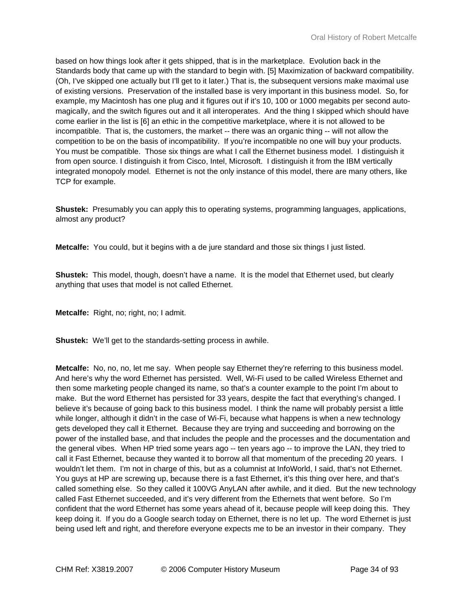based on how things look after it gets shipped, that is in the marketplace. Evolution back in the Standards body that came up with the standard to begin with. [5] Maximization of backward compatibility. (Oh, I've skipped one actually but I'll get to it later.) That is, the subsequent versions make maximal use of existing versions. Preservation of the installed base is very important in this business model. So, for example, my Macintosh has one plug and it figures out if it's 10, 100 or 1000 megabits per second automagically, and the switch figures out and it all interoperates. And the thing I skipped which should have come earlier in the list is [6] an ethic in the competitive marketplace, where it is not allowed to be incompatible. That is, the customers, the market -- there was an organic thing -- will not allow the competition to be on the basis of incompatibility. If you're incompatible no one will buy your products. You must be compatible. Those six things are what I call the Ethernet business model. I distinguish it from open source. I distinguish it from Cisco, Intel, Microsoft. I distinguish it from the IBM vertically integrated monopoly model. Ethernet is not the only instance of this model, there are many others, like TCP for example.

**Shustek:** Presumably you can apply this to operating systems, programming languages, applications, almost any product?

**Metcalfe:** You could, but it begins with a de jure standard and those six things I just listed.

**Shustek:** This model, though, doesn't have a name. It is the model that Ethernet used, but clearly anything that uses that model is not called Ethernet.

**Metcalfe:** Right, no; right, no; I admit.

**Shustek:** We'll get to the standards-setting process in awhile.

**Metcalfe:** No, no, no, let me say. When people say Ethernet they're referring to this business model. And here's why the word Ethernet has persisted. Well, Wi-Fi used to be called Wireless Ethernet and then some marketing people changed its name, so that's a counter example to the point I'm about to make. But the word Ethernet has persisted for 33 years, despite the fact that everything's changed. I believe it's because of going back to this business model. I think the name will probably persist a little while longer, although it didn't in the case of Wi-Fi, because what happens is when a new technology gets developed they call it Ethernet. Because they are trying and succeeding and borrowing on the power of the installed base, and that includes the people and the processes and the documentation and the general vibes. When HP tried some years ago -- ten years ago -- to improve the LAN, they tried to call it Fast Ethernet, because they wanted it to borrow all that momentum of the preceding 20 years. I wouldn't let them. I'm not in charge of this, but as a columnist at InfoWorld, I said, that's not Ethernet. You guys at HP are screwing up, because there is a fast Ethernet, it's this thing over here, and that's called something else. So they called it 100VG AnyLAN after awhile, and it died. But the new technology called Fast Ethernet succeeded, and it's very different from the Ethernets that went before. So I'm confident that the word Ethernet has some years ahead of it, because people will keep doing this. They keep doing it. If you do a Google search today on Ethernet, there is no let up. The word Ethernet is just being used left and right, and therefore everyone expects me to be an investor in their company. They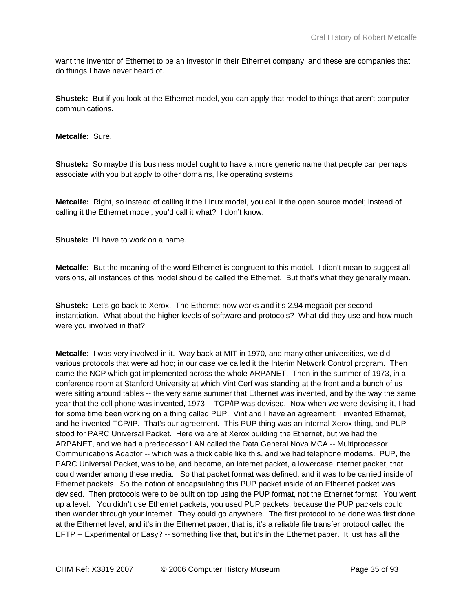want the inventor of Ethernet to be an investor in their Ethernet company, and these are companies that do things I have never heard of.

**Shustek:** But if you look at the Ethernet model, you can apply that model to things that aren't computer communications.

**Metcalfe:** Sure.

**Shustek:** So maybe this business model ought to have a more generic name that people can perhaps associate with you but apply to other domains, like operating systems.

**Metcalfe:** Right, so instead of calling it the Linux model, you call it the open source model; instead of calling it the Ethernet model, you'd call it what? I don't know.

**Shustek:** I'll have to work on a name.

**Metcalfe:** But the meaning of the word Ethernet is congruent to this model. I didn't mean to suggest all versions, all instances of this model should be called the Ethernet. But that's what they generally mean.

**Shustek:** Let's go back to Xerox. The Ethernet now works and it's 2.94 megabit per second instantiation. What about the higher levels of software and protocols? What did they use and how much were you involved in that?

**Metcalfe:** I was very involved in it. Way back at MIT in 1970, and many other universities, we did various protocols that were ad hoc; in our case we called it the Interim Network Control program. Then came the NCP which got implemented across the whole ARPANET. Then in the summer of 1973, in a conference room at Stanford University at which Vint Cerf was standing at the front and a bunch of us were sitting around tables -- the very same summer that Ethernet was invented, and by the way the same year that the cell phone was invented, 1973 -- TCP/IP was devised. Now when we were devising it, I had for some time been working on a thing called PUP. Vint and I have an agreement: I invented Ethernet, and he invented TCP/IP. That's our agreement. This PUP thing was an internal Xerox thing, and PUP stood for PARC Universal Packet. Here we are at Xerox building the Ethernet, but we had the ARPANET, and we had a predecessor LAN called the Data General Nova MCA -- Multiprocessor Communications Adaptor -- which was a thick cable like this, and we had telephone modems. PUP, the PARC Universal Packet, was to be, and became, an internet packet, a lowercase internet packet, that could wander among these media. So that packet format was defined, and it was to be carried inside of Ethernet packets. So the notion of encapsulating this PUP packet inside of an Ethernet packet was devised. Then protocols were to be built on top using the PUP format, not the Ethernet format. You went up a level. You didn't use Ethernet packets, you used PUP packets, because the PUP packets could then wander through your internet. They could go anywhere. The first protocol to be done was first done at the Ethernet level, and it's in the Ethernet paper; that is, it's a reliable file transfer protocol called the EFTP -- Experimental or Easy? -- something like that, but it's in the Ethernet paper. It just has all the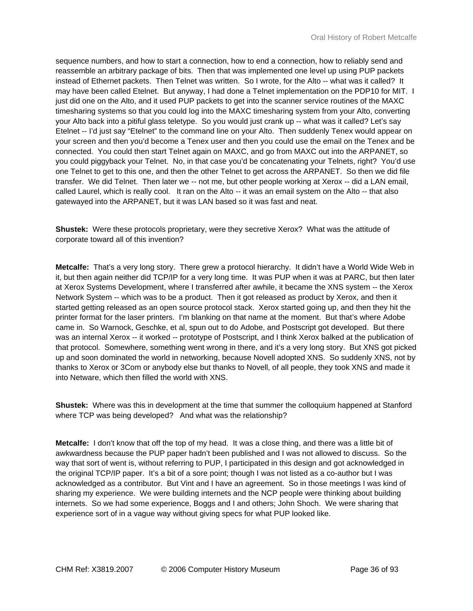sequence numbers, and how to start a connection, how to end a connection, how to reliably send and reassemble an arbitrary package of bits. Then that was implemented one level up using PUP packets instead of Ethernet packets. Then Telnet was written. So I wrote, for the Alto -- what was it called? It may have been called Etelnet. But anyway, I had done a Telnet implementation on the PDP10 for MIT. I just did one on the Alto, and it used PUP packets to get into the scanner service routines of the MAXC timesharing systems so that you could log into the MAXC timesharing system from your Alto, converting your Alto back into a pitiful glass teletype. So you would just crank up -- what was it called? Let's say Etelnet -- I'd just say "Etelnet" to the command line on your Alto. Then suddenly Tenex would appear on your screen and then you'd become a Tenex user and then you could use the email on the Tenex and be connected. You could then start Telnet again on MAXC, and go from MAXC out into the ARPANET, so you could piggyback your Telnet. No, in that case you'd be concatenating your Telnets, right? You'd use one Telnet to get to this one, and then the other Telnet to get across the ARPANET. So then we did file transfer. We did Telnet. Then later we -- not me, but other people working at Xerox -- did a LAN email, called Laurel, which is really cool. It ran on the Alto -- it was an email system on the Alto -- that also gatewayed into the ARPANET, but it was LAN based so it was fast and neat.

**Shustek:** Were these protocols proprietary, were they secretive Xerox? What was the attitude of corporate toward all of this invention?

**Metcalfe:** That's a very long story. There grew a protocol hierarchy. It didn't have a World Wide Web in it, but then again neither did TCP/IP for a very long time. It was PUP when it was at PARC, but then later at Xerox Systems Development, where I transferred after awhile, it became the XNS system -- the Xerox Network System -- which was to be a product. Then it got released as product by Xerox, and then it started getting released as an open source protocol stack. Xerox started going up, and then they hit the printer format for the laser printers. I'm blanking on that name at the moment. But that's where Adobe came in. So Warnock, Geschke, et al, spun out to do Adobe, and Postscript got developed. But there was an internal Xerox -- it worked -- prototype of Postscript, and I think Xerox balked at the publication of that protocol. Somewhere, something went wrong in there, and it's a very long story. But XNS got picked up and soon dominated the world in networking, because Novell adopted XNS. So suddenly XNS, not by thanks to Xerox or 3Com or anybody else but thanks to Novell, of all people, they took XNS and made it into Netware, which then filled the world with XNS.

**Shustek:** Where was this in development at the time that summer the colloquium happened at Stanford where TCP was being developed? And what was the relationship?

**Metcalfe:** I don't know that off the top of my head. It was a close thing, and there was a little bit of awkwardness because the PUP paper hadn't been published and I was not allowed to discuss. So the way that sort of went is, without referring to PUP, I participated in this design and got acknowledged in the original TCP/IP paper. It's a bit of a sore point; though I was not listed as a co-author but I was acknowledged as a contributor. But Vint and I have an agreement. So in those meetings I was kind of sharing my experience. We were building internets and the NCP people were thinking about building internets. So we had some experience, Boggs and I and others; John Shoch. We were sharing that experience sort of in a vague way without giving specs for what PUP looked like.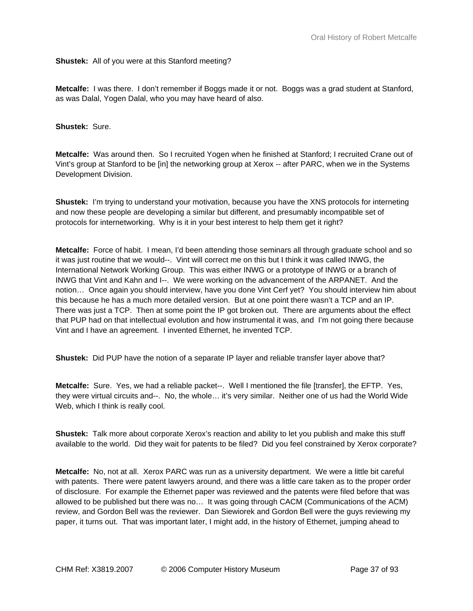**Shustek:** All of you were at this Stanford meeting?

**Metcalfe:** I was there. I don't remember if Boggs made it or not. Boggs was a grad student at Stanford, as was Dalal, Yogen Dalal, who you may have heard of also.

**Shustek:** Sure.

**Metcalfe:** Was around then. So I recruited Yogen when he finished at Stanford; I recruited Crane out of Vint's group at Stanford to be [in] the networking group at Xerox -- after PARC, when we in the Systems Development Division.

**Shustek:** I'm trying to understand your motivation, because you have the XNS protocols for interneting and now these people are developing a similar but different, and presumably incompatible set of protocols for internetworking. Why is it in your best interest to help them get it right?

**Metcalfe:** Force of habit. I mean, I'd been attending those seminars all through graduate school and so it was just routine that we would--. Vint will correct me on this but I think it was called INWG, the International Network Working Group. This was either INWG or a prototype of INWG or a branch of INWG that Vint and Kahn and I--. We were working on the advancement of the ARPANET. And the notion… Once again you should interview, have you done Vint Cerf yet? You should interview him about this because he has a much more detailed version. But at one point there wasn't a TCP and an IP. There was just a TCP. Then at some point the IP got broken out. There are arguments about the effect that PUP had on that intellectual evolution and how instrumental it was, and I'm not going there because Vint and I have an agreement. I invented Ethernet, he invented TCP.

**Shustek:** Did PUP have the notion of a separate IP layer and reliable transfer layer above that?

**Metcalfe:** Sure. Yes, we had a reliable packet--. Well I mentioned the file [transfer], the EFTP. Yes, they were virtual circuits and--. No, the whole… it's very similar. Neither one of us had the World Wide Web, which I think is really cool.

**Shustek:** Talk more about corporate Xerox's reaction and ability to let you publish and make this stuff available to the world. Did they wait for patents to be filed? Did you feel constrained by Xerox corporate?

**Metcalfe:** No, not at all. Xerox PARC was run as a university department. We were a little bit careful with patents. There were patent lawyers around, and there was a little care taken as to the proper order of disclosure. For example the Ethernet paper was reviewed and the patents were filed before that was allowed to be published but there was no… It was going through CACM (Communications of the ACM) review, and Gordon Bell was the reviewer. Dan Siewiorek and Gordon Bell were the guys reviewing my paper, it turns out. That was important later, I might add, in the history of Ethernet, jumping ahead to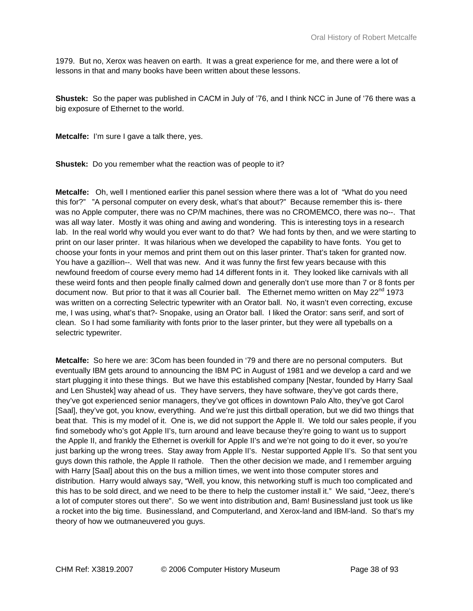1979. But no, Xerox was heaven on earth. It was a great experience for me, and there were a lot of lessons in that and many books have been written about these lessons.

**Shustek:** So the paper was published in CACM in July of '76, and I think NCC in June of '76 there was a big exposure of Ethernet to the world.

**Metcalfe:** I'm sure I gave a talk there, yes.

**Shustek:** Do you remember what the reaction was of people to it?

**Metcalfe:** Oh, well I mentioned earlier this panel session where there was a lot of "What do you need this for?" "A personal computer on every desk, what's that about?" Because remember this is- there was no Apple computer, there was no CP/M machines, there was no CROMEMCO, there was no--. That was all way later. Mostly it was ohing and awing and wondering. This is interesting toys in a research lab. In the real world why would you ever want to do that? We had fonts by then, and we were starting to print on our laser printer. It was hilarious when we developed the capability to have fonts. You get to choose your fonts in your memos and print them out on this laser printer. That's taken for granted now. You have a gazillion--. Well that was new. And it was funny the first few years because with this newfound freedom of course every memo had 14 different fonts in it. They looked like carnivals with all these weird fonts and then people finally calmed down and generally don't use more than 7 or 8 fonts per document now. But prior to that it was all Courier ball. The Ethernet memo written on May 22<sup>nd</sup> 1973 was written on a correcting Selectric typewriter with an Orator ball. No, it wasn't even correcting, excuse me, I was using, what's that?- Snopake, using an Orator ball. I liked the Orator: sans serif, and sort of clean. So I had some familiarity with fonts prior to the laser printer, but they were all typeballs on a selectric typewriter.

**Metcalfe:** So here we are: 3Com has been founded in '79 and there are no personal computers. But eventually IBM gets around to announcing the IBM PC in August of 1981 and we develop a card and we start plugging it into these things. But we have this established company [Nestar, founded by Harry Saal and Len Shustek] way ahead of us. They have servers, they have software, they've got cards there, they've got experienced senior managers, they've got offices in downtown Palo Alto, they've got Carol [Saal], they've got, you know, everything. And we're just this dirtball operation, but we did two things that beat that. This is my model of it. One is, we did not support the Apple II. We told our sales people, if you find somebody who's got Apple II's, turn around and leave because they're going to want us to support the Apple II, and frankly the Ethernet is overkill for Apple II's and we're not going to do it ever, so you're just barking up the wrong trees. Stay away from Apple II's. Nestar supported Apple II's. So that sent you guys down this rathole, the Apple II rathole. Then the other decision we made, and I remember arguing with Harry [Saal] about this on the bus a million times, we went into those computer stores and distribution. Harry would always say, "Well, you know, this networking stuff is much too complicated and this has to be sold direct, and we need to be there to help the customer install it." We said, "Jeez, there's a lot of computer stores out there". So we went into distribution and, Bam! Businessland just took us like a rocket into the big time. Businessland, and Computerland, and Xerox-land and IBM-land. So that's my theory of how we outmaneuvered you guys.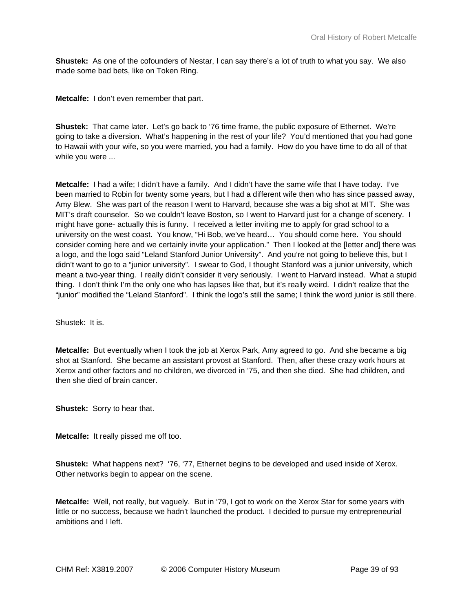**Shustek:** As one of the cofounders of Nestar, I can say there's a lot of truth to what you say. We also made some bad bets, like on Token Ring.

**Metcalfe:** I don't even remember that part.

**Shustek:** That came later. Let's go back to '76 time frame, the public exposure of Ethernet. We're going to take a diversion. What's happening in the rest of your life? You'd mentioned that you had gone to Hawaii with your wife, so you were married, you had a family. How do you have time to do all of that while you were ...

**Metcalfe:** I had a wife; I didn't have a family. And I didn't have the same wife that I have today. I've been married to Robin for twenty some years, but I had a different wife then who has since passed away, Amy Blew. She was part of the reason I went to Harvard, because she was a big shot at MIT. She was MIT's draft counselor. So we couldn't leave Boston, so I went to Harvard just for a change of scenery. I might have gone- actually this is funny. I received a letter inviting me to apply for grad school to a university on the west coast. You know, "Hi Bob, we've heard… You should come here. You should consider coming here and we certainly invite your application." Then I looked at the [letter and] there was a logo, and the logo said "Leland Stanford Junior University". And you're not going to believe this, but I didn't want to go to a "junior university". I swear to God, I thought Stanford was a junior university, which meant a two-year thing. I really didn't consider it very seriously. I went to Harvard instead. What a stupid thing. I don't think I'm the only one who has lapses like that, but it's really weird. I didn't realize that the "junior" modified the "Leland Stanford". I think the logo's still the same; I think the word junior is still there.

Shustek: It is.

**Metcalfe:** But eventually when I took the job at Xerox Park, Amy agreed to go. And she became a big shot at Stanford. She became an assistant provost at Stanford. Then, after these crazy work hours at Xerox and other factors and no children, we divorced in '75, and then she died. She had children, and then she died of brain cancer.

**Shustek:** Sorry to hear that.

**Metcalfe:** It really pissed me off too.

**Shustek:** What happens next? '76, '77, Ethernet begins to be developed and used inside of Xerox. Other networks begin to appear on the scene.

**Metcalfe:** Well, not really, but vaguely. But in '79, I got to work on the Xerox Star for some years with little or no success, because we hadn't launched the product. I decided to pursue my entrepreneurial ambitions and I left.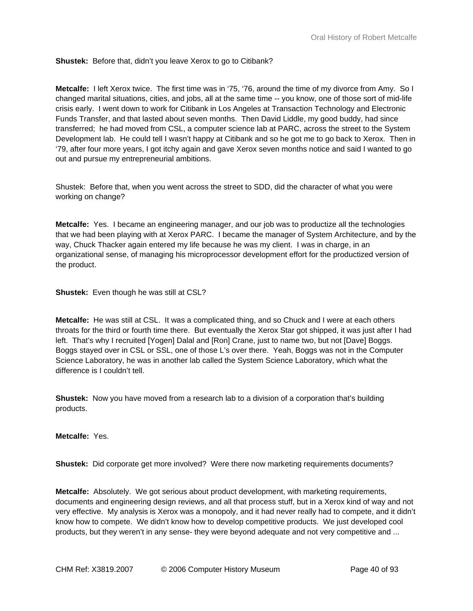# **Shustek:** Before that, didn't you leave Xerox to go to Citibank?

**Metcalfe:** I left Xerox twice. The first time was in '75, '76, around the time of my divorce from Amy. So I changed marital situations, cities, and jobs, all at the same time -- you know, one of those sort of mid-life crisis early. I went down to work for Citibank in Los Angeles at Transaction Technology and Electronic Funds Transfer, and that lasted about seven months. Then David Liddle, my good buddy, had since transferred; he had moved from CSL, a computer science lab at PARC, across the street to the System Development lab. He could tell I wasn't happy at Citibank and so he got me to go back to Xerox. Then in '79, after four more years, I got itchy again and gave Xerox seven months notice and said I wanted to go out and pursue my entrepreneurial ambitions.

Shustek: Before that, when you went across the street to SDD, did the character of what you were working on change?

**Metcalfe:** Yes. I became an engineering manager, and our job was to productize all the technologies that we had been playing with at Xerox PARC. I became the manager of System Architecture, and by the way, Chuck Thacker again entered my life because he was my client. I was in charge, in an organizational sense, of managing his microprocessor development effort for the productized version of the product.

**Shustek:** Even though he was still at CSL?

**Metcalfe:** He was still at CSL. It was a complicated thing, and so Chuck and I were at each others throats for the third or fourth time there. But eventually the Xerox Star got shipped, it was just after I had left. That's why I recruited [Yogen] Dalal and [Ron] Crane, just to name two, but not [Dave] Boggs. Boggs stayed over in CSL or SSL, one of those L's over there. Yeah, Boggs was not in the Computer Science Laboratory, he was in another lab called the System Science Laboratory, which what the difference is I couldn't tell.

**Shustek:** Now you have moved from a research lab to a division of a corporation that's building products.

## **Metcalfe:** Yes.

**Shustek:** Did corporate get more involved? Were there now marketing requirements documents?

**Metcalfe:** Absolutely. We got serious about product development, with marketing requirements, documents and engineering design reviews, and all that process stuff, but in a Xerox kind of way and not very effective. My analysis is Xerox was a monopoly, and it had never really had to compete, and it didn't know how to compete. We didn't know how to develop competitive products. We just developed cool products, but they weren't in any sense- they were beyond adequate and not very competitive and ...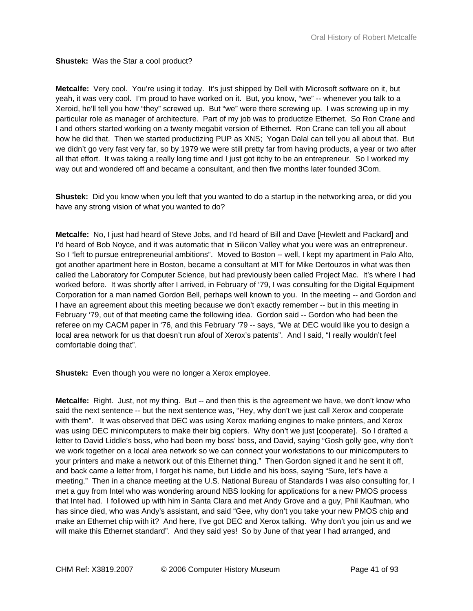**Shustek:** Was the Star a cool product?

**Metcalfe:** Very cool. You're using it today. It's just shipped by Dell with Microsoft software on it, but yeah, it was very cool. I'm proud to have worked on it. But, you know, "we" -- whenever you talk to a Xeroid, he'll tell you how "they" screwed up. But "we" were there screwing up. I was screwing up in my particular role as manager of architecture. Part of my job was to productize Ethernet. So Ron Crane and I and others started working on a twenty megabit version of Ethernet. Ron Crane can tell you all about how he did that. Then we started productizing PUP as XNS; Yogan Dalal can tell you all about that. But we didn't go very fast very far, so by 1979 we were still pretty far from having products, a year or two after all that effort. It was taking a really long time and I just got itchy to be an entrepreneur. So I worked my way out and wondered off and became a consultant, and then five months later founded 3Com.

**Shustek:** Did you know when you left that you wanted to do a startup in the networking area, or did you have any strong vision of what you wanted to do?

**Metcalfe:** No, I just had heard of Steve Jobs, and I'd heard of Bill and Dave [Hewlett and Packard] and I'd heard of Bob Noyce, and it was automatic that in Silicon Valley what you were was an entrepreneur. So I "left to pursue entrepreneurial ambitions". Moved to Boston -- well, I kept my apartment in Palo Alto, got another apartment here in Boston, became a consultant at MIT for Mike Dertouzos in what was then called the Laboratory for Computer Science, but had previously been called Project Mac. It's where I had worked before. It was shortly after I arrived, in February of '79, I was consulting for the Digital Equipment Corporation for a man named Gordon Bell, perhaps well known to you. In the meeting -- and Gordon and I have an agreement about this meeting because we don't exactly remember -- but in this meeting in February '79, out of that meeting came the following idea. Gordon said -- Gordon who had been the referee on my CACM paper in '76, and this February '79 -- says, "We at DEC would like you to design a local area network for us that doesn't run afoul of Xerox's patents". And I said, "I really wouldn't feel comfortable doing that".

**Shustek:** Even though you were no longer a Xerox employee.

**Metcalfe:** Right. Just, not my thing. But -- and then this is the agreement we have, we don't know who said the next sentence -- but the next sentence was, "Hey, why don't we just call Xerox and cooperate with them". It was observed that DEC was using Xerox marking engines to make printers, and Xerox was using DEC minicomputers to make their big copiers. Why don't we just [cooperate]. So I drafted a letter to David Liddle's boss, who had been my boss' boss, and David, saying "Gosh golly gee, why don't we work together on a local area network so we can connect your workstations to our minicomputers to your printers and make a network out of this Ethernet thing." Then Gordon signed it and he sent it off, and back came a letter from, I forget his name, but Liddle and his boss, saying "Sure, let's have a meeting." Then in a chance meeting at the U.S. National Bureau of Standards I was also consulting for, I met a guy from Intel who was wondering around NBS looking for applications for a new PMOS process that Intel had. I followed up with him in Santa Clara and met Andy Grove and a guy, Phil Kaufman, who has since died, who was Andy's assistant, and said "Gee, why don't you take your new PMOS chip and make an Ethernet chip with it? And here, I've got DEC and Xerox talking. Why don't you join us and we will make this Ethernet standard". And they said yes! So by June of that year I had arranged, and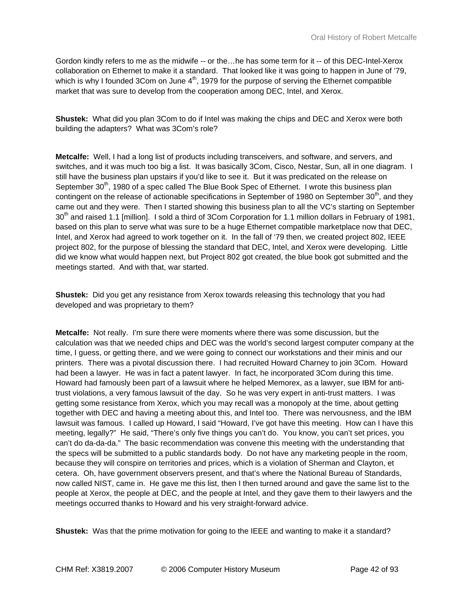Gordon kindly refers to me as the midwife -- or the…he has some term for it -- of this DEC-Intel-Xerox collaboration on Ethernet to make it a standard. That looked like it was going to happen in June of '79, which is why I founded 3Com on June  $4<sup>th</sup>$ , 1979 for the purpose of serving the Ethernet compatible market that was sure to develop from the cooperation among DEC, Intel, and Xerox.

**Shustek:** What did you plan 3Com to do if Intel was making the chips and DEC and Xerox were both building the adapters? What was 3Com's role?

**Metcalfe:** Well, I had a long list of products including transceivers, and software, and servers, and switches, and it was much too big a list. It was basically 3Com, Cisco, Nestar, Sun, all in one diagram. I still have the business plan upstairs if you'd like to see it. But it was predicated on the release on September 30<sup>th</sup>, 1980 of a spec called The Blue Book Spec of Ethernet. I wrote this business plan contingent on the release of actionable specifications in September of 1980 on September 30<sup>th</sup>, and they came out and they were. Then I started showing this business plan to all the VC's starting on September 30<sup>th</sup> and raised 1.1 [million]. I sold a third of 3Com Corporation for 1.1 million dollars in February of 1981, based on this plan to serve what was sure to be a huge Ethernet compatible marketplace now that DEC, Intel, and Xerox had agreed to work together on it. In the fall of '79 then, we created project 802, IEEE project 802, for the purpose of blessing the standard that DEC, Intel, and Xerox were developing. Little did we know what would happen next, but Project 802 got created, the blue book got submitted and the meetings started. And with that, war started.

**Shustek:** Did you get any resistance from Xerox towards releasing this technology that you had developed and was proprietary to them?

**Metcalfe:** Not really. I'm sure there were moments where there was some discussion, but the calculation was that we needed chips and DEC was the world's second largest computer company at the time, I guess, or getting there, and we were going to connect our workstations and their minis and our printers. There was a pivotal discussion there. I had recruited Howard Charney to join 3Com. Howard had been a lawyer. He was in fact a patent lawyer. In fact, he incorporated 3Com during this time. Howard had famously been part of a lawsuit where he helped Memorex, as a lawyer, sue IBM for antitrust violations, a very famous lawsuit of the day. So he was very expert in anti-trust matters. I was getting some resistance from Xerox, which you may recall was a monopoly at the time, about getting together with DEC and having a meeting about this, and Intel too. There was nervousness, and the IBM lawsuit was famous. I called up Howard, I said "Howard, I've got have this meeting. How can I have this meeting, legally?" He said, "There's only five things you can't do. You know, you can't set prices, you can't do da-da-da." The basic recommendation was convene this meeting with the understanding that the specs will be submitted to a public standards body. Do not have any marketing people in the room, because they will conspire on territories and prices, which is a violation of Sherman and Clayton, et cetera. Oh, have government observers present, and that's where the National Bureau of Standards, now called NIST, came in. He gave me this list, then I then turned around and gave the same list to the people at Xerox, the people at DEC, and the people at Intel, and they gave them to their lawyers and the meetings occurred thanks to Howard and his very straight-forward advice.

**Shustek:** Was that the prime motivation for going to the IEEE and wanting to make it a standard?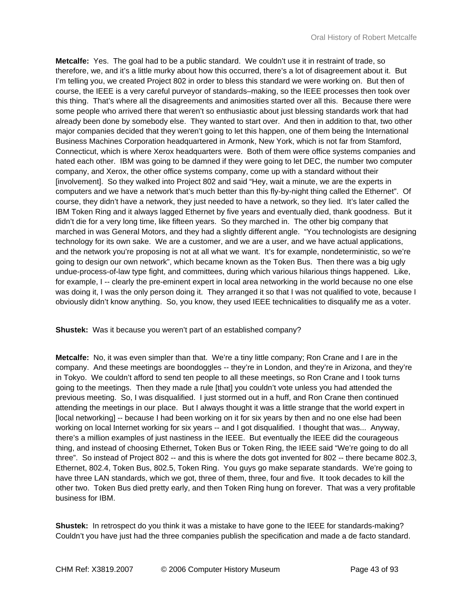**Metcalfe:** Yes. The goal had to be a public standard. We couldn't use it in restraint of trade, so therefore, we, and it's a little murky about how this occurred, there's a lot of disagreement about it. But I'm telling you, we created Project 802 in order to bless this standard we were working on. But then of course, the IEEE is a very careful purveyor of standards–making, so the IEEE processes then took over this thing. That's where all the disagreements and animosities started over all this. Because there were some people who arrived there that weren't so enthusiastic about just blessing standards work that had already been done by somebody else. They wanted to start over. And then in addition to that, two other major companies decided that they weren't going to let this happen, one of them being the International Business Machines Corporation headquartered in Armonk, New York, which is not far from Stamford, Connecticut, which is where Xerox headquarters were. Both of them were office systems companies and hated each other. IBM was going to be damned if they were going to let DEC, the number two computer company, and Xerox, the other office systems company, come up with a standard without their [involvement]. So they walked into Project 802 and said "Hey, wait a minute, we are the experts in computers and we have a network that's much better than this fly-by-night thing called the Ethernet". Of course, they didn't have a network, they just needed to have a network, so they lied. It's later called the IBM Token Ring and it always lagged Ethernet by five years and eventually died, thank goodness. But it didn't die for a very long time, like fifteen years. So they marched in. The other big company that marched in was General Motors, and they had a slightly different angle. "You technologists are designing technology for its own sake. We are a customer, and we are a user, and we have actual applications, and the network you're proposing is not at all what we want. It's for example, nondeterministic, so we're going to design our own network", which became known as the Token Bus. Then there was a big ugly undue-process-of-law type fight, and committees, during which various hilarious things happened. Like, for example, I -- clearly the pre-eminent expert in local area networking in the world because no one else was doing it, I was the only person doing it. They arranged it so that I was not qualified to vote, because I obviously didn't know anything. So, you know, they used IEEE technicalities to disqualify me as a voter.

**Shustek:** Was it because you weren't part of an established company?

**Metcalfe:** No, it was even simpler than that. We're a tiny little company; Ron Crane and I are in the company. And these meetings are boondoggles -- they're in London, and they're in Arizona, and they're in Tokyo. We couldn't afford to send ten people to all these meetings, so Ron Crane and I took turns going to the meetings. Then they made a rule [that] you couldn't vote unless you had attended the previous meeting. So, I was disqualified. I just stormed out in a huff, and Ron Crane then continued attending the meetings in our place. But I always thought it was a little strange that the world expert in [local networking] -- because I had been working on it for six years by then and no one else had been working on local Internet working for six years -- and I got disqualified. I thought that was... Anyway, there's a million examples of just nastiness in the IEEE. But eventually the IEEE did the courageous thing, and instead of choosing Ethernet, Token Bus or Token Ring, the IEEE said "We're going to do all three". So instead of Project 802 -- and this is where the dots got invented for 802 -- there became 802.3, Ethernet, 802.4, Token Bus, 802.5, Token Ring. You guys go make separate standards. We're going to have three LAN standards, which we got, three of them, three, four and five. It took decades to kill the other two. Token Bus died pretty early, and then Token Ring hung on forever. That was a very profitable business for IBM.

**Shustek:** In retrospect do you think it was a mistake to have gone to the IEEE for standards-making? Couldn't you have just had the three companies publish the specification and made a de facto standard.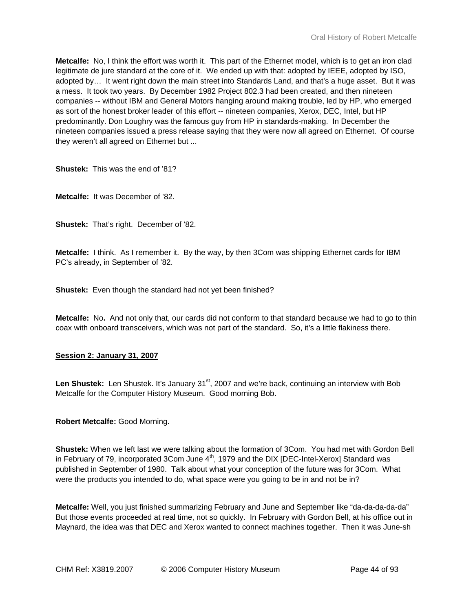**Metcalfe:** No, I think the effort was worth it. This part of the Ethernet model, which is to get an iron clad legitimate de jure standard at the core of it. We ended up with that: adopted by IEEE, adopted by ISO, adopted by… It went right down the main street into Standards Land, and that's a huge asset. But it was a mess. It took two years. By December 1982 Project 802.3 had been created, and then nineteen companies -- without IBM and General Motors hanging around making trouble, led by HP, who emerged as sort of the honest broker leader of this effort -- nineteen companies, Xerox, DEC, Intel, but HP predominantly. Don Loughry was the famous guy from HP in standards-making. In December the nineteen companies issued a press release saying that they were now all agreed on Ethernet. Of course they weren't all agreed on Ethernet but ...

**Shustek:** This was the end of '81?

**Metcalfe:** It was December of '82.

**Shustek:** That's right. December of '82.

**Metcalfe:** I think. As I remember it. By the way, by then 3Com was shipping Ethernet cards for IBM PC's already, in September of '82.

**Shustek:** Even though the standard had not yet been finished?

**Metcalfe:** No**.** And not only that, our cards did not conform to that standard because we had to go to thin coax with onboard transceivers, which was not part of the standard. So, it's a little flakiness there.

## **Session 2: January 31, 2007**

Len Shustek: Len Shustek. It's January 31<sup>st</sup>, 2007 and we're back, continuing an interview with Bob Metcalfe for the Computer History Museum. Good morning Bob.

**Robert Metcalfe:** Good Morning.

**Shustek:** When we left last we were talking about the formation of 3Com. You had met with Gordon Bell in February of 79, incorporated 3Com June  $4<sup>th</sup>$ , 1979 and the DIX [DEC-Intel-Xerox] Standard was published in September of 1980. Talk about what your conception of the future was for 3Com. What were the products you intended to do, what space were you going to be in and not be in?

**Metcalfe:** Well, you just finished summarizing February and June and September like "da-da-da-da-da" But those events proceeded at real time, not so quickly. In February with Gordon Bell, at his office out in Maynard, the idea was that DEC and Xerox wanted to connect machines together. Then it was June-sh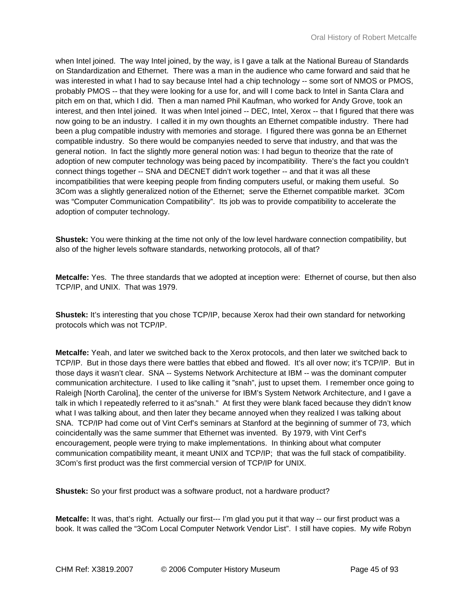when Intel joined. The way Intel joined, by the way, is I gave a talk at the National Bureau of Standards on Standardization and Ethernet. There was a man in the audience who came forward and said that he was interested in what I had to say because Intel had a chip technology -- some sort of NMOS or PMOS, probably PMOS -- that they were looking for a use for, and will I come back to Intel in Santa Clara and pitch em on that, which I did. Then a man named Phil Kaufman, who worked for Andy Grove, took an interest, and then Intel joined. It was when Intel joined -- DEC, Intel, Xerox -- that I figured that there was now going to be an industry. I called it in my own thoughts an Ethernet compatible industry. There had been a plug compatible industry with memories and storage. I figured there was gonna be an Ethernet compatible industry. So there would be companyies needed to serve that industry, and that was the general notion. In fact the slightly more general notion was: I had begun to theorize that the rate of adoption of new computer technology was being paced by incompatibility. There's the fact you couldn't connect things together -- SNA and DECNET didn't work together -- and that it was all these incompatibilities that were keeping people from finding computers useful, or making them useful. So 3Com was a slightly generalized notion of the Ethernet; serve the Ethernet compatible market. 3Com was "Computer Communication Compatibility". Its job was to provide compatibility to accelerate the adoption of computer technology.

**Shustek:** You were thinking at the time not only of the low level hardware connection compatibility, but also of the higher levels software standards, networking protocols, all of that?

**Metcalfe:** Yes. The three standards that we adopted at inception were: Ethernet of course, but then also TCP/IP, and UNIX. That was 1979.

**Shustek:** It's interesting that you chose TCP/IP, because Xerox had their own standard for networking protocols which was not TCP/IP.

**Metcalfe:** Yeah, and later we switched back to the Xerox protocols, and then later we switched back to TCP/IP. But in those days there were battles that ebbed and flowed. It's all over now; it's TCP/IP. But in those days it wasn't clear. SNA -- Systems Network Architecture at IBM -- was the dominant computer communication architecture. I used to like calling it "snah", just to upset them. I remember once going to Raleigh [North Carolina], the center of the universe for IBM's System Network Architecture, and I gave a talk in which I repeatedly referred to it as"snah." At first they were blank faced because they didn't know what I was talking about, and then later they became annoyed when they realized I was talking about SNA. TCP/IP had come out of Vint Cerf's seminars at Stanford at the beginning of summer of 73, which coincidentally was the same summer that Ethernet was invented. By 1979, with Vint Cerf's encouragement, people were trying to make implementations. In thinking about what computer communication compatibility meant, it meant UNIX and TCP/IP; that was the full stack of compatibility. 3Com's first product was the first commercial version of TCP/IP for UNIX.

**Shustek:** So your first product was a software product, not a hardware product?

**Metcalfe:** It was, that's right. Actually our first--- I'm glad you put it that way -- our first product was a book. It was called the "3Com Local Computer Network Vendor List". I still have copies. My wife Robyn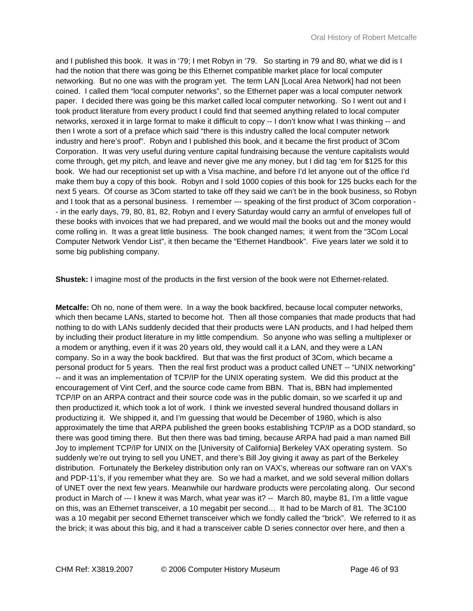and I published this book. It was in '79; I met Robyn in '79. So starting in 79 and 80, what we did is I had the notion that there was going be this Ethernet compatible market place for local computer networking. But no one was with the program yet. The term LAN [Local Area Network] had not been coined. I called them "local computer networks", so the Ethernet paper was a local computer network paper. I decided there was going be this market called local computer networking. So I went out and I took product literature from every product I could find that seemed anything related to local computer networks, xeroxed it in large format to make it difficult to copy -- I don't know what I was thinking -- and then I wrote a sort of a preface which said "there is this industry called the local computer network industry and here's proof". Robyn and I published this book, and it became the first product of 3Com Corporation. It was very useful during venture capital fundraising because the venture capitalists would come through, get my pitch, and leave and never give me any money, but I did tag 'em for \$125 for this book. We had our receptionist set up with a Visa machine, and before I'd let anyone out of the office I'd make them buy a copy of this book. Robyn and I sold 1000 copies of this book for 125 bucks each for the next 5 years. Of course as 3Com started to take off they said we can't be in the book business, so Robyn and I took that as a personal business. I remember --- speaking of the first product of 3Com corporation -- in the early days, 79, 80, 81, 82, Robyn and I every Saturday would carry an armful of envelopes full of these books with invoices that we had prepared, and we would mail the books out and the money would come rolling in. It was a great little business. The book changed names; it went from the "3Com Local Computer Network Vendor List", it then became the "Ethernet Handbook". Five years later we sold it to some big publishing company.

**Shustek:** I imagine most of the products in the first version of the book were not Ethernet-related.

**Metcalfe:** Oh no, none of them were. In a way the book backfired, because local computer networks, which then became LANs, started to become hot. Then all those companies that made products that had nothing to do with LANs suddenly decided that their products were LAN products, and I had helped them by including their product literature in my little compendium. So anyone who was selling a multiplexer or a modem or anything, even if it was 20 years old, they would call it a LAN, and they were a LAN company. So in a way the book backfired. But that was the first product of 3Com, which became a personal product for 5 years. Then the real first product was a product called UNET -- "UNIX networking" -- and it was an implementation of TCP/IP for the UNIX operating system. We did this product at the encouragement of Vint Cerf, and the source code came from BBN. That is, BBN had implemented TCP/IP on an ARPA contract and their source code was in the public domain, so we scarfed it up and then productized it, which took a lot of work. I think we invested several hundred thousand dollars in productizing it. We shipped it, and I'm guessing that would be December of 1980, which is also approximately the time that ARPA published the green books establishing TCP/IP as a DOD standard, so there was good timing there. But then there was bad timing, because ARPA had paid a man named Bill Joy to implement TCP/IP for UNIX on the [University of California] Berkeley VAX operating system. So suddenly we're out trying to sell you UNET, and there's Bill Joy giving it away as part of the Berkeley distribution. Fortunately the Berkeley distribution only ran on VAX's, whereas our software ran on VAX's and PDP-11's, if you remember what they are. So we had a market, and we sold several million dollars of UNET over the next few years. Meanwhile our hardware products were percolating along. Our second product in March of --- I knew it was March, what year was it? -- March 80, maybe 81, I'm a little vague on this, was an Ethernet transceiver, a 10 megabit per second… It had to be March of 81. The 3C100 was a 10 megabit per second Ethernet transceiver which we fondly called the "brick". We referred to it as the brick; it was about this big, and it had a transceiver cable D series connector over here, and then a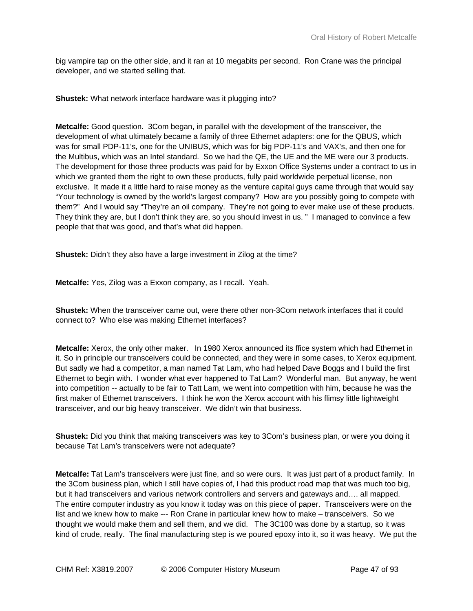big vampire tap on the other side, and it ran at 10 megabits per second. Ron Crane was the principal developer, and we started selling that.

**Shustek:** What network interface hardware was it plugging into?

**Metcalfe:** Good question. 3Com began, in parallel with the development of the transceiver, the development of what ultimately became a family of three Ethernet adapters: one for the QBUS, which was for small PDP-11's, one for the UNIBUS, which was for big PDP-11's and VAX's, and then one for the Multibus, which was an Intel standard. So we had the QE, the UE and the ME were our 3 products. The development for those three products was paid for by Exxon Office Systems under a contract to us in which we granted them the right to own these products, fully paid worldwide perpetual license, non exclusive. It made it a little hard to raise money as the venture capital guys came through that would say "Your technology is owned by the world's largest company? How are you possibly going to compete with them?" And I would say "They're an oil company. They're not going to ever make use of these products. They think they are, but I don't think they are, so you should invest in us. " I managed to convince a few people that that was good, and that's what did happen.

**Shustek:** Didn't they also have a large investment in Zilog at the time?

**Metcalfe:** Yes, Zilog was a Exxon company, as I recall. Yeah.

**Shustek:** When the transceiver came out, were there other non-3Com network interfaces that it could connect to? Who else was making Ethernet interfaces?

**Metcalfe:** Xerox, the only other maker. In 1980 Xerox announced its ffice system which had Ethernet in it. So in principle our transceivers could be connected, and they were in some cases, to Xerox equipment. But sadly we had a competitor, a man named Tat Lam, who had helped Dave Boggs and I build the first Ethernet to begin with. I wonder what ever happened to Tat Lam? Wonderful man. But anyway, he went into competition -- actually to be fair to Tatt Lam, we went into competition with him, because he was the first maker of Ethernet transceivers. I think he won the Xerox account with his flimsy little lightweight transceiver, and our big heavy transceiver. We didn't win that business.

**Shustek:** Did you think that making transceivers was key to 3Com's business plan, or were you doing it because Tat Lam's transceivers were not adequate?

**Metcalfe:** Tat Lam's transceivers were just fine, and so were ours. It was just part of a product family. In the 3Com business plan, which I still have copies of, I had this product road map that was much too big, but it had transceivers and various network controllers and servers and gateways and…. all mapped. The entire computer industry as you know it today was on this piece of paper. Transceivers were on the list and we knew how to make --- Ron Crane in particular knew how to make – transceivers. So we thought we would make them and sell them, and we did. The 3C100 was done by a startup, so it was kind of crude, really. The final manufacturing step is we poured epoxy into it, so it was heavy. We put the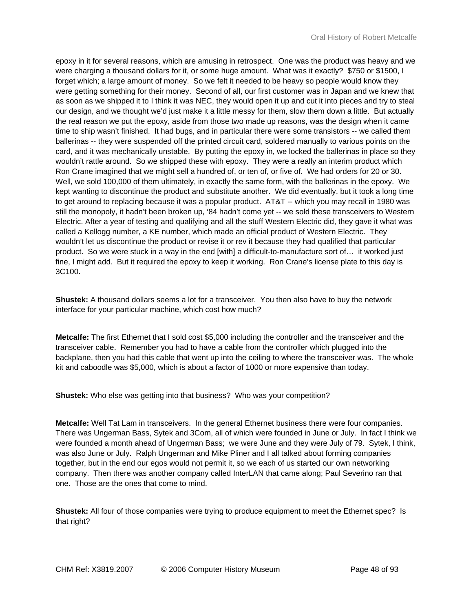epoxy in it for several reasons, which are amusing in retrospect. One was the product was heavy and we were charging a thousand dollars for it, or some huge amount. What was it exactly? \$750 or \$1500, I forget which; a large amount of money. So we felt it needed to be heavy so people would know they were getting something for their money. Second of all, our first customer was in Japan and we knew that as soon as we shipped it to I think it was NEC, they would open it up and cut it into pieces and try to steal our design, and we thought we'd just make it a little messy for them, slow them down a little. But actually the real reason we put the epoxy, aside from those two made up reasons, was the design when it came time to ship wasn't finished. It had bugs, and in particular there were some transistors -- we called them ballerinas -- they were suspended off the printed circuit card, soldered manually to various points on the card, and it was mechanically unstable. By putting the epoxy in, we locked the ballerinas in place so they wouldn't rattle around. So we shipped these with epoxy. They were a really an interim product which Ron Crane imagined that we might sell a hundred of, or ten of, or five of. We had orders for 20 or 30. Well, we sold 100,000 of them ultimately, in exactly the same form, with the ballerinas in the epoxy. We kept wanting to discontinue the product and substitute another. We did eventually, but it took a long time to get around to replacing because it was a popular product. AT&T -- which you may recall in 1980 was still the monopoly, it hadn't been broken up, '84 hadn't come yet -- we sold these transceivers to Western Electric. After a year of testing and qualifying and all the stuff Western Electric did, they gave it what was called a Kellogg number, a KE number, which made an official product of Western Electric. They wouldn't let us discontinue the product or revise it or rev it because they had qualified that particular product. So we were stuck in a way in the end [with] a difficult-to-manufacture sort of… it worked just fine, I might add. But it required the epoxy to keep it working. Ron Crane's license plate to this day is 3C100.

**Shustek:** A thousand dollars seems a lot for a transceiver. You then also have to buy the network interface for your particular machine, which cost how much?

**Metcalfe:** The first Ethernet that I sold cost \$5,000 including the controller and the transceiver and the transceiver cable. Remember you had to have a cable from the controller which plugged into the backplane, then you had this cable that went up into the ceiling to where the transceiver was. The whole kit and caboodle was \$5,000, which is about a factor of 1000 or more expensive than today.

**Shustek:** Who else was getting into that business? Who was your competition?

**Metcalfe:** Well Tat Lam in transceivers. In the general Ethernet business there were four companies. There was Ungerman Bass, Sytek and 3Com, all of which were founded in June or July. In fact I think we were founded a month ahead of Ungerman Bass; we were June and they were July of 79. Sytek, I think, was also June or July. Ralph Ungerman and Mike Pliner and I all talked about forming companies together, but in the end our egos would not permit it, so we each of us started our own networking company. Then there was another company called InterLAN that came along; Paul Severino ran that one. Those are the ones that come to mind.

**Shustek:** All four of those companies were trying to produce equipment to meet the Ethernet spec? Is that right?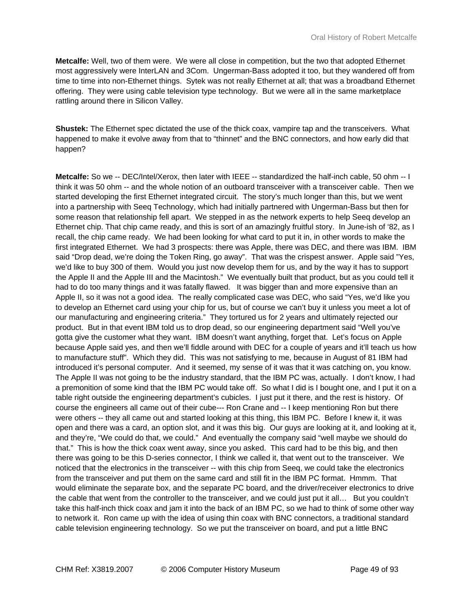**Metcalfe:** Well, two of them were. We were all close in competition, but the two that adopted Ethernet most aggressively were InterLAN and 3Com. Ungerman-Bass adopted it too, but they wandered off from time to time into non-Ethernet things. Sytek was not really Ethernet at all; that was a broadband Ethernet offering. They were using cable television type technology. But we were all in the same marketplace rattling around there in Silicon Valley.

**Shustek:** The Ethernet spec dictated the use of the thick coax, vampire tap and the transceivers. What happened to make it evolve away from that to "thinnet" and the BNC connectors, and how early did that happen?

**Metcalfe:** So we -- DEC/Intel/Xerox, then later with IEEE -- standardized the half-inch cable, 50 ohm -- I think it was 50 ohm -- and the whole notion of an outboard transceiver with a transceiver cable. Then we started developing the first Ethernet integrated circuit. The story's much longer than this, but we went into a partnership with Seeq Technology, which had initially partnered with Ungerman-Bass but then for some reason that relationship fell apart. We stepped in as the network experts to help Seeq develop an Ethernet chip. That chip came ready, and this is sort of an amazingly fruitful story. In June-ish of '82, as I recall, the chip came ready. We had been looking for what card to put it in, in other words to make the first integrated Ethernet. We had 3 prospects: there was Apple, there was DEC, and there was IBM. IBM said "Drop dead, we're doing the Token Ring, go away". That was the crispest answer. Apple said "Yes, we'd like to buy 300 of them. Would you just now develop them for us, and by the way it has to support the Apple II and the Apple III and the Macintosh." We eventually built that product, but as you could tell it had to do too many things and it was fatally flawed. It was bigger than and more expensive than an Apple II, so it was not a good idea. The really complicated case was DEC, who said "Yes, we'd like you to develop an Ethernet card using your chip for us, but of course we can't buy it unless you meet a lot of our manufacturing and engineering criteria." They tortured us for 2 years and ultimately rejected our product. But in that event IBM told us to drop dead, so our engineering department said "Well you've gotta give the customer what they want. IBM doesn't want anything, forget that. Let's focus on Apple because Apple said yes, and then we'll fiddle around with DEC for a couple of years and it'll teach us how to manufacture stuff". Which they did. This was not satisfying to me, because in August of 81 IBM had introduced it's personal computer. And it seemed, my sense of it was that it was catching on, you know. The Apple II was not going to be the industry standard, that the IBM PC was, actually. I don't know, I had a premonition of some kind that the IBM PC would take off. So what I did is I bought one, and I put it on a table right outside the engineering department's cubicles. I just put it there, and the rest is history. Of course the engineers all came out of their cube--- Ron Crane and -- I keep mentioning Ron but there were others -- they all came out and started looking at this thing, this IBM PC. Before I knew it, it was open and there was a card, an option slot, and it was this big. Our guys are looking at it, and looking at it, and they're, "We could do that, we could." And eventually the company said "well maybe we should do that." This is how the thick coax went away, since you asked. This card had to be this big, and then there was going to be this D-series connector, I think we called it, that went out to the transceiver. We noticed that the electronics in the transceiver -- with this chip from Seeq, we could take the electronics from the transceiver and put them on the same card and still fit in the IBM PC format. Hmmm. That would eliminate the separate box, and the separate PC board, and the driver/receiver electronics to drive the cable that went from the controller to the transceiver, and we could just put it all… But you couldn't take this half-inch thick coax and jam it into the back of an IBM PC, so we had to think of some other way to network it. Ron came up with the idea of using thin coax with BNC connectors, a traditional standard cable television engineering technology. So we put the transceiver on board, and put a little BNC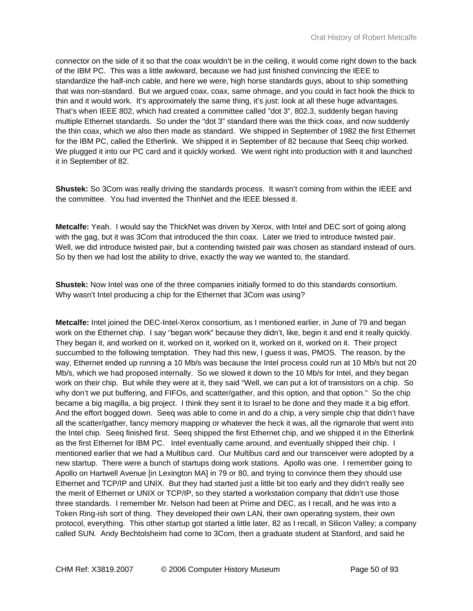connector on the side of it so that the coax wouldn't be in the ceiling, it would come right down to the back of the IBM PC. This was a little awkward, because we had just finished convincing the IEEE to standardize the half-inch cable, and here we were, high horse standards guys, about to ship something that was non-standard. But we argued coax, coax, same ohmage, and you could in fact hook the thick to thin and it would work. It's approximately the same thing, it's just: look at all these huge advantages. That's when IEEE 802, which had created a committee called "dot 3", 802.3, suddenly began having multiple Ethernet standards. So under the "dot 3" standard there was the thick coax, and now suddenly the thin coax, which we also then made as standard. We shipped in September of 1982 the first Ethernet for the IBM PC, called the Etherlink. We shipped it in September of 82 because that Seeq chip worked. We plugged it into our PC card and it quickly worked. We went right into production with it and launched it in September of 82.

**Shustek:** So 3Com was really driving the standards process. It wasn't coming from within the IEEE and the committee. You had invented the ThinNet and the IEEE blessed it.

**Metcalfe:** Yeah. I would say the ThickNet was driven by Xerox, with Intel and DEC sort of going along with the gag, but it was 3Com that introduced the thin coax. Later we tried to introduce twisted pair. Well, we did introduce twisted pair, but a contending twisted pair was chosen as standard instead of ours. So by then we had lost the ability to drive, exactly the way we wanted to, the standard.

**Shustek:** Now Intel was one of the three companies initially formed to do this standards consortium. Why wasn't Intel producing a chip for the Ethernet that 3Com was using?

**Metcalfe:** Intel joined the DEC-Intel-Xerox consortium, as I mentioned earlier, in June of 79 and began work on the Ethernet chip. I say "began work" because they didn't, like, begin it and end it really quickly. They began it, and worked on it, worked on it, worked on it, worked on it, worked on it. Their project succumbed to the following temptation. They had this new, I guess it was, PMOS. The reason, by the way, Ethernet ended up running a 10 Mb/s was because the Intel process could run at 10 Mb/s but not 20 Mb/s, which we had proposed internally. So we slowed it down to the 10 Mb/s for Intel, and they began work on their chip. But while they were at it, they said "Well, we can put a lot of transistors on a chip. So why don't we put buffering, and FIFOs, and scatter/gather, and this option, and that option." So the chip became a big magilla, a big project. I think they sent it to Israel to be done and they made it a big effort. And the effort bogged down. Seeq was able to come in and do a chip, a very simple chip that didn't have all the scatter/gather, fancy memory mapping or whatever the heck it was, all the rigmarole that went into the Intel chip. Seeq finished first. Seeq shipped the first Ethernet chip, and we shipped it in the Etherlink as the first Ethernet for IBM PC. Intel eventually came around, and eventually shipped their chip. I mentioned earlier that we had a Multibus card. Our Multibus card and our transceiver were adopted by a new startup. There were a bunch of startups doing work stations. Apollo was one. I remember going to Apollo on Hartwell Avenue [in Lexington MA] in 79 or 80, and trying to convince them they should use Ethernet and TCP/IP and UNIX. But they had started just a little bit too early and they didn't really see the merit of Ethernet or UNIX or TCP/IP, so they started a workstation company that didn't use those three standards. I remember Mr. Nelson had been at Prime and DEC, as I recall, and he was into a Token Ring-ish sort of thing. They developed their own LAN, their own operating system, their own protocol, everything. This other startup got started a little later, 82 as I recall, in Silicon Valley; a company called SUN. Andy Bechtolsheim had come to 3Com, then a graduate student at Stanford, and said he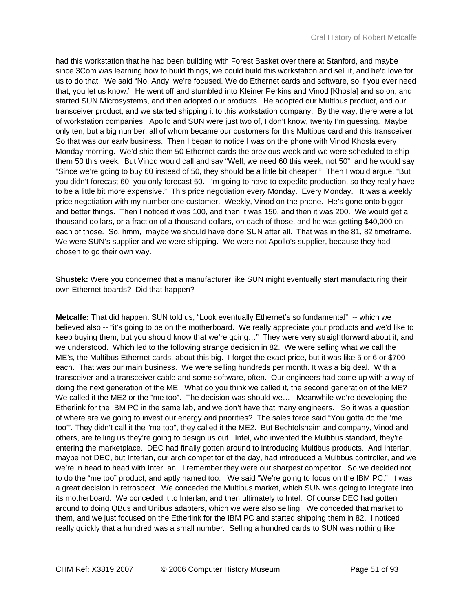had this workstation that he had been building with Forest Basket over there at Stanford, and maybe since 3Com was learning how to build things, we could build this workstation and sell it, and he'd love for us to do that. We said "No, Andy, we're focused. We do Ethernet cards and software, so if you ever need that, you let us know." He went off and stumbled into Kleiner Perkins and Vinod [Khosla] and so on, and started SUN Microsystems, and then adopted our products. He adopted our Multibus product, and our transceiver product, and we started shipping it to this workstation company. By the way, there were a lot of workstation companies. Apollo and SUN were just two of, I don't know, twenty I'm guessing. Maybe only ten, but a big number, all of whom became our customers for this Multibus card and this transceiver. So that was our early business. Then I began to notice I was on the phone with Vinod Khosla every Monday morning. We'd ship them 50 Ethernet cards the previous week and we were scheduled to ship them 50 this week. But Vinod would call and say "Well, we need 60 this week, not 50", and he would say "Since we're going to buy 60 instead of 50, they should be a little bit cheaper." Then I would argue, "But you didn't forecast 60, you only forecast 50. I'm going to have to expedite production, so they really have to be a little bit more expensive." This price negotiation every Monday. Every Monday. It was a weekly price negotiation with my number one customer. Weekly, Vinod on the phone. He's gone onto bigger and better things. Then I noticed it was 100, and then it was 150, and then it was 200. We would get a thousand dollars, or a fraction of a thousand dollars, on each of those, and he was getting \$40,000 on each of those. So, hmm, maybe we should have done SUN after all. That was in the 81, 82 timeframe. We were SUN's supplier and we were shipping. We were not Apollo's supplier, because they had chosen to go their own way.

**Shustek:** Were you concerned that a manufacturer like SUN might eventually start manufacturing their own Ethernet boards? Did that happen?

**Metcalfe:** That did happen. SUN told us, "Look eventually Ethernet's so fundamental" -- which we believed also -- "it's going to be on the motherboard. We really appreciate your products and we'd like to keep buying them, but you should know that we're going…" They were very straightforward about it, and we understood. Which led to the following strange decision in 82. We were selling what we call the ME's, the Multibus Ethernet cards, about this big. I forget the exact price, but it was like 5 or 6 or \$700 each. That was our main business. We were selling hundreds per month. It was a big deal. With a transceiver and a transceiver cable and some software, often. Our engineers had come up with a way of doing the next generation of the ME. What do you think we called it, the second generation of the ME? We called it the ME2 or the "me too". The decision was should we... Meanwhile we're developing the Etherlink for the IBM PC in the same lab, and we don't have that many engineers. So it was a question of where are we going to invest our energy and priorities? The sales force said "You gotta do the 'me too'". They didn't call it the "me too", they called it the ME2. But Bechtolsheim and company, Vinod and others, are telling us they're going to design us out. Intel, who invented the Multibus standard, they're entering the marketplace. DEC had finally gotten around to introducing Multibus products. And Interlan, maybe not DEC, but Interlan, our arch competitor of the day, had introduced a Multibus controller, and we we're in head to head with InterLan. I remember they were our sharpest competitor. So we decided not to do the "me too" product, and aptly named too. We said "We're going to focus on the IBM PC." It was a great decision in retrospect. We conceded the Multibus market, which SUN was going to integrate into its motherboard. We conceded it to Interlan, and then ultimately to Intel. Of course DEC had gotten around to doing QBus and Unibus adapters, which we were also selling. We conceded that market to them, and we just focused on the Etherlink for the IBM PC and started shipping them in 82. I noticed really quickly that a hundred was a small number. Selling a hundred cards to SUN was nothing like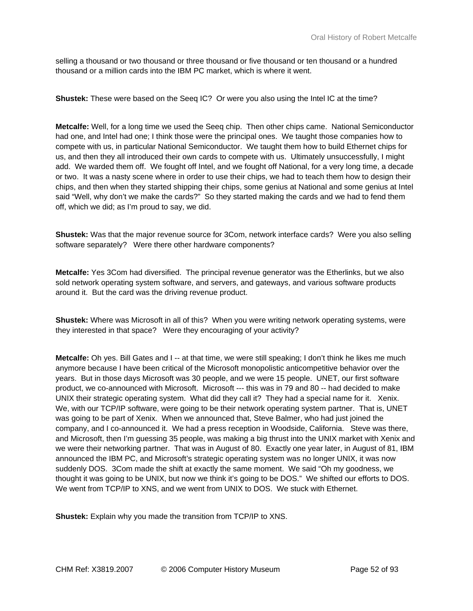selling a thousand or two thousand or three thousand or five thousand or ten thousand or a hundred thousand or a million cards into the IBM PC market, which is where it went.

**Shustek:** These were based on the Seeq IC? Or were you also using the Intel IC at the time?

**Metcalfe:** Well, for a long time we used the Seeq chip. Then other chips came. National Semiconductor had one, and Intel had one; I think those were the principal ones. We taught those companies how to compete with us, in particular National Semiconductor. We taught them how to build Ethernet chips for us, and then they all introduced their own cards to compete with us. Ultimately unsuccessfully, I might add. We warded them off. We fought off Intel, and we fought off National, for a very long time, a decade or two. It was a nasty scene where in order to use their chips, we had to teach them how to design their chips, and then when they started shipping their chips, some genius at National and some genius at Intel said "Well, why don't we make the cards?" So they started making the cards and we had to fend them off, which we did; as I'm proud to say, we did.

**Shustek:** Was that the major revenue source for 3Com, network interface cards? Were you also selling software separately? Were there other hardware components?

**Metcalfe:** Yes 3Com had diversified. The principal revenue generator was the Etherlinks, but we also sold network operating system software, and servers, and gateways, and various software products around it. But the card was the driving revenue product.

**Shustek:** Where was Microsoft in all of this? When you were writing network operating systems, were they interested in that space? Were they encouraging of your activity?

**Metcalfe:** Oh yes. Bill Gates and I -- at that time, we were still speaking; I don't think he likes me much anymore because I have been critical of the Microsoft monopolistic anticompetitive behavior over the years. But in those days Microsoft was 30 people, and we were 15 people. UNET, our first software product, we co-announced with Microsoft. Microsoft --- this was in 79 and 80 -- had decided to make UNIX their strategic operating system. What did they call it? They had a special name for it. Xenix. We, with our TCP/IP software, were going to be their network operating system partner. That is, UNET was going to be part of Xenix. When we announced that, Steve Balmer, who had just joined the company, and I co-announced it. We had a press reception in Woodside, California. Steve was there, and Microsoft, then I'm guessing 35 people, was making a big thrust into the UNIX market with Xenix and we were their networking partner. That was in August of 80. Exactly one year later, in August of 81, IBM announced the IBM PC, and Microsoft's strategic operating system was no longer UNIX, it was now suddenly DOS. 3Com made the shift at exactly the same moment. We said "Oh my goodness, we thought it was going to be UNIX, but now we think it's going to be DOS." We shifted our efforts to DOS. We went from TCP/IP to XNS, and we went from UNIX to DOS. We stuck with Ethernet.

**Shustek:** Explain why you made the transition from TCP/IP to XNS.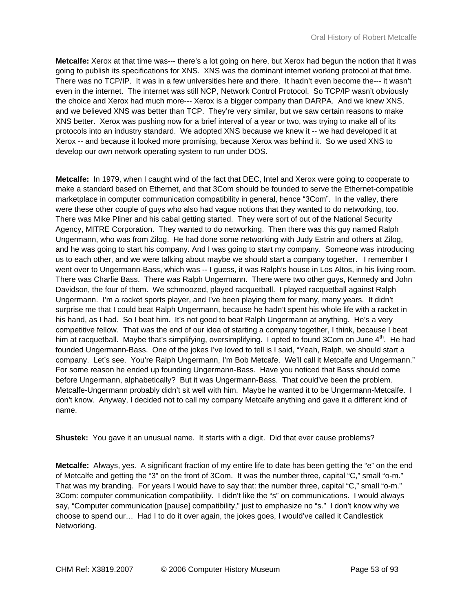**Metcalfe:** Xerox at that time was--- there's a lot going on here, but Xerox had begun the notion that it was going to publish its specifications for XNS. XNS was the dominant internet working protocol at that time. There was no TCP/IP. It was in a few universities here and there. It hadn't even become the--- it wasn't even in the internet. The internet was still NCP, Network Control Protocol. So TCP/IP wasn't obviously the choice and Xerox had much more--- Xerox is a bigger company than DARPA. And we knew XNS, and we believed XNS was better than TCP. They're very similar, but we saw certain reasons to make XNS better. Xerox was pushing now for a brief interval of a year or two, was trying to make all of its protocols into an industry standard. We adopted XNS because we knew it -- we had developed it at Xerox -- and because it looked more promising, because Xerox was behind it. So we used XNS to develop our own network operating system to run under DOS.

**Metcalfe:** In 1979, when I caught wind of the fact that DEC, Intel and Xerox were going to cooperate to make a standard based on Ethernet, and that 3Com should be founded to serve the Ethernet-compatible marketplace in computer communication compatibility in general, hence "3Com". In the valley, there were these other couple of guys who also had vague notions that they wanted to do networking, too. There was Mike Pliner and his cabal getting started. They were sort of out of the National Security Agency, MITRE Corporation. They wanted to do networking. Then there was this guy named Ralph Ungermann, who was from Zilog. He had done some networking with Judy Estrin and others at Zilog, and he was going to start his company. And I was going to start my company. Someone was introducing us to each other, and we were talking about maybe we should start a company together. I remember I went over to Ungermann-Bass, which was -- I guess, it was Ralph's house in Los Altos, in his living room. There was Charlie Bass. There was Ralph Ungermann. There were two other guys, Kennedy and John Davidson, the four of them. We schmoozed, played racquetball. I played racquetball against Ralph Ungermann. I'm a racket sports player, and I've been playing them for many, many years. It didn't surprise me that I could beat Ralph Ungermann, because he hadn't spent his whole life with a racket in his hand, as I had. So I beat him. It's not good to beat Ralph Ungermann at anything. He's a very competitive fellow. That was the end of our idea of starting a company together, I think, because I beat him at racquetball. Maybe that's simplifying, oversimplifying. I opted to found 3Com on June 4<sup>th</sup>. He had founded Ungermann-Bass. One of the jokes I've loved to tell is I said, "Yeah, Ralph, we should start a company. Let's see. You're Ralph Ungermann, I'm Bob Metcafe. We'll call it Metcalfe and Ungermann." For some reason he ended up founding Ungermann-Bass. Have you noticed that Bass should come before Ungermann, alphabetically? But it was Ungermann-Bass. That could've been the problem. Metcalfe-Ungermann probably didn't sit well with him. Maybe he wanted it to be Ungermann-Metcalfe. I don't know. Anyway, I decided not to call my company Metcalfe anything and gave it a different kind of name.

**Shustek:** You gave it an unusual name. It starts with a digit. Did that ever cause problems?

**Metcalfe:** Always, yes. A significant fraction of my entire life to date has been getting the "e" on the end of Metcalfe and getting the "3" on the front of 3Com. It was the number three, capital "C," small "o-m." That was my branding. For years I would have to say that: the number three, capital "C," small "o-m." 3Com: computer communication compatibility. I didn't like the "s" on communications. I would always say, "Computer communication [pause] compatibility," just to emphasize no "s." I don't know why we choose to spend our… Had I to do it over again, the jokes goes, I would've called it Candlestick Networking.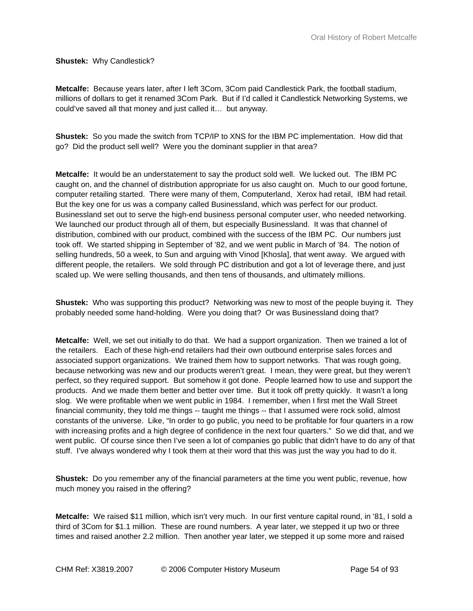#### **Shustek:** Why Candlestick?

**Metcalfe:** Because years later, after I left 3Com, 3Com paid Candlestick Park, the football stadium, millions of dollars to get it renamed 3Com Park. But if I'd called it Candlestick Networking Systems, we could've saved all that money and just called it… but anyway.

**Shustek:** So you made the switch from TCP/IP to XNS for the IBM PC implementation. How did that go? Did the product sell well? Were you the dominant supplier in that area?

**Metcalfe:** It would be an understatement to say the product sold well. We lucked out. The IBM PC caught on, and the channel of distribution appropriate for us also caught on. Much to our good fortune, computer retailing started. There were many of them, Computerland, Xerox had retail, IBM had retail. But the key one for us was a company called Businessland, which was perfect for our product. Businessland set out to serve the high-end business personal computer user, who needed networking. We launched our product through all of them, but especially Businessland. It was that channel of distribution, combined with our product, combined with the success of the IBM PC. Our numbers just took off. We started shipping in September of '82, and we went public in March of '84. The notion of selling hundreds, 50 a week, to Sun and arguing with Vinod [Khosla], that went away. We argued with different people, the retailers. We sold through PC distribution and got a lot of leverage there, and just scaled up. We were selling thousands, and then tens of thousands, and ultimately millions.

**Shustek:** Who was supporting this product? Networking was new to most of the people buying it. They probably needed some hand-holding. Were you doing that? Or was Businessland doing that?

**Metcalfe:** Well, we set out initially to do that. We had a support organization. Then we trained a lot of the retailers. Each of these high-end retailers had their own outbound enterprise sales forces and associated support organizations. We trained them how to support networks. That was rough going, because networking was new and our products weren't great. I mean, they were great, but they weren't perfect, so they required support. But somehow it got done. People learned how to use and support the products. And we made them better and better over time. But it took off pretty quickly. It wasn't a long slog. We were profitable when we went public in 1984. I remember, when I first met the Wall Street financial community, they told me things -- taught me things -- that I assumed were rock solid, almost constants of the universe. Like, "In order to go public, you need to be profitable for four quarters in a row with increasing profits and a high degree of confidence in the next four quarters." So we did that, and we went public. Of course since then I've seen a lot of companies go public that didn't have to do any of that stuff. I've always wondered why I took them at their word that this was just the way you had to do it.

**Shustek:** Do you remember any of the financial parameters at the time you went public, revenue, how much money you raised in the offering?

**Metcalfe:** We raised \$11 million, which isn't very much. In our first venture capital round, in '81, I sold a third of 3Com for \$1.1 million. These are round numbers. A year later, we stepped it up two or three times and raised another 2.2 million. Then another year later, we stepped it up some more and raised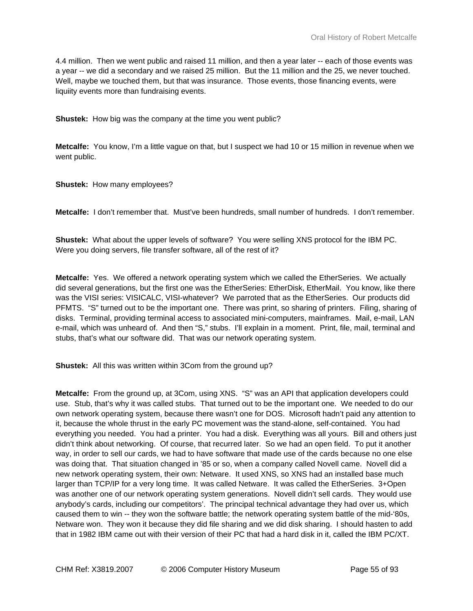4.4 million. Then we went public and raised 11 million, and then a year later -- each of those events was a year -- we did a secondary and we raised 25 million. But the 11 million and the 25, we never touched. Well, maybe we touched them, but that was insurance. Those events, those financing events, were liquiity events more than fundraising events.

**Shustek:** How big was the company at the time you went public?

**Metcalfe:** You know, I'm a little vague on that, but I suspect we had 10 or 15 million in revenue when we went public.

**Shustek:** How many employees?

**Metcalfe:** I don't remember that. Must've been hundreds, small number of hundreds. I don't remember.

**Shustek:** What about the upper levels of software? You were selling XNS protocol for the IBM PC. Were you doing servers, file transfer software, all of the rest of it?

**Metcalfe:** Yes. We offered a network operating system which we called the EtherSeries. We actually did several generations, but the first one was the EtherSeries: EtherDisk, EtherMail. You know, like there was the VISI series: VISICALC, VISI-whatever? We parroted that as the EtherSeries. Our products did PFMTS. "S" turned out to be the important one. There was print, so sharing of printers. Filing, sharing of disks. Terminal, providing terminal access to associated mini-computers, mainframes. Mail, e-mail, LAN e-mail, which was unheard of. And then "S," stubs. I'll explain in a moment. Print, file, mail, terminal and stubs, that's what our software did. That was our network operating system.

**Shustek:** All this was written within 3Com from the ground up?

**Metcalfe:** From the ground up, at 3Com, using XNS. "S" was an API that application developers could use. Stub, that's why it was called stubs. That turned out to be the important one. We needed to do our own network operating system, because there wasn't one for DOS. Microsoft hadn't paid any attention to it, because the whole thrust in the early PC movement was the stand-alone, self-contained. You had everything you needed. You had a printer. You had a disk. Everything was all yours. Bill and others just didn't think about networking. Of course, that recurred later. So we had an open field. To put it another way, in order to sell our cards, we had to have software that made use of the cards because no one else was doing that. That situation changed in '85 or so, when a company called Novell came. Novell did a new network operating system, their own: Netware. It used XNS, so XNS had an installed base much larger than TCP/IP for a very long time. It was called Netware. It was called the EtherSeries. 3+Open was another one of our network operating system generations. Novell didn't sell cards. They would use anybody's cards, including our competitors'. The principal technical advantage they had over us, which caused them to win -- they won the software battle; the network operating system battle of the mid-'80s, Netware won. They won it because they did file sharing and we did disk sharing. I should hasten to add that in 1982 IBM came out with their version of their PC that had a hard disk in it, called the IBM PC/XT.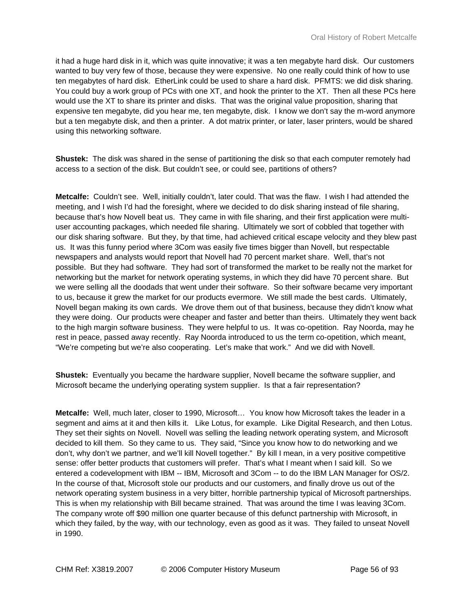it had a huge hard disk in it, which was quite innovative; it was a ten megabyte hard disk. Our customers wanted to buy very few of those, because they were expensive. No one really could think of how to use ten megabytes of hard disk. EtherLink could be used to share a hard disk. PFMTS: we did disk sharing. You could buy a work group of PCs with one XT, and hook the printer to the XT. Then all these PCs here would use the XT to share its printer and disks. That was the original value proposition, sharing that expensive ten megabyte, did you hear me, ten megabyte, disk. I know we don't say the m-word anymore but a ten megabyte disk, and then a printer. A dot matrix printer, or later, laser printers, would be shared using this networking software.

**Shustek:** The disk was shared in the sense of partitioning the disk so that each computer remotely had access to a section of the disk. But couldn't see, or could see, partitions of others?

**Metcalfe:** Couldn't see. Well, initially couldn't, later could. That was the flaw. I wish I had attended the meeting, and I wish I'd had the foresight, where we decided to do disk sharing instead of file sharing, because that's how Novell beat us. They came in with file sharing, and their first application were multiuser accounting packages, which needed file sharing. Ultimately we sort of cobbled that together with our disk sharing software. But they, by that time, had achieved critical escape velocity and they blew past us. It was this funny period where 3Com was easily five times bigger than Novell, but respectable newspapers and analysts would report that Novell had 70 percent market share. Well, that's not possible. But they had software. They had sort of transformed the market to be really not the market for networking but the market for network operating systems, in which they did have 70 percent share. But we were selling all the doodads that went under their software. So their software became very important to us, because it grew the market for our products evermore. We still made the best cards. Ultimately, Novell began making its own cards. We drove them out of that business, because they didn't know what they were doing. Our products were cheaper and faster and better than theirs. Ultimately they went back to the high margin software business. They were helpful to us. It was co-opetition. Ray Noorda, may he rest in peace, passed away recently. Ray Noorda introduced to us the term co-opetition, which meant, "We're competing but we're also cooperating. Let's make that work." And we did with Novell.

**Shustek:** Eventually you became the hardware supplier, Novell became the software supplier, and Microsoft became the underlying operating system supplier. Is that a fair representation?

**Metcalfe:** Well, much later, closer to 1990, Microsoft… You know how Microsoft takes the leader in a segment and aims at it and then kills it. Like Lotus, for example. Like Digital Research, and then Lotus. They set their sights on Novell. Novell was selling the leading network operating system, and Microsoft decided to kill them. So they came to us. They said, "Since you know how to do networking and we don't, why don't we partner, and we'll kill Novell together." By kill I mean, in a very positive competitive sense: offer better products that customers will prefer. That's what I meant when I said kill. So we entered a codevelopment with IBM -- IBM, Microsoft and 3Com -- to do the IBM LAN Manager for OS/2. In the course of that, Microsoft stole our products and our customers, and finally drove us out of the network operating system business in a very bitter, horrible partnership typical of Microsoft partnerships. This is when my relationship with Bill became strained. That was around the time I was leaving 3Com. The company wrote off \$90 million one quarter because of this defunct partnership with Microsoft, in which they failed, by the way, with our technology, even as good as it was. They failed to unseat Novell in 1990.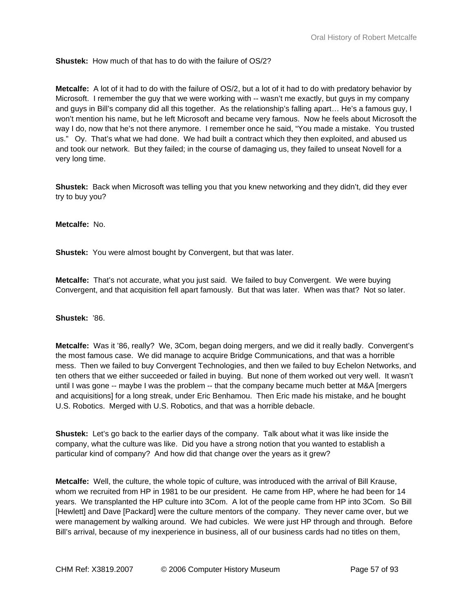# **Shustek:** How much of that has to do with the failure of OS/2?

**Metcalfe:** A lot of it had to do with the failure of OS/2, but a lot of it had to do with predatory behavior by Microsoft. I remember the guy that we were working with -- wasn't me exactly, but guys in my company and guys in Bill's company did all this together. As the relationship's falling apart… He's a famous guy, I won't mention his name, but he left Microsoft and became very famous. Now he feels about Microsoft the way I do, now that he's not there anymore. I remember once he said, "You made a mistake. You trusted us." Oy. That's what we had done. We had built a contract which they then exploited, and abused us and took our network. But they failed; in the course of damaging us, they failed to unseat Novell for a very long time.

**Shustek:** Back when Microsoft was telling you that you knew networking and they didn't, did they ever try to buy you?

**Metcalfe:** No.

**Shustek:** You were almost bought by Convergent, but that was later.

**Metcalfe:** That's not accurate, what you just said. We failed to buy Convergent. We were buying Convergent, and that acquisition fell apart famously. But that was later. When was that? Not so later.

# **Shustek:** '86.

**Metcalfe:** Was it '86, really? We, 3Com, began doing mergers, and we did it really badly. Convergent's the most famous case. We did manage to acquire Bridge Communications, and that was a horrible mess. Then we failed to buy Convergent Technologies, and then we failed to buy Echelon Networks, and ten others that we either succeeded or failed in buying. But none of them worked out very well. It wasn't until I was gone -- maybe I was the problem -- that the company became much better at M&A [mergers and acquisitions] for a long streak, under Eric Benhamou. Then Eric made his mistake, and he bought U.S. Robotics. Merged with U.S. Robotics, and that was a horrible debacle.

**Shustek:** Let's go back to the earlier days of the company. Talk about what it was like inside the company, what the culture was like. Did you have a strong notion that you wanted to establish a particular kind of company? And how did that change over the years as it grew?

**Metcalfe:** Well, the culture, the whole topic of culture, was introduced with the arrival of Bill Krause, whom we recruited from HP in 1981 to be our president. He came from HP, where he had been for 14 years. We transplanted the HP culture into 3Com. A lot of the people came from HP into 3Com. So Bill [Hewlett] and Dave [Packard] were the culture mentors of the company. They never came over, but we were management by walking around. We had cubicles. We were just HP through and through. Before Bill's arrival, because of my inexperience in business, all of our business cards had no titles on them,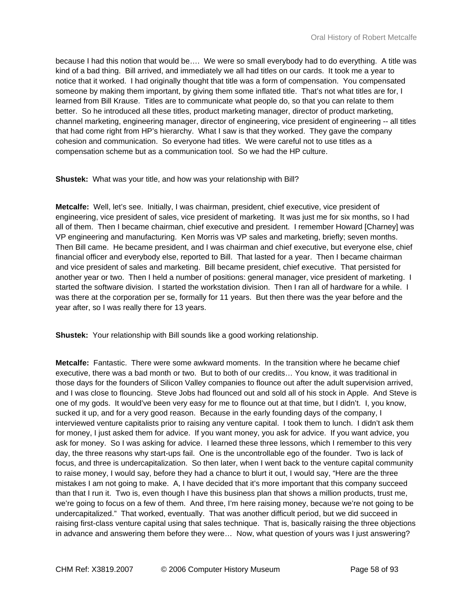because I had this notion that would be…. We were so small everybody had to do everything. A title was kind of a bad thing. Bill arrived, and immediately we all had titles on our cards. It took me a year to notice that it worked. I had originally thought that title was a form of compensation. You compensated someone by making them important, by giving them some inflated title. That's not what titles are for, I learned from Bill Krause. Titles are to communicate what people do, so that you can relate to them better. So he introduced all these titles, product marketing manager, director of product marketing, channel marketing, engineering manager, director of engineering, vice president of engineering -- all titles that had come right from HP's hierarchy. What I saw is that they worked. They gave the company cohesion and communication. So everyone had titles. We were careful not to use titles as a compensation scheme but as a communication tool. So we had the HP culture.

**Shustek:** What was your title, and how was your relationship with Bill?

**Metcalfe:** Well, let's see. Initially, I was chairman, president, chief executive, vice president of engineering, vice president of sales, vice president of marketing. It was just me for six months, so I had all of them. Then I became chairman, chief executive and president. I remember Howard [Charney] was VP engineering and manufacturing. Ken Morris was VP sales and marketing, briefly; seven months. Then Bill came. He became president, and I was chairman and chief executive, but everyone else, chief financial officer and everybody else, reported to Bill. That lasted for a year. Then I became chairman and vice president of sales and marketing. Bill became president, chief executive. That persisted for another year or two. Then I held a number of positions: general manager, vice president of marketing. I started the software division. I started the workstation division. Then I ran all of hardware for a while. I was there at the corporation per se, formally for 11 years. But then there was the year before and the year after, so I was really there for 13 years.

**Shustek:** Your relationship with Bill sounds like a good working relationship.

**Metcalfe:** Fantastic. There were some awkward moments. In the transition where he became chief executive, there was a bad month or two. But to both of our credits… You know, it was traditional in those days for the founders of Silicon Valley companies to flounce out after the adult supervision arrived, and I was close to flouncing. Steve Jobs had flounced out and sold all of his stock in Apple. And Steve is one of my gods. It would've been very easy for me to flounce out at that time, but I didn't. I, you know, sucked it up, and for a very good reason. Because in the early founding days of the company, I interviewed venture capitalists prior to raising any venture capital. I took them to lunch. I didn't ask them for money, I just asked them for advice. If you want money, you ask for advice. If you want advice, you ask for money. So I was asking for advice. I learned these three lessons, which I remember to this very day, the three reasons why start-ups fail. One is the uncontrollable ego of the founder. Two is lack of focus, and three is undercapitalization. So then later, when I went back to the venture capital community to raise money, I would say, before they had a chance to blurt it out, I would say, "Here are the three mistakes I am not going to make. A, I have decided that it's more important that this company succeed than that I run it. Two is, even though I have this business plan that shows a million products, trust me, we're going to focus on a few of them. And three, I'm here raising money, because we're not going to be undercapitalized." That worked, eventually. That was another difficult period, but we did succeed in raising first-class venture capital using that sales technique. That is, basically raising the three objections in advance and answering them before they were… Now, what question of yours was I just answering?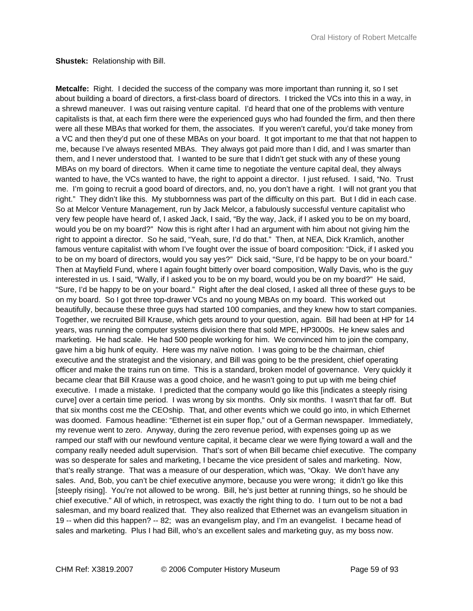#### **Shustek:** Relationship with Bill.

**Metcalfe:** Right. I decided the success of the company was more important than running it, so I set about building a board of directors, a first-class board of directors. I tricked the VCs into this in a way, in a shrewd maneuver. I was out raising venture capital. I'd heard that one of the problems with venture capitalists is that, at each firm there were the experienced guys who had founded the firm, and then there were all these MBAs that worked for them, the associates. If you weren't careful, you'd take money from a VC and then they'd put one of these MBAs on your board. It got important to me that that not happen to me, because I've always resented MBAs. They always got paid more than I did, and I was smarter than them, and I never understood that. I wanted to be sure that I didn't get stuck with any of these young MBAs on my board of directors. When it came time to negotiate the venture capital deal, they always wanted to have, the VCs wanted to have, the right to appoint a director. I just refused. I said, "No. Trust me. I'm going to recruit a good board of directors, and, no, you don't have a right. I will not grant you that right." They didn't like this. My stubbornness was part of the difficulty on this part. But I did in each case. So at Melcor Venture Management, run by Jack Melcor, a fabulously successful venture capitalist who very few people have heard of, I asked Jack, I said, "By the way, Jack, if I asked you to be on my board, would you be on my board?" Now this is right after I had an argument with him about not giving him the right to appoint a director. So he said, "Yeah, sure, I'd do that." Then, at NEA, Dick Kramlich, another famous venture capitalist with whom I've fought over the issue of board composition: "Dick, if I asked you to be on my board of directors, would you say yes?" Dick said, "Sure, I'd be happy to be on your board." Then at Mayfield Fund, where I again fought bitterly over board composition, Wally Davis, who is the guy interested in us. I said, "Wally, if I asked you to be on my board, would you be on my board?" He said, "Sure, I'd be happy to be on your board." Right after the deal closed, I asked all three of these guys to be on my board. So I got three top-drawer VCs and no young MBAs on my board. This worked out beautifully, because these three guys had started 100 companies, and they knew how to start companies. Together, we recruited Bill Krause, which gets around to your question, again. Bill had been at HP for 14 years, was running the computer systems division there that sold MPE, HP3000s. He knew sales and marketing. He had scale. He had 500 people working for him. We convinced him to join the company, gave him a big hunk of equity. Here was my naïve notion. I was going to be the chairman, chief executive and the strategist and the visionary, and Bill was going to be the president, chief operating officer and make the trains run on time. This is a standard, broken model of governance. Very quickly it became clear that Bill Krause was a good choice, and he wasn't going to put up with me being chief executive. I made a mistake. I predicted that the company would go like this [indicates a steeply rising curve] over a certain time period. I was wrong by six months. Only six months. I wasn't that far off. But that six months cost me the CEOship. That, and other events which we could go into, in which Ethernet was doomed. Famous headline: "Ethernet ist ein super flop," out of a German newspaper. Immediately, my revenue went to zero. Anyway, during the zero revenue period, with expenses going up as we ramped our staff with our newfound venture capital, it became clear we were flying toward a wall and the company really needed adult supervision. That's sort of when Bill became chief executive. The company was so desperate for sales and marketing, I became the vice president of sales and marketing. Now, that's really strange. That was a measure of our desperation, which was, "Okay. We don't have any sales. And, Bob, you can't be chief executive anymore, because you were wrong; it didn't go like this [steeply rising]. You're not allowed to be wrong. Bill, he's just better at running things, so he should be chief executive." All of which, in retrospect, was exactly the right thing to do. I turn out to be not a bad salesman, and my board realized that. They also realized that Ethernet was an evangelism situation in 19 -- when did this happen? -- 82; was an evangelism play, and I'm an evangelist. I became head of sales and marketing. Plus I had Bill, who's an excellent sales and marketing guy, as my boss now.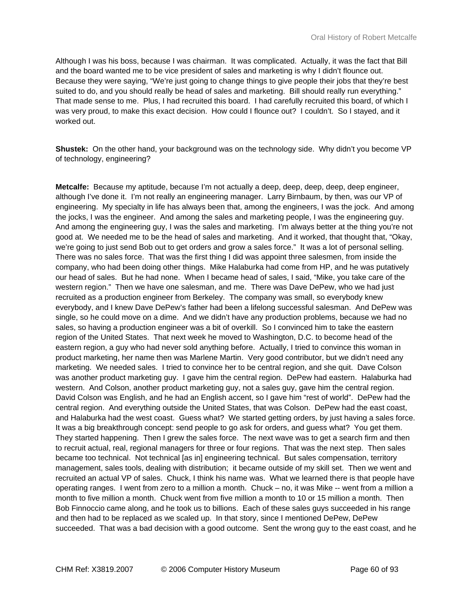Although I was his boss, because I was chairman. It was complicated. Actually, it was the fact that Bill and the board wanted me to be vice president of sales and marketing is why I didn't flounce out. Because they were saying, "We're just going to change things to give people their jobs that they're best suited to do, and you should really be head of sales and marketing. Bill should really run everything." That made sense to me. Plus, I had recruited this board. I had carefully recruited this board, of which I was very proud, to make this exact decision. How could I flounce out? I couldn't. So I stayed, and it worked out.

**Shustek:** On the other hand, your background was on the technology side. Why didn't you become VP of technology, engineering?

**Metcalfe:** Because my aptitude, because I'm not actually a deep, deep, deep, deep, deep engineer, although I've done it. I'm not really an engineering manager. Larry Birnbaum, by then, was our VP of engineering. My specialty in life has always been that, among the engineers, I was the jock. And among the jocks, I was the engineer. And among the sales and marketing people, I was the engineering guy. And among the engineering guy, I was the sales and marketing. I'm always better at the thing you're not good at. We needed me to be the head of sales and marketing. And it worked, that thought that, "Okay, we're going to just send Bob out to get orders and grow a sales force." It was a lot of personal selling. There was no sales force. That was the first thing I did was appoint three salesmen, from inside the company, who had been doing other things. Mike Halaburka had come from HP, and he was putatively our head of sales. But he had none. When I became head of sales, I said, "Mike, you take care of the western region." Then we have one salesman, and me. There was Dave DePew, who we had just recruited as a production engineer from Berkeley. The company was small, so everybody knew everybody, and I knew Dave DePew's father had been a lifelong successful salesman. And DePew was single, so he could move on a dime. And we didn't have any production problems, because we had no sales, so having a production engineer was a bit of overkill. So I convinced him to take the eastern region of the United States. That next week he moved to Washington, D.C. to become head of the eastern region, a guy who had never sold anything before. Actually, I tried to convince this woman in product marketing, her name then was Marlene Martin. Very good contributor, but we didn't need any marketing. We needed sales. I tried to convince her to be central region, and she quit. Dave Colson was another product marketing guy. I gave him the central region. DePew had eastern. Halaburka had western. And Colson, another product marketing guy, not a sales guy, gave him the central region. David Colson was English, and he had an English accent, so I gave him "rest of world". DePew had the central region. And everything outside the United States, that was Colson. DePew had the east coast, and Halaburka had the west coast. Guess what? We started getting orders, by just having a sales force. It was a big breakthrough concept: send people to go ask for orders, and guess what? You get them. They started happening. Then I grew the sales force. The next wave was to get a search firm and then to recruit actual, real, regional managers for three or four regions. That was the next step. Then sales became too technical. Not technical [as in] engineering technical. But sales compensation, territory management, sales tools, dealing with distribution; it became outside of my skill set. Then we went and recruited an actual VP of sales. Chuck, I think his name was. What we learned there is that people have operating ranges. I went from zero to a million a month. Chuck – no, it was Mike -- went from a million a month to five million a month. Chuck went from five million a month to 10 or 15 million a month. Then Bob Finnoccio came along, and he took us to billions. Each of these sales guys succeeded in his range and then had to be replaced as we scaled up. In that story, since I mentioned DePew, DePew succeeded. That was a bad decision with a good outcome. Sent the wrong guy to the east coast, and he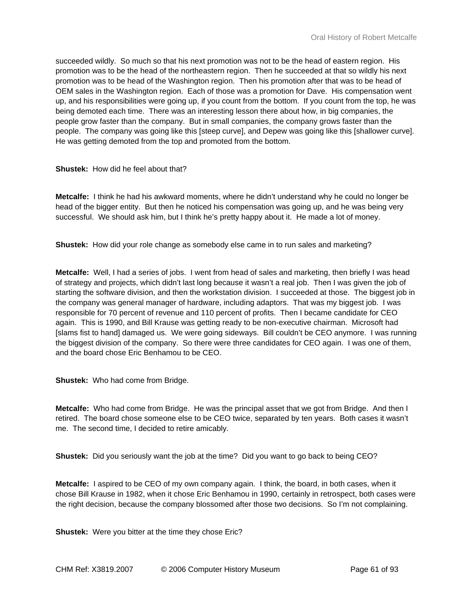succeeded wildly. So much so that his next promotion was not to be the head of eastern region. His promotion was to be the head of the northeastern region. Then he succeeded at that so wildly his next promotion was to be head of the Washington region. Then his promotion after that was to be head of OEM sales in the Washington region. Each of those was a promotion for Dave. His compensation went up, and his responsibilities were going up, if you count from the bottom. If you count from the top, he was being demoted each time. There was an interesting lesson there about how, in big companies, the people grow faster than the company. But in small companies, the company grows faster than the people. The company was going like this [steep curve], and Depew was going like this [shallower curve]. He was getting demoted from the top and promoted from the bottom.

## **Shustek:** How did he feel about that?

**Metcalfe:** I think he had his awkward moments, where he didn't understand why he could no longer be head of the bigger entity. But then he noticed his compensation was going up, and he was being very successful. We should ask him, but I think he's pretty happy about it. He made a lot of money.

**Shustek:** How did your role change as somebody else came in to run sales and marketing?

**Metcalfe:** Well, I had a series of jobs. I went from head of sales and marketing, then briefly I was head of strategy and projects, which didn't last long because it wasn't a real job. Then I was given the job of starting the software division, and then the workstation division. I succeeded at those. The biggest job in the company was general manager of hardware, including adaptors. That was my biggest job. I was responsible for 70 percent of revenue and 110 percent of profits. Then I became candidate for CEO again. This is 1990, and Bill Krause was getting ready to be non-executive chairman. Microsoft had [slams fist to hand] damaged us. We were going sideways. Bill couldn't be CEO anymore. I was running the biggest division of the company. So there were three candidates for CEO again. I was one of them, and the board chose Eric Benhamou to be CEO.

**Shustek:** Who had come from Bridge.

**Metcalfe:** Who had come from Bridge. He was the principal asset that we got from Bridge. And then I retired. The board chose someone else to be CEO twice, separated by ten years. Both cases it wasn't me. The second time, I decided to retire amicably.

**Shustek:** Did you seriously want the job at the time? Did you want to go back to being CEO?

**Metcalfe:** I aspired to be CEO of my own company again. I think, the board, in both cases, when it chose Bill Krause in 1982, when it chose Eric Benhamou in 1990, certainly in retrospect, both cases were the right decision, because the company blossomed after those two decisions. So I'm not complaining.

**Shustek:** Were you bitter at the time they chose Eric?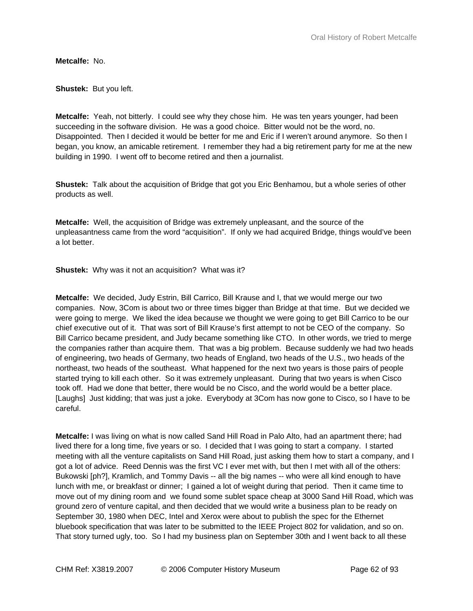**Metcalfe:** No.

**Shustek:** But you left.

**Metcalfe:** Yeah, not bitterly. I could see why they chose him. He was ten years younger, had been succeeding in the software division. He was a good choice. Bitter would not be the word, no. Disappointed. Then I decided it would be better for me and Eric if I weren't around anymore. So then I began, you know, an amicable retirement. I remember they had a big retirement party for me at the new building in 1990. I went off to become retired and then a journalist.

**Shustek:** Talk about the acquisition of Bridge that got you Eric Benhamou, but a whole series of other products as well.

**Metcalfe:** Well, the acquisition of Bridge was extremely unpleasant, and the source of the unpleasantness came from the word "acquisition". If only we had acquired Bridge, things would've been a lot better.

**Shustek:** Why was it not an acquisition? What was it?

**Metcalfe:** We decided, Judy Estrin, Bill Carrico, Bill Krause and I, that we would merge our two companies. Now, 3Com is about two or three times bigger than Bridge at that time. But we decided we were going to merge. We liked the idea because we thought we were going to get Bill Carrico to be our chief executive out of it. That was sort of Bill Krause's first attempt to not be CEO of the company. So Bill Carrico became president, and Judy became something like CTO. In other words, we tried to merge the companies rather than acquire them. That was a big problem. Because suddenly we had two heads of engineering, two heads of Germany, two heads of England, two heads of the U.S., two heads of the northeast, two heads of the southeast. What happened for the next two years is those pairs of people started trying to kill each other. So it was extremely unpleasant. During that two years is when Cisco took off. Had we done that better, there would be no Cisco, and the world would be a better place. [Laughs] Just kidding; that was just a joke. Everybody at 3Com has now gone to Cisco, so I have to be careful.

**Metcalfe:** I was living on what is now called Sand Hill Road in Palo Alto, had an apartment there; had lived there for a long time, five years or so. I decided that I was going to start a company. I started meeting with all the venture capitalists on Sand Hill Road, just asking them how to start a company, and I got a lot of advice. Reed Dennis was the first VC I ever met with, but then I met with all of the others: Bukowski [ph?], Kramlich, and Tommy Davis -- all the big names -- who were all kind enough to have lunch with me, or breakfast or dinner; I gained a lot of weight during that period. Then it came time to move out of my dining room and we found some sublet space cheap at 3000 Sand Hill Road, which was ground zero of venture capital, and then decided that we would write a business plan to be ready on September 30, 1980 when DEC, Intel and Xerox were about to publish the spec for the Ethernet bluebook specification that was later to be submitted to the IEEE Project 802 for validation, and so on. That story turned ugly, too. So I had my business plan on September 30th and I went back to all these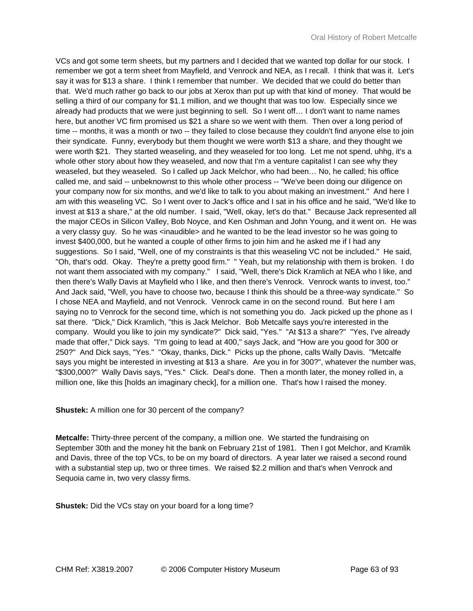VCs and got some term sheets, but my partners and I decided that we wanted top dollar for our stock. I remember we got a term sheet from Mayfield, and Venrock and NEA, as I recall. I think that was it. Let's say it was for \$13 a share. I think I remember that number. We decided that we could do better than that. We'd much rather go back to our jobs at Xerox than put up with that kind of money. That would be selling a third of our company for \$1.1 million, and we thought that was too low. Especially since we already had products that we were just beginning to sell. So I went off… I don't want to name names here, but another VC firm promised us \$21 a share so we went with them. Then over a long period of time -- months, it was a month or two -- they failed to close because they couldn't find anyone else to join their syndicate. Funny, everybody but them thought we were worth \$13 a share, and they thought we were worth \$21. They started weaseling, and they weaseled for too long. Let me not spend, uhhg, it's a whole other story about how they weaseled, and now that I'm a venture capitalist I can see why they weaseled, but they weaseled. So I called up Jack Melchor, who had been… No, he called; his office called me, and said -- unbeknownst to this whole other process -- "We've been doing our diligence on your company now for six months, and we'd like to talk to you about making an investment." And here I am with this weaseling VC. So I went over to Jack's office and I sat in his office and he said, "We'd like to invest at \$13 a share," at the old number. I said, "Well, okay, let's do that." Because Jack represented all the major CEOs in Silicon Valley, Bob Noyce, and Ken Oshman and John Young, and it went on. He was a very classy guy. So he was <inaudible> and he wanted to be the lead investor so he was going to invest \$400,000, but he wanted a couple of other firms to join him and he asked me if I had any suggestions. So I said, "Well, one of my constraints is that this weaseling VC not be included." He said, "Oh, that's odd. Okay. They're a pretty good firm." " Yeah, but my relationship with them is broken. I do not want them associated with my company." I said, "Well, there's Dick Kramlich at NEA who I like, and then there's Wally Davis at Mayfield who I like, and then there's Venrock. Venrock wants to invest, too." And Jack said, "Well, you have to choose two, because I think this should be a three-way syndicate." So I chose NEA and Mayfield, and not Venrock. Venrock came in on the second round. But here I am saying no to Venrock for the second time, which is not something you do. Jack picked up the phone as I sat there. "Dick," Dick Kramlich, "this is Jack Melchor. Bob Metcalfe says you're interested in the company. Would you like to join my syndicate?" Dick said, "Yes." "At \$13 a share?" "Yes, I've already made that offer," Dick says. "I'm going to lead at 400," says Jack, and "How are you good for 300 or 250?" And Dick says, "Yes." "Okay, thanks, Dick." Picks up the phone, calls Wally Davis. "Metcalfe says you might be interested in investing at \$13 a share. Are you in for 300?", whatever the number was, "\$300,000?" Wally Davis says, "Yes." Click. Deal's done. Then a month later, the money rolled in, a million one, like this [holds an imaginary check], for a million one. That's how I raised the money.

**Shustek:** A million one for 30 percent of the company?

**Metcalfe:** Thirty-three percent of the company, a million one. We started the fundraising on September 30th and the money hit the bank on February 21st of 1981. Then I got Melchor, and Kramlik and Davis, three of the top VCs, to be on my board of directors. A year later we raised a second round with a substantial step up, two or three times. We raised \$2.2 million and that's when Venrock and Sequoia came in, two very classy firms.

**Shustek:** Did the VCs stay on your board for a long time?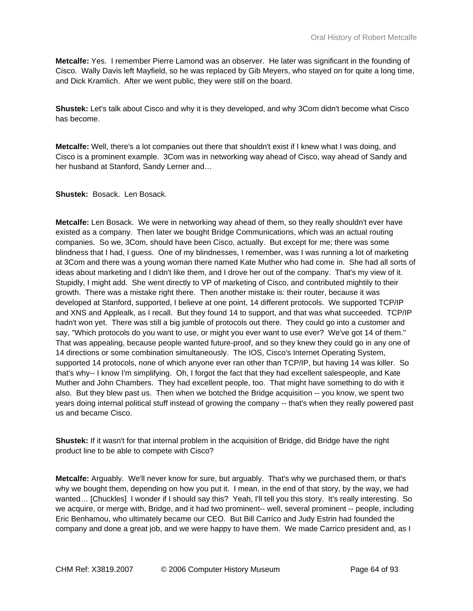**Metcalfe:** Yes. I remember Pierre Lamond was an observer. He later was significant in the founding of Cisco. Wally Davis left Mayfield, so he was replaced by Gib Meyers, who stayed on for quite a long time, and Dick Kramlich. After we went public, they were still on the board.

**Shustek:** Let's talk about Cisco and why it is they developed, and why 3Com didn't become what Cisco has become.

**Metcalfe:** Well, there's a lot companies out there that shouldn't exist if I knew what I was doing, and Cisco is a prominent example. 3Com was in networking way ahead of Cisco, way ahead of Sandy and her husband at Stanford, Sandy Lerner and…

**Shustek:** Bosack. Len Bosack.

**Metcalfe:** Len Bosack. We were in networking way ahead of them, so they really shouldn't ever have existed as a company. Then later we bought Bridge Communications, which was an actual routing companies. So we, 3Com, should have been Cisco, actually. But except for me; there was some blindness that I had, I guess. One of my blindnesses, I remember, was I was running a lot of marketing at 3Com and there was a young woman there named Kate Muther who had come in. She had all sorts of ideas about marketing and I didn't like them, and I drove her out of the company. That's my view of it. Stupidly, I might add. She went directly to VP of marketing of Cisco, and contributed mightily to their growth. There was a mistake right there. Then another mistake is: their router, because it was developed at Stanford, supported, I believe at one point, 14 different protocols. We supported TCP/IP and XNS and Applealk, as I recall. But they found 14 to support, and that was what succeeded. TCP/IP hadn't won yet. There was still a big jumble of protocols out there. They could go into a customer and say, "Which protocols do you want to use, or might you ever want to use ever? We've got 14 of them." That was appealing, because people wanted future-proof, and so they knew they could go in any one of 14 directions or some combination simultaneously. The IOS, Cisco's Internet Operating System, supported 14 protocols, none of which anyone ever ran other than TCP/IP, but having 14 was killer. So that's why-- I know I'm simplifying. Oh, I forgot the fact that they had excellent salespeople, and Kate Muther and John Chambers. They had excellent people, too. That might have something to do with it also. But they blew past us. Then when we botched the Bridge acquisition -- you know, we spent two years doing internal political stuff instead of growing the company -- that's when they really powered past us and became Cisco.

**Shustek:** If it wasn't for that internal problem in the acquisition of Bridge, did Bridge have the right product line to be able to compete with Cisco?

**Metcalfe:** Arguably. We'll never know for sure, but arguably. That's why we purchased them, or that's why we bought them, depending on how you put it. I mean, in the end of that story, by the way, we had wanted... [Chuckles] I wonder if I should say this? Yeah, I'll tell you this story. It's really interesting. So we acquire, or merge with, Bridge, and it had two prominent-- well, several prominent -- people, including Eric Benhamou, who ultimately became our CEO. But Bill Carrico and Judy Estrin had founded the company and done a great job, and we were happy to have them. We made Carrico president and, as I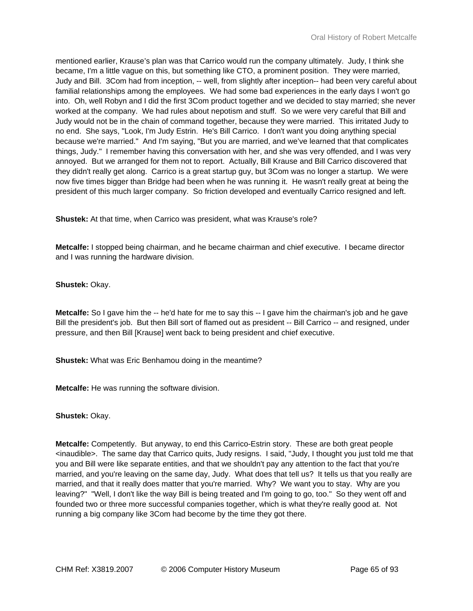mentioned earlier, Krause's plan was that Carrico would run the company ultimately. Judy, I think she became, I'm a little vague on this, but something like CTO, a prominent position. They were married, Judy and Bill. 3Com had from inception, -- well, from slightly after inception-- had been very careful about familial relationships among the employees. We had some bad experiences in the early days I won't go into. Oh, well Robyn and I did the first 3Com product together and we decided to stay married; she never worked at the company. We had rules about nepotism and stuff. So we were very careful that Bill and Judy would not be in the chain of command together, because they were married. This irritated Judy to no end. She says, "Look, I'm Judy Estrin. He's Bill Carrico. I don't want you doing anything special because we're married." And I'm saying, "But you are married, and we've learned that that complicates things, Judy." I remember having this conversation with her, and she was very offended, and I was very annoyed. But we arranged for them not to report. Actually, Bill Krause and Bill Carrico discovered that they didn't really get along. Carrico is a great startup guy, but 3Com was no longer a startup. We were now five times bigger than Bridge had been when he was running it. He wasn't really great at being the president of this much larger company. So friction developed and eventually Carrico resigned and left.

**Shustek:** At that time, when Carrico was president, what was Krause's role?

**Metcalfe:** I stopped being chairman, and he became chairman and chief executive. I became director and I was running the hardware division.

**Shustek:** Okay.

**Metcalfe:** So I gave him the -- he'd hate for me to say this -- I gave him the chairman's job and he gave Bill the president's job. But then Bill sort of flamed out as president -- Bill Carrico -- and resigned, under pressure, and then Bill [Krause] went back to being president and chief executive.

**Shustek:** What was Eric Benhamou doing in the meantime?

**Metcalfe:** He was running the software division.

**Shustek:** Okay.

**Metcalfe:** Competently. But anyway, to end this Carrico-Estrin story. These are both great people <inaudible>. The same day that Carrico quits, Judy resigns. I said, "Judy, I thought you just told me that you and Bill were like separate entities, and that we shouldn't pay any attention to the fact that you're married, and you're leaving on the same day, Judy. What does that tell us? It tells us that you really are married, and that it really does matter that you're married. Why? We want you to stay. Why are you leaving?" "Well, I don't like the way Bill is being treated and I'm going to go, too." So they went off and founded two or three more successful companies together, which is what they're really good at. Not running a big company like 3Com had become by the time they got there.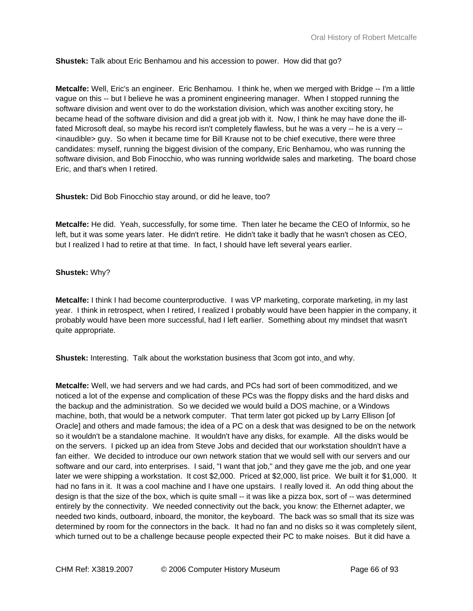**Shustek:** Talk about Eric Benhamou and his accession to power. How did that go?

**Metcalfe:** Well, Eric's an engineer. Eric Benhamou. I think he, when we merged with Bridge -- I'm a little vague on this -- but I believe he was a prominent engineering manager. When I stopped running the software division and went over to do the workstation division, which was another exciting story, he became head of the software division and did a great job with it. Now, I think he may have done the illfated Microsoft deal, so maybe his record isn't completely flawless, but he was a very -- he is a very -- <inaudible> guy. So when it became time for Bill Krause not to be chief executive, there were three candidates: myself, running the biggest division of the company, Eric Benhamou, who was running the software division, and Bob Finocchio, who was running worldwide sales and marketing. The board chose Eric, and that's when I retired.

**Shustek:** Did Bob Finocchio stay around, or did he leave, too?

**Metcalfe:** He did. Yeah, successfully, for some time. Then later he became the CEO of Informix, so he left, but it was some years later. He didn't retire. He didn't take it badly that he wasn't chosen as CEO, but I realized I had to retire at that time. In fact, I should have left several years earlier.

# **Shustek:** Why?

**Metcalfe:** I think I had become counterproductive. I was VP marketing, corporate marketing, in my last year. I think in retrospect, when I retired, I realized I probably would have been happier in the company, it probably would have been more successful, had I left earlier. Something about my mindset that wasn't quite appropriate.

**Shustek:** Interesting. Talk about the workstation business that 3com got into, and why.

**Metcalfe:** Well, we had servers and we had cards, and PCs had sort of been commoditized, and we noticed a lot of the expense and complication of these PCs was the floppy disks and the hard disks and the backup and the administration. So we decided we would build a DOS machine, or a Windows machine, both, that would be a network computer. That term later got picked up by Larry Ellison [of Oracle] and others and made famous; the idea of a PC on a desk that was designed to be on the network so it wouldn't be a standalone machine. It wouldn't have any disks, for example. All the disks would be on the servers. I picked up an idea from Steve Jobs and decided that our workstation shouldn't have a fan either. We decided to introduce our own network station that we would sell with our servers and our software and our card, into enterprises. I said, "I want that job," and they gave me the job, and one year later we were shipping a workstation. It cost \$2,000. Priced at \$2,000, list price. We built it for \$1,000. It had no fans in it. It was a cool machine and I have one upstairs. I really loved it. An odd thing about the design is that the size of the box, which is quite small -- it was like a pizza box, sort of -- was determined entirely by the connectivity. We needed connectivity out the back, you know: the Ethernet adapter, we needed two kinds, outboard, inboard, the monitor, the keyboard. The back was so small that its size was determined by room for the connectors in the back. It had no fan and no disks so it was completely silent, which turned out to be a challenge because people expected their PC to make noises. But it did have a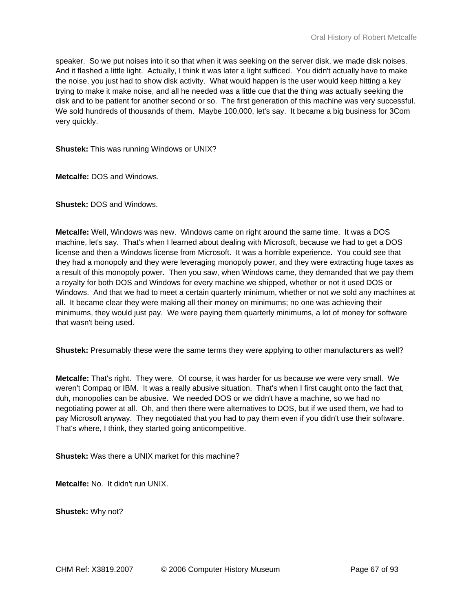speaker. So we put noises into it so that when it was seeking on the server disk, we made disk noises. And it flashed a little light. Actually, I think it was later a light sufficed. You didn't actually have to make the noise, you just had to show disk activity. What would happen is the user would keep hitting a key trying to make it make noise, and all he needed was a little cue that the thing was actually seeking the disk and to be patient for another second or so. The first generation of this machine was very successful. We sold hundreds of thousands of them. Maybe 100,000, let's say. It became a big business for 3Com very quickly.

**Shustek:** This was running Windows or UNIX?

**Metcalfe:** DOS and Windows.

**Shustek:** DOS and Windows.

**Metcalfe:** Well, Windows was new. Windows came on right around the same time. It was a DOS machine, let's say. That's when I learned about dealing with Microsoft, because we had to get a DOS license and then a Windows license from Microsoft. It was a horrible experience. You could see that they had a monopoly and they were leveraging monopoly power, and they were extracting huge taxes as a result of this monopoly power. Then you saw, when Windows came, they demanded that we pay them a royalty for both DOS and Windows for every machine we shipped, whether or not it used DOS or Windows. And that we had to meet a certain quarterly minimum, whether or not we sold any machines at all. It became clear they were making all their money on minimums; no one was achieving their minimums, they would just pay. We were paying them quarterly minimums, a lot of money for software that wasn't being used.

**Shustek:** Presumably these were the same terms they were applying to other manufacturers as well?

**Metcalfe:** That's right. They were. Of course, it was harder for us because we were very small. We weren't Compaq or IBM. It was a really abusive situation. That's when I first caught onto the fact that, duh, monopolies can be abusive. We needed DOS or we didn't have a machine, so we had no negotiating power at all. Oh, and then there were alternatives to DOS, but if we used them, we had to pay Microsoft anyway. They negotiated that you had to pay them even if you didn't use their software. That's where, I think, they started going anticompetitive.

**Shustek:** Was there a UNIX market for this machine?

**Metcalfe:** No. It didn't run UNIX.

**Shustek:** Why not?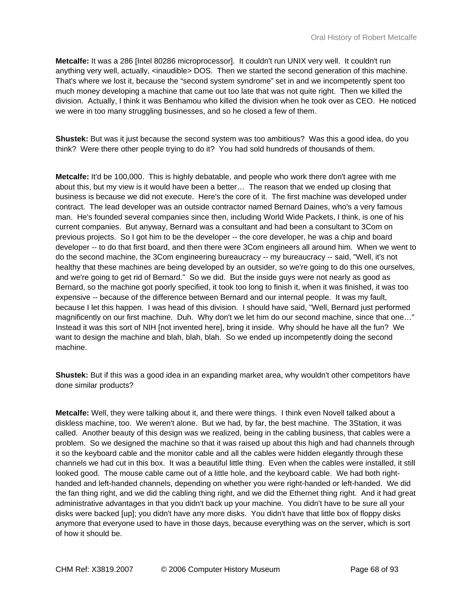**Metcalfe:** It was a 286 [Intel 80286 microprocessor]. It couldn't run UNIX very well. It couldn't run anything very well, actually, <inaudible> DOS. Then we started the second generation of this machine. That's where we lost it, because the "second system syndrome" set in and we incompetently spent too much money developing a machine that came out too late that was not quite right. Then we killed the division. Actually, I think it was Benhamou who killed the division when he took over as CEO. He noticed we were in too many struggling businesses, and so he closed a few of them.

**Shustek:** But was it just because the second system was too ambitious? Was this a good idea, do you think? Were there other people trying to do it? You had sold hundreds of thousands of them.

**Metcalfe:** It'd be 100,000. This is highly debatable, and people who work there don't agree with me about this, but my view is it would have been a better… The reason that we ended up closing that business is because we did not execute. Here's the core of it. The first machine was developed under contract. The lead developer was an outside contractor named Bernard Daines, who's a very famous man. He's founded several companies since then, including World Wide Packets, I think, is one of his current companies. But anyway, Bernard was a consultant and had been a consultant to 3Com on previous projects. So I got him to be the developer -- the core developer, he was a chip and board developer -- to do that first board, and then there were 3Com engineers all around him. When we went to do the second machine, the 3Com engineering bureaucracy -- my bureaucracy -- said, "Well, it's not healthy that these machines are being developed by an outsider, so we're going to do this one ourselves, and we're going to get rid of Bernard." So we did. But the inside guys were not nearly as good as Bernard, so the machine got poorly specified, it took too long to finish it, when it was finished, it was too expensive -- because of the difference between Bernard and our internal people. It was my fault, because I let this happen. I was head of this division. I should have said, "Well, Bernard just performed magnificently on our first machine. Duh. Why don't we let him do our second machine, since that one…" Instead it was this sort of NIH [not invented here], bring it inside. Why should he have all the fun? We want to design the machine and blah, blah, blah. So we ended up incompetently doing the second machine.

**Shustek:** But if this was a good idea in an expanding market area, why wouldn't other competitors have done similar products?

**Metcalfe:** Well, they were talking about it, and there were things. I think even Novell talked about a diskless machine, too. We weren't alone. But we had, by far, the best machine. The 3Station, it was called. Another beauty of this design was we realized, being in the cabling business, that cables were a problem. So we designed the machine so that it was raised up about this high and had channels through it so the keyboard cable and the monitor cable and all the cables were hidden elegantly through these channels we had cut in this box. It was a beautiful little thing. Even when the cables were installed, it still looked good. The mouse cable came out of a little hole, and the keyboard cable. We had both righthanded and left-handed channels, depending on whether you were right-handed or left-handed. We did the fan thing right, and we did the cabling thing right, and we did the Ethernet thing right. And it had great administrative advantages in that you didn't back up your machine. You didn't have to be sure all your disks were backed [up]; you didn't have any more disks. You didn't have that little box of floppy disks anymore that everyone used to have in those days, because everything was on the server, which is sort of how it should be.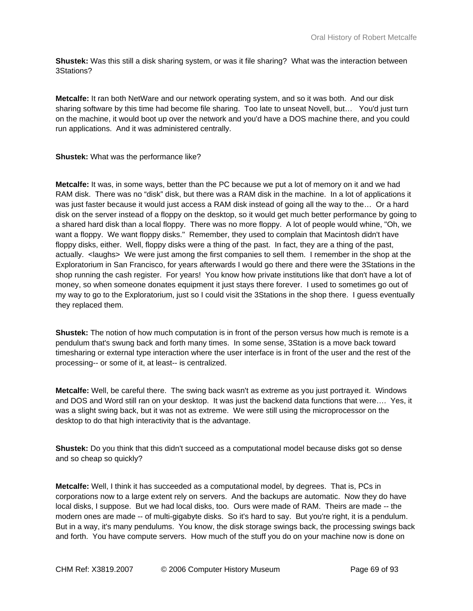**Shustek:** Was this still a disk sharing system, or was it file sharing? What was the interaction between 3Stations?

**Metcalfe:** It ran both NetWare and our network operating system, and so it was both. And our disk sharing software by this time had become file sharing. Too late to unseat Novell, but… You'd just turn on the machine, it would boot up over the network and you'd have a DOS machine there, and you could run applications. And it was administered centrally.

#### **Shustek:** What was the performance like?

**Metcalfe:** It was, in some ways, better than the PC because we put a lot of memory on it and we had RAM disk. There was no "disk" disk, but there was a RAM disk in the machine. In a lot of applications it was just faster because it would just access a RAM disk instead of going all the way to the… Or a hard disk on the server instead of a floppy on the desktop, so it would get much better performance by going to a shared hard disk than a local floppy. There was no more floppy. A lot of people would whine, "Oh, we want a floppy. We want floppy disks." Remember, they used to complain that Macintosh didn't have floppy disks, either. Well, floppy disks were a thing of the past. In fact, they are a thing of the past, actually. <laughs> We were just among the first companies to sell them. I remember in the shop at the Exploratorium in San Francisco, for years afterwards I would go there and there were the 3Stations in the shop running the cash register. For years! You know how private institutions like that don't have a lot of money, so when someone donates equipment it just stays there forever. I used to sometimes go out of my way to go to the Exploratorium, just so I could visit the 3Stations in the shop there. I guess eventually they replaced them.

**Shustek:** The notion of how much computation is in front of the person versus how much is remote is a pendulum that's swung back and forth many times. In some sense, 3Station is a move back toward timesharing or external type interaction where the user interface is in front of the user and the rest of the processing-- or some of it, at least-- is centralized.

**Metcalfe:** Well, be careful there. The swing back wasn't as extreme as you just portrayed it. Windows and DOS and Word still ran on your desktop. It was just the backend data functions that were…. Yes, it was a slight swing back, but it was not as extreme. We were still using the microprocessor on the desktop to do that high interactivity that is the advantage.

**Shustek:** Do you think that this didn't succeed as a computational model because disks got so dense and so cheap so quickly?

**Metcalfe:** Well, I think it has succeeded as a computational model, by degrees. That is, PCs in corporations now to a large extent rely on servers. And the backups are automatic. Now they do have local disks, I suppose. But we had local disks, too. Ours were made of RAM. Theirs are made -- the modern ones are made -- of multi-gigabyte disks. So it's hard to say. But you're right, it is a pendulum. But in a way, it's many pendulums. You know, the disk storage swings back, the processing swings back and forth. You have compute servers. How much of the stuff you do on your machine now is done on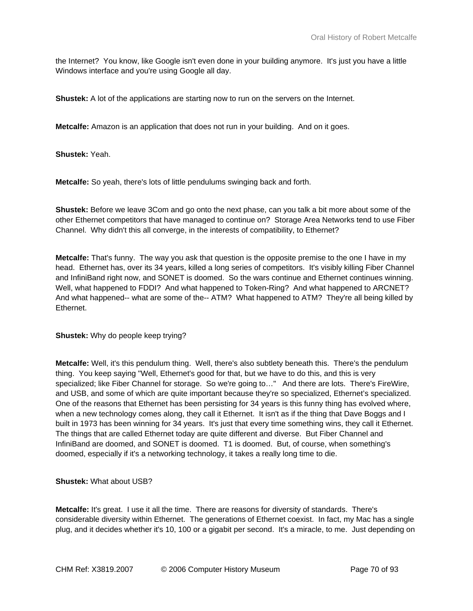the Internet? You know, like Google isn't even done in your building anymore. It's just you have a little Windows interface and you're using Google all day.

**Shustek:** A lot of the applications are starting now to run on the servers on the Internet.

**Metcalfe:** Amazon is an application that does not run in your building. And on it goes.

**Shustek:** Yeah.

**Metcalfe:** So yeah, there's lots of little pendulums swinging back and forth.

**Shustek:** Before we leave 3Com and go onto the next phase, can you talk a bit more about some of the other Ethernet competitors that have managed to continue on? Storage Area Networks tend to use Fiber Channel. Why didn't this all converge, in the interests of compatibility, to Ethernet?

**Metcalfe:** That's funny. The way you ask that question is the opposite premise to the one I have in my head. Ethernet has, over its 34 years, killed a long series of competitors. It's visibly killing Fiber Channel and InfiniBand right now, and SONET is doomed. So the wars continue and Ethernet continues winning. Well, what happened to FDDI? And what happened to Token-Ring? And what happened to ARCNET? And what happened-- what are some of the-- ATM? What happened to ATM? They're all being killed by Ethernet.

**Shustek:** Why do people keep trying?

**Metcalfe:** Well, it's this pendulum thing. Well, there's also subtlety beneath this. There's the pendulum thing. You keep saying "Well, Ethernet's good for that, but we have to do this, and this is very specialized; like Fiber Channel for storage. So we're going to…" And there are lots. There's FireWire, and USB, and some of which are quite important because they're so specialized, Ethernet's specialized. One of the reasons that Ethernet has been persisting for 34 years is this funny thing has evolved where, when a new technology comes along, they call it Ethernet. It isn't as if the thing that Dave Boggs and I built in 1973 has been winning for 34 years. It's just that every time something wins, they call it Ethernet. The things that are called Ethernet today are quite different and diverse. But Fiber Channel and InfiniBand are doomed, and SONET is doomed. T1 is doomed. But, of course, when something's doomed, especially if it's a networking technology, it takes a really long time to die.

**Shustek:** What about USB?

**Metcalfe:** It's great. I use it all the time. There are reasons for diversity of standards. There's considerable diversity within Ethernet. The generations of Ethernet coexist. In fact, my Mac has a single plug, and it decides whether it's 10, 100 or a gigabit per second. It's a miracle, to me. Just depending on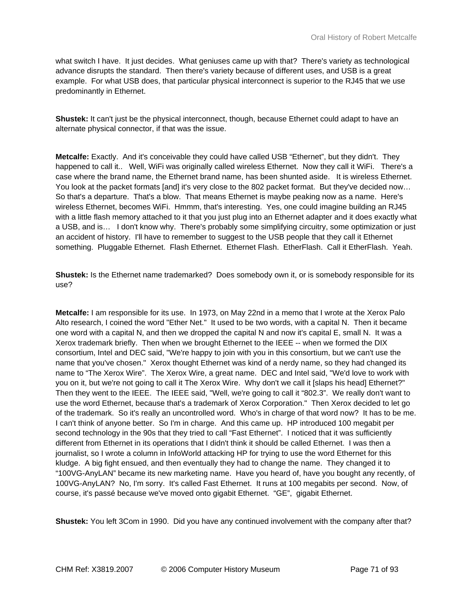what switch I have. It just decides. What geniuses came up with that? There's variety as technological advance disrupts the standard. Then there's variety because of different uses, and USB is a great example. For what USB does, that particular physical interconnect is superior to the RJ45 that we use predominantly in Ethernet.

**Shustek:** It can't just be the physical interconnect, though, because Ethernet could adapt to have an alternate physical connector, if that was the issue.

**Metcalfe:** Exactly. And it's conceivable they could have called USB "Ethernet", but they didn't. They happened to call it.. Well, WiFi was originally called wireless Ethernet. Now they call it WiFi. There's a case where the brand name, the Ethernet brand name, has been shunted aside. It is wireless Ethernet. You look at the packet formats [and] it's very close to the 802 packet format. But they've decided now... So that's a departure. That's a blow. That means Ethernet is maybe peaking now as a name. Here's wireless Ethernet, becomes WiFi. Hmmm, that's interesting. Yes, one could imagine building an RJ45 with a little flash memory attached to it that you just plug into an Ethernet adapter and it does exactly what a USB, and is… I don't know why. There's probably some simplifying circuitry, some optimization or just an accident of history. I'll have to remember to suggest to the USB people that they call it Ethernet something. Pluggable Ethernet. Flash Ethernet. Ethernet Flash. EtherFlash. Call it EtherFlash. Yeah.

**Shustek:** Is the Ethernet name trademarked? Does somebody own it, or is somebody responsible for its use?

**Metcalfe:** I am responsible for its use. In 1973, on May 22nd in a memo that I wrote at the Xerox Palo Alto research, I coined the word "Ether Net." It used to be two words, with a capital N. Then it became one word with a capital N, and then we dropped the capital N and now it's capital E, small N. It was a Xerox trademark briefly. Then when we brought Ethernet to the IEEE -- when we formed the DIX consortium, Intel and DEC said, "We're happy to join with you in this consortium, but we can't use the name that you've chosen." Xerox thought Ethernet was kind of a nerdy name, so they had changed its name to "The Xerox Wire". The Xerox Wire, a great name. DEC and Intel said, "We'd love to work with you on it, but we're not going to call it The Xerox Wire. Why don't we call it [slaps his head] Ethernet?" Then they went to the IEEE. The IEEE said, "Well, we're going to call it "802.3". We really don't want to use the word Ethernet, because that's a trademark of Xerox Corporation." Then Xerox decided to let go of the trademark. So it's really an uncontrolled word. Who's in charge of that word now? It has to be me. I can't think of anyone better. So I'm in charge. And this came up. HP introduced 100 megabit per second technology in the 90s that they tried to call "Fast Ethernet". I noticed that it was sufficiently different from Ethernet in its operations that I didn't think it should be called Ethernet. I was then a journalist, so I wrote a column in InfoWorld attacking HP for trying to use the word Ethernet for this kludge. A big fight ensued, and then eventually they had to change the name. They changed it to "100VG-AnyLAN" became its new marketing name. Have you heard of, have you bought any recently, of 100VG-AnyLAN? No, I'm sorry. It's called Fast Ethernet. It runs at 100 megabits per second. Now, of course, it's passé because we've moved onto gigabit Ethernet. "GE", gigabit Ethernet.

**Shustek:** You left 3Com in 1990. Did you have any continued involvement with the company after that?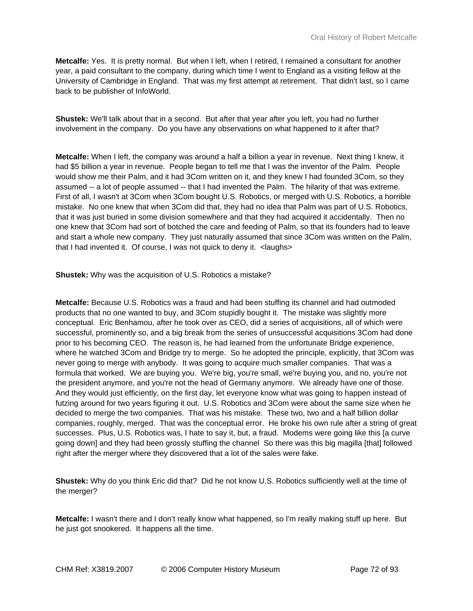**Metcalfe:** Yes. It is pretty normal. But when I left, when I retired, I remained a consultant for another year, a paid consultant to the company, during which time I went to England as a visiting fellow at the University of Cambridge in England. That was my first attempt at retirement. That didn't last, so I came back to be publisher of InfoWorld.

**Shustek:** We'll talk about that in a second. But after that year after you left, you had no further involvement in the company. Do you have any observations on what happened to it after that?

**Metcalfe:** When I left, the company was around a half a billion a year in revenue. Next thing I knew, it had \$5 billion a year in revenue. People began to tell me that I was the inventor of the Palm. People would show me their Palm, and it had 3Com written on it, and they knew I had founded 3Com, so they assumed -- a lot of people assumed -- that I had invented the Palm. The hilarity of that was extreme. First of all, I wasn't at 3Com when 3Com bought U.S. Robotics, or merged with U.S. Robotics, a horrible mistake. No one knew that when 3Com did that, they had no idea that Palm was part of U.S. Robotics, that it was just buried in some division somewhere and that they had acquired it accidentally. Then no one knew that 3Com had sort of botched the care and feeding of Palm, so that its founders had to leave and start a whole new company. They just naturally assumed that since 3Com was written on the Palm, that I had invented it. Of course, I was not quick to deny it. <laughs>

**Shustek:** Why was the acquisition of U.S. Robotics a mistake?

**Metcalfe:** Because U.S. Robotics was a fraud and had been stuffing its channel and had outmoded products that no one wanted to buy, and 3Com stupidly bought it. The mistake was slightly more conceptual. Eric Benhamou, after he took over as CEO, did a series of acquisitions, all of which were successful, prominently so, and a big break from the series of unsuccessful acquisitions 3Com had done prior to his becoming CEO. The reason is, he had learned from the unfortunate Bridge experience, where he watched 3Com and Bridge try to merge. So he adopted the principle, explicitly, that 3Com was never going to merge with anybody. It was going to acquire much smaller companies. That was a formula that worked. We are buying you. We're big, you're small, we're buying you, and no, you're not the president anymore, and you're not the head of Germany anymore. We already have one of those. And they would just efficiently, on the first day, let everyone know what was going to happen instead of futzing around for two years figuring it out. U.S. Robotics and 3Com were about the same size when he decided to merge the two companies. That was his mistake. These two, two and a half billion dollar companies, roughly, merged. That was the conceptual error. He broke his own rule after a string of great successes. Plus, U.S. Robotics was, I hate to say it, but, a fraud. Modems were going like this [a curve going down] and they had been grossly stuffing the channel So there was this big magilla [that] followed right after the merger where they discovered that a lot of the sales were fake.

**Shustek:** Why do you think Eric did that? Did he not know U.S. Robotics sufficiently well at the time of the merger?

**Metcalfe:** I wasn't there and I don't really know what happened, so I'm really making stuff up here. But he just got snookered. It happens all the time.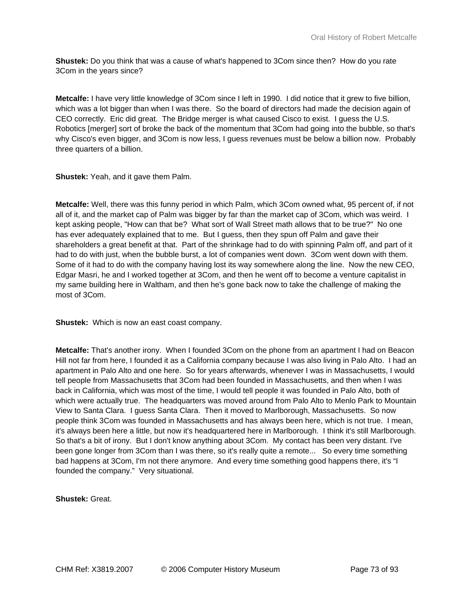**Shustek:** Do you think that was a cause of what's happened to 3Com since then? How do you rate 3Com in the years since?

**Metcalfe:** I have very little knowledge of 3Com since I left in 1990. I did notice that it grew to five billion, which was a lot bigger than when I was there. So the board of directors had made the decision again of CEO correctly. Eric did great. The Bridge merger is what caused Cisco to exist. I guess the U.S. Robotics [merger] sort of broke the back of the momentum that 3Com had going into the bubble, so that's why Cisco's even bigger, and 3Com is now less, I guess revenues must be below a billion now. Probably three quarters of a billion.

**Shustek:** Yeah, and it gave them Palm.

**Metcalfe:** Well, there was this funny period in which Palm, which 3Com owned what, 95 percent of, if not all of it, and the market cap of Palm was bigger by far than the market cap of 3Com, which was weird. I kept asking people, "How can that be? What sort of Wall Street math allows that to be true?" No one has ever adequately explained that to me. But I guess, then they spun off Palm and gave their shareholders a great benefit at that. Part of the shrinkage had to do with spinning Palm off, and part of it had to do with just, when the bubble burst, a lot of companies went down. 3Com went down with them. Some of it had to do with the company having lost its way somewhere along the line. Now the new CEO, Edgar Masri, he and I worked together at 3Com, and then he went off to become a venture capitalist in my same building here in Waltham, and then he's gone back now to take the challenge of making the most of 3Com.

**Shustek:** Which is now an east coast company.

**Metcalfe:** That's another irony. When I founded 3Com on the phone from an apartment I had on Beacon Hill not far from here, I founded it as a California company because I was also living in Palo Alto. I had an apartment in Palo Alto and one here. So for years afterwards, whenever I was in Massachusetts, I would tell people from Massachusetts that 3Com had been founded in Massachusetts, and then when I was back in California, which was most of the time, I would tell people it was founded in Palo Alto, both of which were actually true. The headquarters was moved around from Palo Alto to Menlo Park to Mountain View to Santa Clara. I guess Santa Clara. Then it moved to Marlborough, Massachusetts. So now people think 3Com was founded in Massachusetts and has always been here, which is not true. I mean, it's always been here a little, but now it's headquartered here in Marlborough. I think it's still Marlborough. So that's a bit of irony. But I don't know anything about 3Com. My contact has been very distant. I've been gone longer from 3Com than I was there, so it's really quite a remote... So every time something bad happens at 3Com, I'm not there anymore. And every time something good happens there, it's "I founded the company." Very situational.

**Shustek:** Great.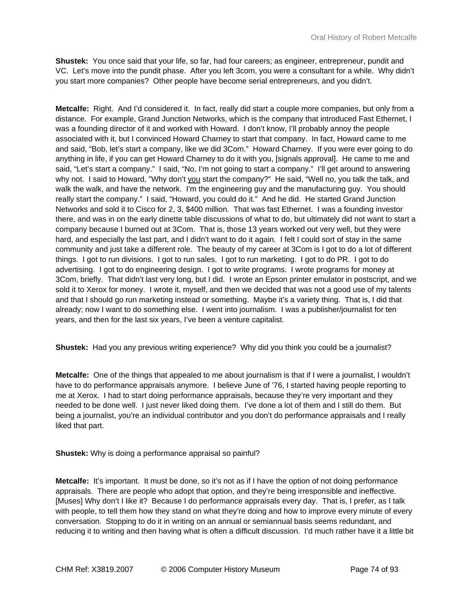**Shustek:** You once said that your life, so far, had four careers; as engineer, entrepreneur, pundit and VC. Let's move into the pundit phase. After you left 3com, you were a consultant for a while. Why didn't you start more companies? Other people have become serial entrepreneurs, and you didn't.

**Metcalfe:** Right. And I'd considered it. In fact, really did start a couple more companies, but only from a distance. For example, Grand Junction Networks, which is the company that introduced Fast Ethernet, I was a founding director of it and worked with Howard. I don't know, I'll probably annoy the people associated with it, but I convinced Howard Charney to start that company. In fact, Howard came to me and said, "Bob, let's start a company, like we did 3Com." Howard Charney. If you were ever going to do anything in life, if you can get Howard Charney to do it with you, [signals approval]. He came to me and said, "Let's start a company." I said, "No, I'm not going to start a company." I'll get around to answering why not. I said to Howard, "Why don't you start the company?" He said, "Well no, you talk the talk, and walk the walk, and have the network. I'm the engineering guy and the manufacturing guy. You should really start the company." I said, "Howard, you could do it." And he did. He started Grand Junction Networks and sold it to Cisco for 2, 3, \$400 million. That was fast Ethernet. I was a founding investor there, and was in on the early dinette table discussions of what to do, but ultimately did not want to start a company because I burned out at 3Com. That is, those 13 years worked out very well, but they were hard, and especially the last part, and I didn't want to do it again. I felt I could sort of stay in the same community and just take a different role. The beauty of my career at 3Com is I got to do a lot of different things. I got to run divisions. I got to run sales. I got to run marketing. I got to do PR. I got to do advertising. I got to do engineering design. I got to write programs. I wrote programs for money at 3Com, briefly. That didn't last very long, but I did. I wrote an Epson printer emulator in postscript, and we sold it to Xerox for money. I wrote it, myself, and then we decided that was not a good use of my talents and that I should go run marketing instead or something. Maybe it's a variety thing. That is, I did that already; now I want to do something else. I went into journalism. I was a publisher/journalist for ten years, and then for the last six years, I've been a venture capitalist.

**Shustek:** Had you any previous writing experience? Why did you think you could be a journalist?

**Metcalfe:** One of the things that appealed to me about journalism is that if I were a journalist, I wouldn't have to do performance appraisals anymore. I believe June of '76, I started having people reporting to me at Xerox. I had to start doing performance appraisals, because they're very important and they needed to be done well. I just never liked doing them. I've done a lot of them and I still do them. But being a journalist, you're an individual contributor and you don't do performance appraisals and I really liked that part.

**Shustek:** Why is doing a performance appraisal so painful?

**Metcalfe:** It's important. It must be done, so it's not as if I have the option of not doing performance appraisals. There are people who adopt that option, and they're being irresponsible and ineffective. [Muses] Why don't I like it? Because I do performance appraisals every day. That is, I prefer, as I talk with people, to tell them how they stand on what they're doing and how to improve every minute of every conversation. Stopping to do it in writing on an annual or semiannual basis seems redundant, and reducing it to writing and then having what is often a difficult discussion. I'd much rather have it a little bit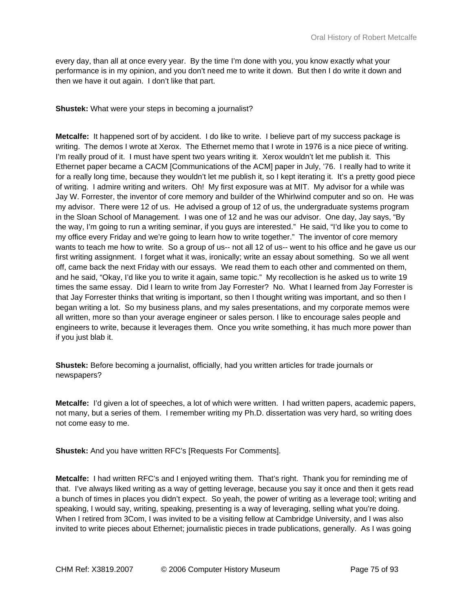every day, than all at once every year. By the time I'm done with you, you know exactly what your performance is in my opinion, and you don't need me to write it down. But then I do write it down and then we have it out again. I don't like that part.

**Shustek:** What were your steps in becoming a journalist?

**Metcalfe:** It happened sort of by accident. I do like to write. I believe part of my success package is writing. The demos I wrote at Xerox. The Ethernet memo that I wrote in 1976 is a nice piece of writing. I'm really proud of it. I must have spent two years writing it. Xerox wouldn't let me publish it. This Ethernet paper became a CACM [Communications of the ACM] paper in July, '76. I really had to write it for a really long time, because they wouldn't let me publish it, so I kept iterating it. It's a pretty good piece of writing. I admire writing and writers. Oh! My first exposure was at MIT. My advisor for a while was Jay W. Forrester, the inventor of core memory and builder of the Whirlwind computer and so on. He was my advisor. There were 12 of us. He advised a group of 12 of us, the undergraduate systems program in the Sloan School of Management. I was one of 12 and he was our advisor. One day, Jay says, "By the way, I'm going to run a writing seminar, if you guys are interested." He said, "I'd like you to come to my office every Friday and we're going to learn how to write together." The inventor of core memory wants to teach me how to write. So a group of us-- not all 12 of us-- went to his office and he gave us our first writing assignment. I forget what it was, ironically; write an essay about something. So we all went off, came back the next Friday with our essays. We read them to each other and commented on them, and he said, "Okay, I'd like you to write it again, same topic." My recollection is he asked us to write 19 times the same essay. Did I learn to write from Jay Forrester? No. What I learned from Jay Forrester is that Jay Forrester thinks that writing is important, so then I thought writing was important, and so then I began writing a lot. So my business plans, and my sales presentations, and my corporate memos were all written, more so than your average engineer or sales person. I like to encourage sales people and engineers to write, because it leverages them. Once you write something, it has much more power than if you just blab it.

**Shustek:** Before becoming a journalist, officially, had you written articles for trade journals or newspapers?

**Metcalfe:** I'd given a lot of speeches, a lot of which were written. I had written papers, academic papers, not many, but a series of them. I remember writing my Ph.D. dissertation was very hard, so writing does not come easy to me.

**Shustek:** And you have written RFC's [Requests For Comments].

**Metcalfe:** I had written RFC's and I enjoyed writing them. That's right. Thank you for reminding me of that. I've always liked writing as a way of getting leverage, because you say it once and then it gets read a bunch of times in places you didn't expect. So yeah, the power of writing as a leverage tool; writing and speaking, I would say, writing, speaking, presenting is a way of leveraging, selling what you're doing. When I retired from 3Com, I was invited to be a visiting fellow at Cambridge University, and I was also invited to write pieces about Ethernet; journalistic pieces in trade publications, generally. As I was going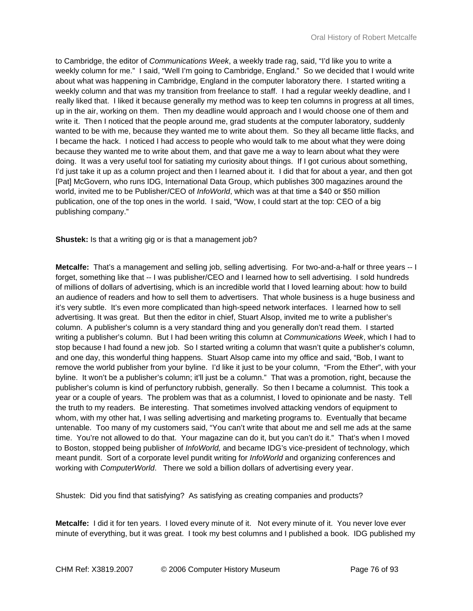to Cambridge, the editor of *Communications Week*, a weekly trade rag, said, "I'd like you to write a weekly column for me." I said, "Well I'm going to Cambridge, England." So we decided that I would write about what was happening in Cambridge, England in the computer laboratory there. I started writing a weekly column and that was my transition from freelance to staff. I had a regular weekly deadline, and I really liked that. I liked it because generally my method was to keep ten columns in progress at all times, up in the air, working on them. Then my deadline would approach and I would choose one of them and write it. Then I noticed that the people around me, grad students at the computer laboratory, suddenly wanted to be with me, because they wanted me to write about them. So they all became little flacks, and I became the hack. I noticed I had access to people who would talk to me about what they were doing because they wanted me to write about them, and that gave me a way to learn about what they were doing. It was a very useful tool for satiating my curiosity about things. If I got curious about something, I'd just take it up as a column project and then I learned about it. I did that for about a year, and then got [Pat] McGovern, who runs IDG, International Data Group, which publishes 300 magazines around the world, invited me to be Publisher/CEO of *InfoWorld*, which was at that time a \$40 or \$50 million publication, one of the top ones in the world. I said, "Wow, I could start at the top: CEO of a big publishing company."

**Shustek:** Is that a writing gig or is that a management job?

**Metcalfe:** That's a management and selling job, selling advertising. For two-and-a-half or three years -- I forget, something like that -- I was publisher/CEO and I learned how to sell advertising. I sold hundreds of millions of dollars of advertising, which is an incredible world that I loved learning about: how to build an audience of readers and how to sell them to advertisers. That whole business is a huge business and it's very subtle. It's even more complicated than high-speed network interfaces. I learned how to sell advertising. It was great. But then the editor in chief, Stuart Alsop, invited me to write a publisher's column. A publisher's column is a very standard thing and you generally don't read them. I started writing a publisher's column. But I had been writing this column at *Communications Week*, which I had to stop because I had found a new job. So I started writing a column that wasn't quite a publisher's column, and one day, this wonderful thing happens. Stuart Alsop came into my office and said, "Bob, I want to remove the world publisher from your byline. I'd like it just to be your column, "From the Ether", with your byline. It won't be a publisher's column; it'll just be a column." That was a promotion, right, because the publisher's column is kind of perfunctory rubbish, generally. So then I became a columnist. This took a year or a couple of years. The problem was that as a columnist, I loved to opinionate and be nasty. Tell the truth to my readers. Be interesting. That sometimes involved attacking vendors of equipment to whom, with my other hat, I was selling advertising and marketing programs to. Eventually that became untenable. Too many of my customers said, "You can't write that about me and sell me ads at the same time. You're not allowed to do that. Your magazine can do it, but you can't do it." That's when I moved to Boston, stopped being publisher of *InfoWorld,* and became IDG's vice-president of technology, which meant pundit. Sort of a corporate level pundit writing for *InfoWorld* and organizing conferences and working with *ComputerWorld*. There we sold a billion dollars of advertising every year.

Shustek: Did you find that satisfying? As satisfying as creating companies and products?

**Metcalfe:** I did it for ten years. I loved every minute of it. Not every minute of it. You never love ever minute of everything, but it was great. I took my best columns and I published a book. IDG published my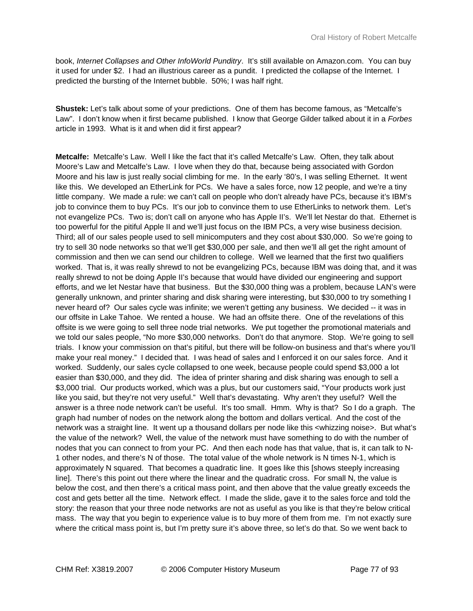book, *Internet Collapses and Other InfoWorld Punditry*. It's still available on Amazon.com. You can buy it used for under \$2. I had an illustrious career as a pundit. I predicted the collapse of the Internet. I predicted the bursting of the Internet bubble. 50%; I was half right.

**Shustek:** Let's talk about some of your predictions. One of them has become famous, as "Metcalfe's Law". I don't know when it first became published. I know that George Gilder talked about it in a *Forbes* article in 1993. What is it and when did it first appear?

**Metcalfe:** Metcalfe's Law. Well I like the fact that it's called Metcalfe's Law. Often, they talk about Moore's Law and Metcalfe's Law. I love when they do that, because being associated with Gordon Moore and his law is just really social climbing for me. In the early '80's, I was selling Ethernet. It went like this. We developed an EtherLink for PCs. We have a sales force, now 12 people, and we're a tiny little company. We made a rule: we can't call on people who don't already have PCs, because it's IBM's job to convince them to buy PCs. It's our job to convince them to use EtherLinks to network them. Let's not evangelize PCs. Two is; don't call on anyone who has Apple II's. We'll let Nestar do that. Ethernet is too powerful for the pitiful Apple II and we'll just focus on the IBM PCs, a very wise business decision. Third; all of our sales people used to sell minicomputers and they cost about \$30,000. So we're going to try to sell 30 node networks so that we'll get \$30,000 per sale, and then we'll all get the right amount of commission and then we can send our children to college. Well we learned that the first two qualifiers worked. That is, it was really shrewd to not be evangelizing PCs, because IBM was doing that, and it was really shrewd to not be doing Apple II's because that would have divided our engineering and support efforts, and we let Nestar have that business. But the \$30,000 thing was a problem, because LAN's were generally unknown, and printer sharing and disk sharing were interesting, but \$30,000 to try something I never heard of? Our sales cycle was infinite; we weren't getting any business. We decided -- it was in our offsite in Lake Tahoe. We rented a house. We had an offsite there. One of the revelations of this offsite is we were going to sell three node trial networks. We put together the promotional materials and we told our sales people, "No more \$30,000 networks. Don't do that anymore. Stop. We're going to sell trials. I know your commission on that's pitiful, but there will be follow-on business and that's where you'll make your real money." I decided that. I was head of sales and I enforced it on our sales force. And it worked. Suddenly, our sales cycle collapsed to one week, because people could spend \$3,000 a lot easier than \$30,000, and they did. The idea of printer sharing and disk sharing was enough to sell a \$3,000 trial. Our products worked, which was a plus, but our customers said, "Your products work just like you said, but they're not very useful." Well that's devastating. Why aren't they useful? Well the answer is a three node network can't be useful. It's too small. Hmm. Why is that? So I do a graph. The graph had number of nodes on the network along the bottom and dollars vertical. And the cost of the network was a straight line. It went up a thousand dollars per node like this <whizzing noise>. But what's the value of the network? Well, the value of the network must have something to do with the number of nodes that you can connect to from your PC. And then each node has that value, that is, it can talk to N-1 other nodes, and there's N of those. The total value of the whole network is N times N-1, which is approximately N squared. That becomes a quadratic line. It goes like this [shows steeply increasing line]. There's this point out there where the linear and the quadratic cross. For small N, the value is below the cost, and then there's a critical mass point, and then above that the value greatly exceeds the cost and gets better all the time. Network effect. I made the slide, gave it to the sales force and told the story: the reason that your three node networks are not as useful as you like is that they're below critical mass. The way that you begin to experience value is to buy more of them from me. I'm not exactly sure where the critical mass point is, but I'm pretty sure it's above three, so let's do that. So we went back to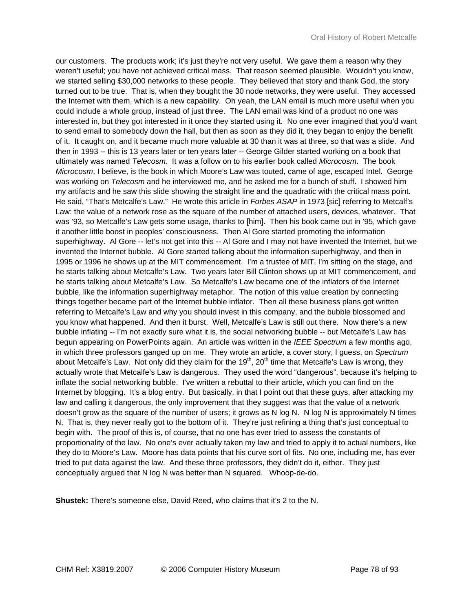our customers. The products work; it's just they're not very useful. We gave them a reason why they weren't useful; you have not achieved critical mass. That reason seemed plausible. Wouldn't you know, we started selling \$30,000 networks to these people. They believed that story and thank God, the story turned out to be true. That is, when they bought the 30 node networks, they were useful. They accessed the Internet with them, which is a new capability. Oh yeah, the LAN email is much more useful when you could include a whole group, instead of just three. The LAN email was kind of a product no one was interested in, but they got interested in it once they started using it. No one ever imagined that you'd want to send email to somebody down the hall, but then as soon as they did it, they began to enjoy the benefit of it. It caught on, and it became much more valuable at 30 than it was at three, so that was a slide. And then in 1993 -- this is 13 years later or ten years later -- George Gilder started working on a book that ultimately was named *Telecosm*. It was a follow on to his earlier book called *Microcosm*. The book *Microcosm*, I believe, is the book in which Moore's Law was touted, came of age, escaped Intel. George was working on *Telecosm* and he interviewed me, and he asked me for a bunch of stuff. I showed him my artifacts and he saw this slide showing the straight line and the quadratic with the critical mass point. He said, "That's Metcalfe's Law." He wrote this article in *Forbes ASAP* in 1973 [sic] referring to Metcalf's Law: the value of a network rose as the square of the number of attached users, devices, whatever. That was '93, so Metcalfe's Law gets some usage, thanks to [him]. Then his book came out in '95, which gave it another little boost in peoples' consciousness. Then Al Gore started promoting the information superhighway. Al Gore -- let's not get into this -- Al Gore and I may not have invented the Internet, but we invented the Internet bubble. Al Gore started talking about the information superhighway, and then in 1995 or 1996 he shows up at the MIT commencement. I'm a trustee of MIT, I'm sitting on the stage, and he starts talking about Metcalfe's Law. Two years later Bill Clinton shows up at MIT commencement, and he starts talking about Metcalfe's Law. So Metcalfe's Law became one of the inflators of the Internet bubble, like the information superhighway metaphor. The notion of this value creation by connecting things together became part of the Internet bubble inflator. Then all these business plans got written referring to Metcalfe's Law and why you should invest in this company, and the bubble blossomed and you know what happened. And then it burst. Well, Metcalfe's Law is still out there. Now there's a new bubble inflating -- I'm not exactly sure what it is, the social networking bubble -- but Metcalfe's Law has begun appearing on PowerPoints again. An article was written in the *IEEE Spectrum* a few months ago, in which three professors ganged up on me. They wrote an article, a cover story, I guess, on *Spectrum* about Metcalfe's Law. Not only did they claim for the  $19<sup>th</sup>$ ,  $20<sup>th</sup>$  time that Metcalfe's Law is wrong, they actually wrote that Metcalfe's Law is dangerous. They used the word "dangerous", because it's helping to inflate the social networking bubble. I've written a rebuttal to their article, which you can find on the Internet by blogging. It's a blog entry. But basically, in that I point out that these guys, after attacking my law and calling it dangerous, the only improvement that they suggest was that the value of a network doesn't grow as the square of the number of users; it grows as N log N. N log N is approximately N times N. That is, they never really got to the bottom of it. They're just refining a thing that's just conceptual to begin with. The proof of this is, of course, that no one has ever tried to assess the constants of proportionality of the law. No one's ever actually taken my law and tried to apply it to actual numbers, like they do to Moore's Law. Moore has data points that his curve sort of fits. No one, including me, has ever tried to put data against the law. And these three professors, they didn't do it, either. They just conceptually argued that N log N was better than N squared. Whoop-de-do.

**Shustek:** There's someone else, David Reed, who claims that it's 2 to the N.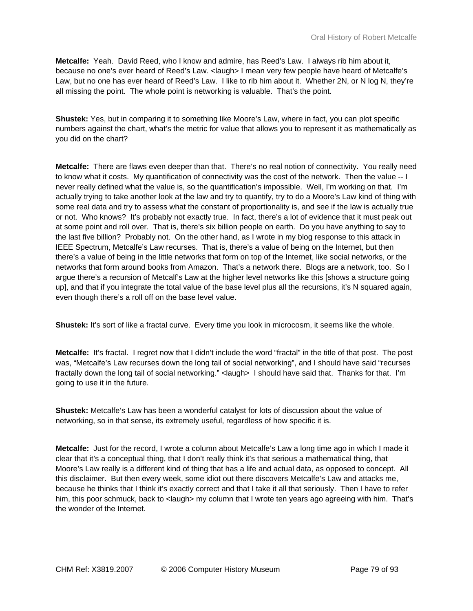**Metcalfe:** Yeah. David Reed, who I know and admire, has Reed's Law. I always rib him about it, because no one's ever heard of Reed's Law. <laugh> I mean very few people have heard of Metcalfe's Law, but no one has ever heard of Reed's Law. I like to rib him about it. Whether 2N, or N log N, they're all missing the point. The whole point is networking is valuable. That's the point.

**Shustek:** Yes, but in comparing it to something like Moore's Law, where in fact, you can plot specific numbers against the chart, what's the metric for value that allows you to represent it as mathematically as you did on the chart?

**Metcalfe:** There are flaws even deeper than that. There's no real notion of connectivity. You really need to know what it costs. My quantification of connectivity was the cost of the network. Then the value -- I never really defined what the value is, so the quantification's impossible. Well, I'm working on that. I'm actually trying to take another look at the law and try to quantify, try to do a Moore's Law kind of thing with some real data and try to assess what the constant of proportionality is, and see if the law is actually true or not. Who knows? It's probably not exactly true. In fact, there's a lot of evidence that it must peak out at some point and roll over. That is, there's six billion people on earth. Do you have anything to say to the last five billion? Probably not. On the other hand, as I wrote in my blog response to this attack in IEEE Spectrum, Metcalfe's Law recurses. That is, there's a value of being on the Internet, but then there's a value of being in the little networks that form on top of the Internet, like social networks, or the networks that form around books from Amazon. That's a network there. Blogs are a network, too. So I argue there's a recursion of Metcalf's Law at the higher level networks like this [shows a structure going up], and that if you integrate the total value of the base level plus all the recursions, it's N squared again, even though there's a roll off on the base level value.

**Shustek:** It's sort of like a fractal curve. Every time you look in microcosm, it seems like the whole.

**Metcalfe:** It's fractal. I regret now that I didn't include the word "fractal" in the title of that post. The post was, "Metcalfe's Law recurses down the long tail of social networking", and I should have said "recurses fractally down the long tail of social networking." <laugh> I should have said that. Thanks for that. I'm going to use it in the future.

**Shustek:** Metcalfe's Law has been a wonderful catalyst for lots of discussion about the value of networking, so in that sense, its extremely useful, regardless of how specific it is.

**Metcalfe:** Just for the record, I wrote a column about Metcalfe's Law a long time ago in which I made it clear that it's a conceptual thing, that I don't really think it's that serious a mathematical thing, that Moore's Law really is a different kind of thing that has a life and actual data, as opposed to concept. All this disclaimer. But then every week, some idiot out there discovers Metcalfe's Law and attacks me, because he thinks that I think it's exactly correct and that I take it all that seriously. Then I have to refer him, this poor schmuck, back to <laugh> my column that I wrote ten years ago agreeing with him. That's the wonder of the Internet.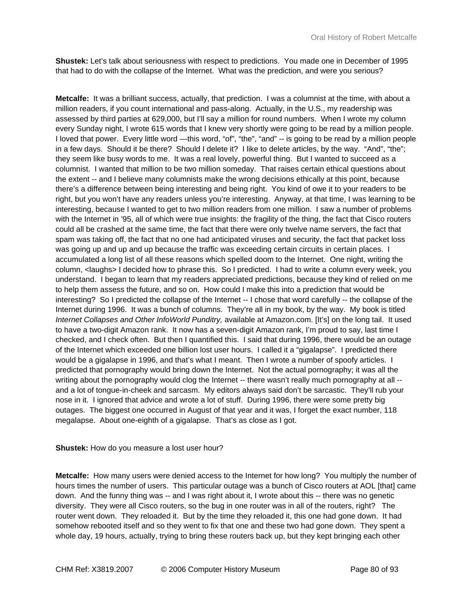**Shustek:** Let's talk about seriousness with respect to predictions. You made one in December of 1995 that had to do with the collapse of the Internet. What was the prediction, and were you serious?

**Metcalfe:** It was a brilliant success, actually, that prediction. I was a columnist at the time, with about a million readers, if you count international and pass-along. Actually, in the U.S., my readership was assessed by third parties at 629,000, but I'll say a million for round numbers. When I wrote my column every Sunday night, I wrote 615 words that I knew very shortly were going to be read by a million people. I loved that power. Every little word —this word, "of", "the", "and" -- is going to be read by a million people in a few days. Should it be there? Should I delete it? I like to delete articles, by the way. "And", "the"; they seem like busy words to me. It was a real lovely, powerful thing. But I wanted to succeed as a columnist. I wanted that million to be two million someday. That raises certain ethical questions about the extent -- and I believe many columnists make the wrong decisions ethically at this point, because there's a difference between being interesting and being right. You kind of owe it to your readers to be right, but you won't have any readers unless you're interesting. Anyway, at that time, I was learning to be interesting, because I wanted to get to two million readers from one million. I saw a number of problems with the Internet in '95, all of which were true insights: the fragility of the thing, the fact that Cisco routers could all be crashed at the same time, the fact that there were only twelve name servers, the fact that spam was taking off, the fact that no one had anticipated viruses and security, the fact that packet loss was going up and up and up because the traffic was exceeding certain circuits in certain places. I accumulated a long list of all these reasons which spelled doom to the Internet. One night, writing the column, <laughs> I decided how to phrase this. So I predicted. I had to write a column every week, you understand. I began to learn that my readers appreciated predictions, because they kind of relied on me to help them assess the future, and so on. How could I make this into a prediction that would be interesting? So I predicted the collapse of the Internet -- I chose that word carefully -- the collapse of the Internet during 1996. It was a bunch of columns. They're all in my book, by the way. My book is titled *Internet Collapses and Other InfoWorld Punditry,* available at Amazon.com. [It's] on the long tail. It used to have a two-digit Amazon rank. It now has a seven-digit Amazon rank, I'm proud to say, last time I checked, and I check often. But then I quantified this. I said that during 1996, there would be an outage of the Internet which exceeded one billion lost user hours. I called it a "gigalapse". I predicted there would be a gigalapse in 1996, and that's what I meant. Then I wrote a number of spoofy articles. I predicted that pornography would bring down the Internet. Not the actual pornography; it was all the writing about the pornography would clog the Internet -- there wasn't really much pornography at all -and a lot of tongue-in-cheek and sarcasm. My editors always said don't be sarcastic. They'll rub your nose in it. I ignored that advice and wrote a lot of stuff. During 1996, there were some pretty big outages. The biggest one occurred in August of that year and it was, I forget the exact number, 118 megalapse. About one-eighth of a gigalapse. That's as close as I got.

## **Shustek:** How do you measure a lost user hour?

**Metcalfe:** How many users were denied access to the Internet for how long? You multiply the number of hours times the number of users. This particular outage was a bunch of Cisco routers at AOL [that] came down. And the funny thing was -- and I was right about it, I wrote about this -- there was no genetic diversity. They were all Cisco routers, so the bug in one router was in all of the routers, right? The router went down. They reloaded it. But by the time they reloaded it, this one had gone down. It had somehow rebooted itself and so they went to fix that one and these two had gone down. They spent a whole day, 19 hours, actually, trying to bring these routers back up, but they kept bringing each other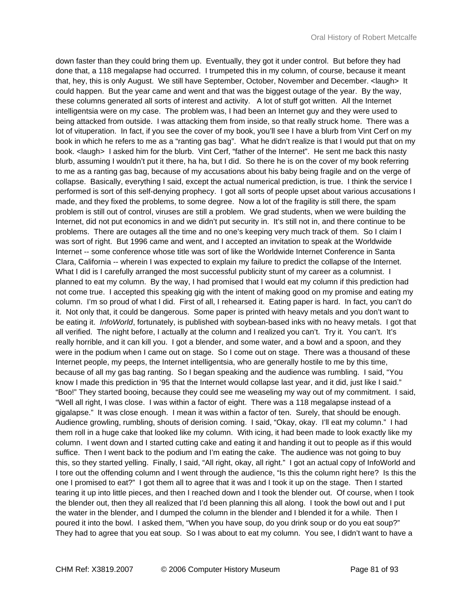down faster than they could bring them up. Eventually, they got it under control. But before they had done that, a 118 megalapse had occurred. I trumpeted this in my column, of course, because it meant that, hey, this is only August. We still have September, October, November and December. <laugh> It could happen. But the year came and went and that was the biggest outage of the year. By the way, these columns generated all sorts of interest and activity. A lot of stuff got written. All the Internet intelligentsia were on my case. The problem was, I had been an Internet guy and they were used to being attacked from outside. I was attacking them from inside, so that really struck home. There was a lot of vituperation. In fact, if you see the cover of my book, you'll see I have a blurb from Vint Cerf on my book in which he refers to me as a "ranting gas bag". What he didn't realize is that I would put that on my book. <laugh> I asked him for the blurb. Vint Cerf, "father of the Internet". He sent me back this nasty blurb, assuming I wouldn't put it there, ha ha, but I did. So there he is on the cover of my book referring to me as a ranting gas bag, because of my accusations about his baby being fragile and on the verge of collapse. Basically, everything I said, except the actual numerical prediction, is true. I think the service I performed is sort of this self-denying prophecy. I got all sorts of people upset about various accusations I made, and they fixed the problems, to some degree. Now a lot of the fragility is still there, the spam problem is still out of control, viruses are still a problem. We grad students, when we were building the Internet, did not put economics in and we didn't put security in. It's still not in, and there continue to be problems. There are outages all the time and no one's keeping very much track of them. So I claim I was sort of right. But 1996 came and went, and I accepted an invitation to speak at the Worldwide Internet -- some conference whose title was sort of like the Worldwide Internet Conference in Santa Clara, California -- wherein I was expected to explain my failure to predict the collapse of the Internet. What I did is I carefully arranged the most successful publicity stunt of my career as a columnist. I planned to eat my column. By the way, I had promised that I would eat my column if this prediction had not come true. I accepted this speaking gig with the intent of making good on my promise and eating my column. I'm so proud of what I did. First of all, I rehearsed it. Eating paper is hard. In fact, you can't do it. Not only that, it could be dangerous. Some paper is printed with heavy metals and you don't want to be eating it. *InfoWorld*, fortunately, is published with soybean-based inks with no heavy metals. I got that all verified. The night before, I actually at the column and I realized you can't. Try it. You can't. It's really horrible, and it can kill you. I got a blender, and some water, and a bowl and a spoon, and they were in the podium when I came out on stage. So I come out on stage. There was a thousand of these Internet people, my peeps, the Internet intelligentsia, who are generally hostile to me by this time, because of all my gas bag ranting. So I began speaking and the audience was rumbling. I said, "You know I made this prediction in '95 that the Internet would collapse last year, and it did, just like I said." "Boo!" They started booing, because they could see me weaseling my way out of my commitment. I said, "Well all right, I was close. I was within a factor of eight. There was a 118 megalapse instead of a gigalapse." It was close enough. I mean it was within a factor of ten. Surely, that should be enough. Audience growling, rumbling, shouts of derision coming. I said, "Okay, okay. I'll eat my column." I had them roll in a huge cake that looked like my column. With icing, it had been made to look exactly like my column. I went down and I started cutting cake and eating it and handing it out to people as if this would suffice. Then I went back to the podium and I'm eating the cake. The audience was not going to buy this, so they started yelling. Finally, I said, "All right, okay, all right." I got an actual copy of InfoWorld and I tore out the offending column and I went through the audience, "Is this the column right here? Is this the one I promised to eat?" I got them all to agree that it was and I took it up on the stage. Then I started tearing it up into little pieces, and then I reached down and I took the blender out. Of course, when I took the blender out, then they all realized that I'd been planning this all along. I took the bowl out and I put the water in the blender, and I dumped the column in the blender and I blended it for a while. Then I poured it into the bowl. I asked them, "When you have soup, do you drink soup or do you eat soup?" They had to agree that you eat soup. So I was about to eat my column. You see, I didn't want to have a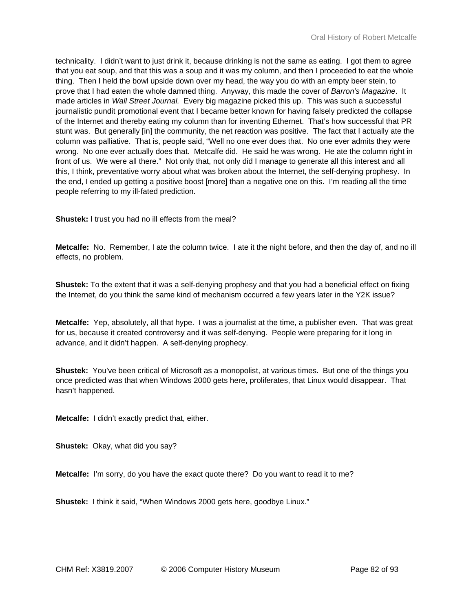technicality. I didn't want to just drink it, because drinking is not the same as eating. I got them to agree that you eat soup, and that this was a soup and it was my column, and then I proceeded to eat the whole thing. Then I held the bowl upside down over my head, the way you do with an empty beer stein, to prove that I had eaten the whole damned thing. Anyway, this made the cover of *Barron's Magazine*. It made articles in *Wall Street Journal.* Every big magazine picked this up. This was such a successful journalistic pundit promotional event that I became better known for having falsely predicted the collapse of the Internet and thereby eating my column than for inventing Ethernet. That's how successful that PR stunt was. But generally [in] the community, the net reaction was positive. The fact that I actually ate the column was palliative. That is, people said, "Well no one ever does that. No one ever admits they were wrong. No one ever actually does that. Metcalfe did. He said he was wrong. He ate the column right in front of us. We were all there." Not only that, not only did I manage to generate all this interest and all this, I think, preventative worry about what was broken about the Internet, the self-denying prophesy. In the end, I ended up getting a positive boost [more] than a negative one on this. I'm reading all the time people referring to my ill-fated prediction.

**Shustek:** I trust you had no ill effects from the meal?

**Metcalfe:** No. Remember, I ate the column twice. I ate it the night before, and then the day of, and no ill effects, no problem.

**Shustek:** To the extent that it was a self-denying prophesy and that you had a beneficial effect on fixing the Internet, do you think the same kind of mechanism occurred a few years later in the Y2K issue?

**Metcalfe:** Yep, absolutely, all that hype. I was a journalist at the time, a publisher even. That was great for us, because it created controversy and it was self-denying. People were preparing for it long in advance, and it didn't happen. A self-denying prophecy.

**Shustek:** You've been critical of Microsoft as a monopolist, at various times. But one of the things you once predicted was that when Windows 2000 gets here, proliferates, that Linux would disappear. That hasn't happened.

**Metcalfe:** I didn't exactly predict that, either.

**Shustek:** Okay, what did you say?

**Metcalfe:** I'm sorry, do you have the exact quote there? Do you want to read it to me?

**Shustek:** I think it said, "When Windows 2000 gets here, goodbye Linux."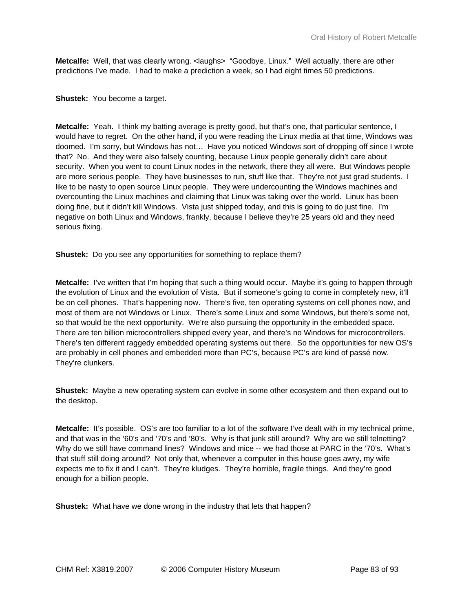**Metcalfe:** Well, that was clearly wrong. < laughs> "Goodbye, Linux." Well actually, there are other predictions I've made. I had to make a prediction a week, so I had eight times 50 predictions.

## **Shustek:** You become a target.

**Metcalfe:** Yeah. I think my batting average is pretty good, but that's one, that particular sentence, I would have to regret. On the other hand, if you were reading the Linux media at that time, Windows was doomed. I'm sorry, but Windows has not… Have you noticed Windows sort of dropping off since I wrote that? No. And they were also falsely counting, because Linux people generally didn't care about security. When you went to count Linux nodes in the network, there they all were. But Windows people are more serious people. They have businesses to run, stuff like that. They're not just grad students. I like to be nasty to open source Linux people. They were undercounting the Windows machines and overcounting the Linux machines and claiming that Linux was taking over the world. Linux has been doing fine, but it didn't kill Windows. Vista just shipped today, and this is going to do just fine. I'm negative on both Linux and Windows, frankly, because I believe they're 25 years old and they need serious fixing.

**Shustek:** Do you see any opportunities for something to replace them?

**Metcalfe:** I've written that I'm hoping that such a thing would occur. Maybe it's going to happen through the evolution of Linux and the evolution of Vista. But if someone's going to come in completely new, it'll be on cell phones. That's happening now. There's five, ten operating systems on cell phones now, and most of them are not Windows or Linux. There's some Linux and some Windows, but there's some not, so that would be the next opportunity. We're also pursuing the opportunity in the embedded space. There are ten billion microcontrollers shipped every year, and there's no Windows for microcontrollers. There's ten different raggedy embedded operating systems out there. So the opportunities for new OS's are probably in cell phones and embedded more than PC's, because PC's are kind of passé now. They're clunkers.

**Shustek:** Maybe a new operating system can evolve in some other ecosystem and then expand out to the desktop.

**Metcalfe:** It's possible. OS's are too familiar to a lot of the software I've dealt with in my technical prime, and that was in the '60's and '70's and '80's. Why is that junk still around? Why are we still telnetting? Why do we still have command lines? Windows and mice -- we had those at PARC in the '70's. What's that stuff still doing around? Not only that, whenever a computer in this house goes awry, my wife expects me to fix it and I can't. They're kludges. They're horrible, fragile things. And they're good enough for a billion people.

**Shustek:** What have we done wrong in the industry that lets that happen?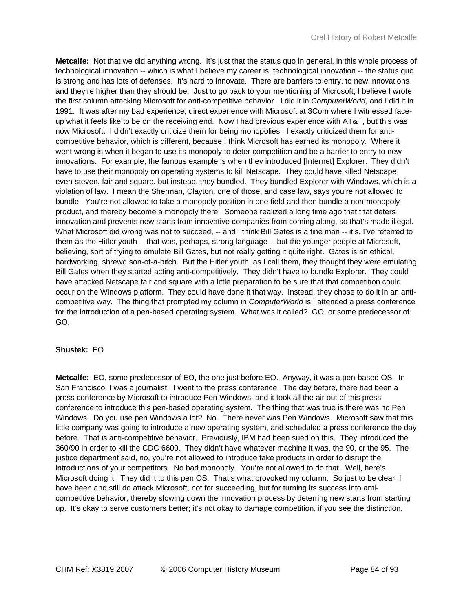**Metcalfe:** Not that we did anything wrong. It's just that the status quo in general, in this whole process of technological innovation -- which is what I believe my career is, technological innovation -- the status quo is strong and has lots of defenses. It's hard to innovate. There are barriers to entry, to new innovations and they're higher than they should be. Just to go back to your mentioning of Microsoft, I believe I wrote the first column attacking Microsoft for anti-competitive behavior. I did it in *ComputerWorld,* and I did it in 1991. It was after my bad experience, direct experience with Microsoft at 3Com where I witnessed faceup what it feels like to be on the receiving end. Now I had previous experience with AT&T, but this was now Microsoft. I didn't exactly criticize them for being monopolies. I exactly criticized them for anticompetitive behavior, which is different, because I think Microsoft has earned its monopoly. Where it went wrong is when it began to use its monopoly to deter competition and be a barrier to entry to new innovations. For example, the famous example is when they introduced [Internet] Explorer. They didn't have to use their monopoly on operating systems to kill Netscape. They could have killed Netscape even-steven, fair and square, but instead, they bundled. They bundled Explorer with Windows, which is a violation of law. I mean the Sherman, Clayton, one of those, and case law, says you're not allowed to bundle. You're not allowed to take a monopoly position in one field and then bundle a non-monopoly product, and thereby become a monopoly there. Someone realized a long time ago that that deters innovation and prevents new starts from innovative companies from coming along, so that's made illegal. What Microsoft did wrong was not to succeed, -- and I think Bill Gates is a fine man -- it's, I've referred to them as the Hitler youth -- that was, perhaps, strong language -- but the younger people at Microsoft, believing, sort of trying to emulate Bill Gates, but not really getting it quite right. Gates is an ethical, hardworking, shrewd son-of-a-bitch. But the Hitler youth, as I call them, they thought they were emulating Bill Gates when they started acting anti-competitively. They didn't have to bundle Explorer. They could have attacked Netscape fair and square with a little preparation to be sure that that competition could occur on the Windows platform. They could have done it that way. Instead, they chose to do it in an anticompetitive way. The thing that prompted my column in *ComputerWorld* is I attended a press conference for the introduction of a pen-based operating system. What was it called? GO, or some predecessor of GO.

## **Shustek:** EO

**Metcalfe:** EO, some predecessor of EO, the one just before EO. Anyway, it was a pen-based OS. In San Francisco, I was a journalist. I went to the press conference. The day before, there had been a press conference by Microsoft to introduce Pen Windows, and it took all the air out of this press conference to introduce this pen-based operating system. The thing that was true is there was no Pen Windows. Do you use pen Windows a lot? No. There never was Pen Windows. Microsoft saw that this little company was going to introduce a new operating system, and scheduled a press conference the day before. That is anti-competitive behavior. Previously, IBM had been sued on this. They introduced the 360/90 in order to kill the CDC 6600. They didn't have whatever machine it was, the 90, or the 95. The justice department said, no, you're not allowed to introduce fake products in order to disrupt the introductions of your competitors. No bad monopoly. You're not allowed to do that. Well, here's Microsoft doing it. They did it to this pen OS. That's what provoked my column. So just to be clear, I have been and still do attack Microsoft, not for succeeding, but for turning its success into anticompetitive behavior, thereby slowing down the innovation process by deterring new starts from starting up. It's okay to serve customers better; it's not okay to damage competition, if you see the distinction.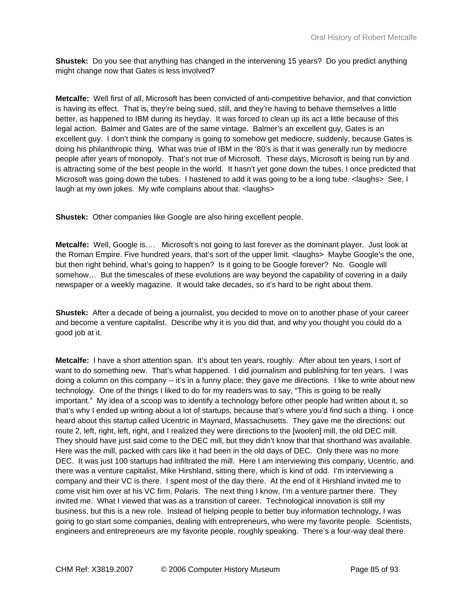**Shustek:** Do you see that anything has changed in the intervening 15 years? Do you predict anything might change now that Gates is less involved?

**Metcalfe:** Well first of all, Microsoft has been convicted of anti-competitive behavior, and that conviction is having its effect. That is, they're being sued, still, and they're having to behave themselves a little better, as happened to IBM during its heyday. It was forced to clean up its act a little because of this legal action. Balmer and Gates are of the same vintage. Balmer's an excellent guy, Gates is an excellent guy. I don't think the company is going to somehow get mediocre, suddenly, because Gates is doing his philanthropic thing. What was true of IBM in the '80's is that it was generally run by mediocre people after years of monopoly. That's not true of Microsoft. These days, Microsoft is being run by and is attracting some of the best people in the world. It hasn't yet gone down the tubes. I once predicted that Microsoft was going down the tubes. I hastened to add it was going to be a long tube. <laughs> See, I laugh at my own jokes. My wife complains about that. < laughs>

**Shustek:** Other companies like Google are also hiring excellent people.

**Metcalfe:** Well, Google is…. Microsoft's not going to last forever as the dominant player. Just look at the Roman Empire. Five hundred years, that's sort of the upper limit. <laughs> Maybe Google's the one, but then right behind, what's going to happen? Is it going to be Google forever? No. Google will somehow... But the timescales of these evolutions are way beyond the capability of covering in a daily newspaper or a weekly magazine. It would take decades, so it's hard to be right about them.

**Shustek:** After a decade of being a journalist, you decided to move on to another phase of your career and become a venture capitalist. Describe why it is you did that, and why you thought you could do a good job at it.

**Metcalfe:** I have a short attention span. It's about ten years, roughly. After about ten years, I sort of want to do something new. That's what happened. I did journalism and publishing for ten years. I was doing a column on this company -- it's in a funny place; they gave me directions. I like to write about new technology. One of the things I liked to do for my readers was to say, "This is going to be really important." My idea of a scoop was to identify a technology before other people had written about it, so that's why I ended up writing about a lot of startups, because that's where you'd find such a thing. I once heard about this startup called Ucentric in Maynard, Massachusetts. They gave me the directions: out route 2, left, right, left, right, and I realized they were directions to the [woolen] mill, the old DEC mill. They should have just said come to the DEC mill, but they didn't know that that shorthand was available. Here was the mill, packed with cars like it had been in the old days of DEC. Only there was no more DEC. It was just 100 startups had infiltrated the mill. Here I am interviewing this company, Ucentric, and there was a venture capitalist, Mike Hirshland, sitting there, which is kind of odd. I'm interviewing a company and their VC is there. I spent most of the day there. At the end of it Hirshland invited me to come visit him over at his VC firm, Polaris. The next thing I know, I'm a venture partner there. They invited me. What I viewed that was as a transition of career. Technological innovation is still my business, but this is a new role. Instead of helping people to better buy information technology, I was going to go start some companies, dealing with entrepreneurs, who were my favorite people. Scientists, engineers and entrepreneurs are my favorite people, roughly speaking. There's a four-way deal there.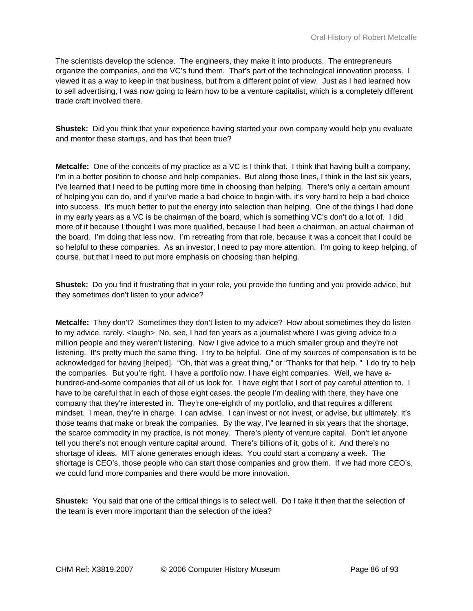The scientists develop the science. The engineers, they make it into products. The entrepreneurs organize the companies, and the VC's fund them. That's part of the technological innovation process. I viewed it as a way to keep in that business, but from a different point of view. Just as I had learned how to sell advertising, I was now going to learn how to be a venture capitalist, which is a completely different trade craft involved there.

**Shustek:** Did you think that your experience having started your own company would help you evaluate and mentor these startups, and has that been true?

**Metcalfe:** One of the conceits of my practice as a VC is I think that. I think that having built a company, I'm in a better position to choose and help companies. But along those lines, I think in the last six years, I've learned that I need to be putting more time in choosing than helping. There's only a certain amount of helping you can do, and if you've made a bad choice to begin with, it's very hard to help a bad choice into success. It's much better to put the energy into selection than helping. One of the things I had done in my early years as a VC is be chairman of the board, which is something VC's don't do a lot of. I did more of it because I thought I was more qualified, because I had been a chairman, an actual chairman of the board. I'm doing that less now. I'm retreating from that role, because it was a conceit that I could be so helpful to these companies. As an investor, I need to pay more attention. I'm going to keep helping, of course, but that I need to put more emphasis on choosing than helping.

**Shustek:** Do you find it frustrating that in your role, you provide the funding and you provide advice, but they sometimes don't listen to your advice?

**Metcalfe:** They don't? Sometimes they don't listen to my advice? How about sometimes they do listen to my advice, rarely. <laugh> No, see, I had ten years as a journalist where I was giving advice to a million people and they weren't listening. Now I give advice to a much smaller group and they're not listening. It's pretty much the same thing. I try to be helpful. One of my sources of compensation is to be acknowledged for having [helped]. "Oh, that was a great thing," or "Thanks for that help. " I do try to help the companies. But you're right. I have a portfolio now. I have eight companies. Well, we have ahundred-and-some companies that all of us look for. I have eight that I sort of pay careful attention to. I have to be careful that in each of those eight cases, the people I'm dealing with there, they have one company that they're interested in. They're one-eighth of my portfolio, and that requires a different mindset. I mean, they're in charge. I can advise. I can invest or not invest, or advise, but ultimately, it's those teams that make or break the companies. By the way, I've learned in six years that the shortage, the scarce commodity in my practice, is not money. There's plenty of venture capital. Don't let anyone tell you there's not enough venture capital around. There's billions of it, gobs of it. And there's no shortage of ideas. MIT alone generates enough ideas. You could start a company a week. The shortage is CEO's, those people who can start those companies and grow them. If we had more CEO's, we could fund more companies and there would be more innovation.

**Shustek:** You said that one of the critical things is to select well. Do I take it then that the selection of the team is even more important than the selection of the idea?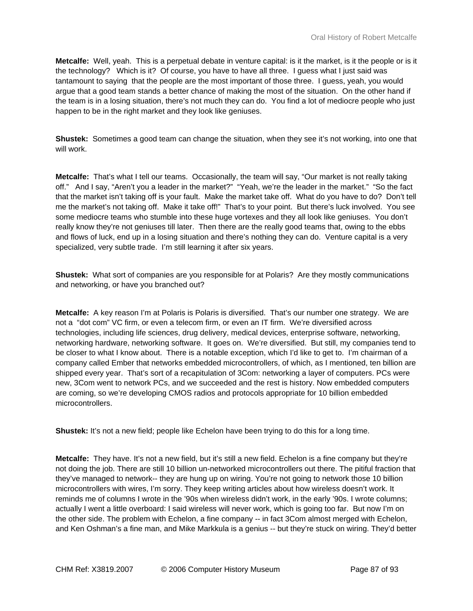**Metcalfe:** Well, yeah. This is a perpetual debate in venture capital: is it the market, is it the people or is it the technology? Which is it? Of course, you have to have all three. I guess what I just said was tantamount to saying that the people are the most important of those three. I guess, yeah, you would argue that a good team stands a better chance of making the most of the situation. On the other hand if the team is in a losing situation, there's not much they can do. You find a lot of mediocre people who just happen to be in the right market and they look like geniuses.

**Shustek:** Sometimes a good team can change the situation, when they see it's not working, into one that will work.

**Metcalfe:** That's what I tell our teams. Occasionally, the team will say, "Our market is not really taking off." And I say, "Aren't you a leader in the market?" "Yeah, we're the leader in the market." "So the fact that the market isn't taking off is your fault. Make the market take off. What do you have to do? Don't tell me the market's not taking off. Make it take off!" That's to your point. But there's luck involved. You see some mediocre teams who stumble into these huge vortexes and they all look like geniuses. You don't really know they're not geniuses till later. Then there are the really good teams that, owing to the ebbs and flows of luck, end up in a losing situation and there's nothing they can do. Venture capital is a very specialized, very subtle trade. I'm still learning it after six years.

**Shustek:** What sort of companies are you responsible for at Polaris? Are they mostly communications and networking, or have you branched out?

**Metcalfe:** A key reason I'm at Polaris is Polaris is diversified. That's our number one strategy. We are not a "dot com" VC firm, or even a telecom firm, or even an IT firm. We're diversified across technologies, including life sciences, drug delivery, medical devices, enterprise software, networking, networking hardware, networking software. It goes on. We're diversified. But still, my companies tend to be closer to what I know about. There is a notable exception, which I'd like to get to. I'm chairman of a company called Ember that networks embedded microcontrollers, of which, as I mentioned, ten billion are shipped every year. That's sort of a recapitulation of 3Com: networking a layer of computers. PCs were new, 3Com went to network PCs, and we succeeded and the rest is history. Now embedded computers are coming, so we're developing CMOS radios and protocols appropriate for 10 billion embedded microcontrollers.

**Shustek:** It's not a new field; people like Echelon have been trying to do this for a long time.

**Metcalfe:** They have. It's not a new field, but it's still a new field. Echelon is a fine company but they're not doing the job. There are still 10 billion un-networked microcontrollers out there. The pitiful fraction that they've managed to network-- they are hung up on wiring. You're not going to network those 10 billion microcontrollers with wires, I'm sorry. They keep writing articles about how wireless doesn't work. It reminds me of columns I wrote in the '90s when wireless didn't work, in the early '90s. I wrote columns; actually I went a little overboard: I said wireless will never work, which is going too far. But now I'm on the other side. The problem with Echelon, a fine company -- in fact 3Com almost merged with Echelon, and Ken Oshman's a fine man, and Mike Markkula is a genius -- but they're stuck on wiring. They'd better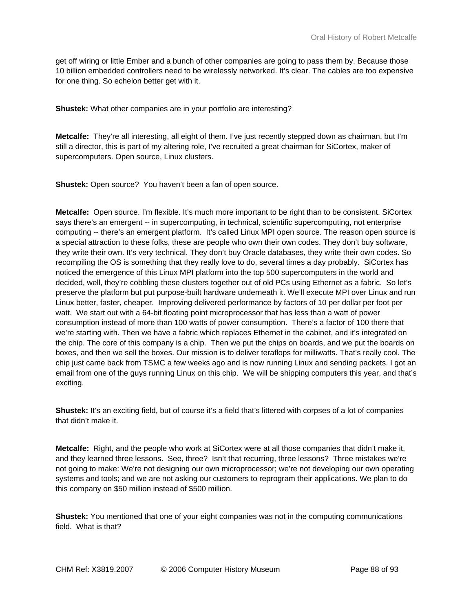get off wiring or little Ember and a bunch of other companies are going to pass them by. Because those 10 billion embedded controllers need to be wirelessly networked. It's clear. The cables are too expensive for one thing. So echelon better get with it.

**Shustek:** What other companies are in your portfolio are interesting?

**Metcalfe:** They're all interesting, all eight of them. I've just recently stepped down as chairman, but I'm still a director, this is part of my altering role, I've recruited a great chairman for SiCortex, maker of supercomputers. Open source, Linux clusters.

**Shustek:** Open source? You haven't been a fan of open source.

**Metcalfe:** Open source. I'm flexible. It's much more important to be right than to be consistent. SiCortex says there's an emergent -- in supercomputing, in technical, scientific supercomputing, not enterprise computing -- there's an emergent platform. It's called Linux MPI open source. The reason open source is a special attraction to these folks, these are people who own their own codes. They don't buy software, they write their own. It's very technical. They don't buy Oracle databases, they write their own codes. So recompiling the OS is something that they really love to do, several times a day probably. SiCortex has noticed the emergence of this Linux MPI platform into the top 500 supercomputers in the world and decided, well, they're cobbling these clusters together out of old PCs using Ethernet as a fabric. So let's preserve the platform but put purpose-built hardware underneath it. We'll execute MPI over Linux and run Linux better, faster, cheaper. Improving delivered performance by factors of 10 per dollar per foot per watt. We start out with a 64-bit floating point microprocessor that has less than a watt of power consumption instead of more than 100 watts of power consumption. There's a factor of 100 there that we're starting with. Then we have a fabric which replaces Ethernet in the cabinet, and it's integrated on the chip. The core of this company is a chip. Then we put the chips on boards, and we put the boards on boxes, and then we sell the boxes. Our mission is to deliver teraflops for milliwatts. That's really cool. The chip just came back from TSMC a few weeks ago and is now running Linux and sending packets. I got an email from one of the guys running Linux on this chip. We will be shipping computers this year, and that's exciting.

**Shustek:** It's an exciting field, but of course it's a field that's littered with corpses of a lot of companies that didn't make it.

**Metcalfe:** Right, and the people who work at SiCortex were at all those companies that didn't make it, and they learned three lessons. See, three? Isn't that recurring, three lessons? Three mistakes we're not going to make: We're not designing our own microprocessor; we're not developing our own operating systems and tools; and we are not asking our customers to reprogram their applications. We plan to do this company on \$50 million instead of \$500 million.

**Shustek:** You mentioned that one of your eight companies was not in the computing communications field. What is that?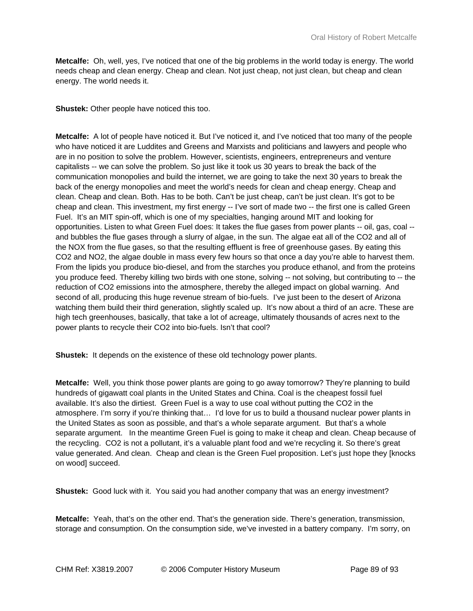**Metcalfe:** Oh, well, yes, I've noticed that one of the big problems in the world today is energy. The world needs cheap and clean energy. Cheap and clean. Not just cheap, not just clean, but cheap and clean energy. The world needs it.

**Shustek:** Other people have noticed this too.

**Metcalfe:** A lot of people have noticed it. But I've noticed it, and I've noticed that too many of the people who have noticed it are Luddites and Greens and Marxists and politicians and lawyers and people who are in no position to solve the problem. However, scientists, engineers, entrepreneurs and venture capitalists -- we can solve the problem. So just like it took us 30 years to break the back of the communication monopolies and build the internet, we are going to take the next 30 years to break the back of the energy monopolies and meet the world's needs for clean and cheap energy. Cheap and clean. Cheap and clean. Both. Has to be both. Can't be just cheap, can't be just clean. It's got to be cheap and clean. This investment, my first energy -- I've sort of made two -- the first one is called Green Fuel. It's an MIT spin-off, which is one of my specialties, hanging around MIT and looking for opportunities. Listen to what Green Fuel does: It takes the flue gases from power plants -- oil, gas, coal - and bubbles the flue gases through a slurry of algae, in the sun. The algae eat all of the CO2 and all of the NOX from the flue gases, so that the resulting effluent is free of greenhouse gases. By eating this CO2 and NO2, the algae double in mass every few hours so that once a day you're able to harvest them. From the lipids you produce bio-diesel, and from the starches you produce ethanol, and from the proteins you produce feed. Thereby killing two birds with one stone, solving -- not solving, but contributing to -- the reduction of CO2 emissions into the atmosphere, thereby the alleged impact on global warning. And second of all, producing this huge revenue stream of bio-fuels. I've just been to the desert of Arizona watching them build their third generation, slightly scaled up. It's now about a third of an acre. These are high tech greenhouses, basically, that take a lot of acreage, ultimately thousands of acres next to the power plants to recycle their CO2 into bio-fuels. Isn't that cool?

**Shustek:** It depends on the existence of these old technology power plants.

**Metcalfe:** Well, you think those power plants are going to go away tomorrow? They're planning to build hundreds of gigawatt coal plants in the United States and China. Coal is the cheapest fossil fuel available. It's also the dirtiest. Green Fuel is a way to use coal without putting the CO2 in the atmosphere. I'm sorry if you're thinking that… I'd love for us to build a thousand nuclear power plants in the United States as soon as possible, and that's a whole separate argument. But that's a whole separate argument. In the meantime Green Fuel is going to make it cheap and clean. Cheap because of the recycling. CO2 is not a pollutant, it's a valuable plant food and we're recycling it. So there's great value generated. And clean. Cheap and clean is the Green Fuel proposition. Let's just hope they [knocks on wood] succeed.

**Shustek:** Good luck with it. You said you had another company that was an energy investment?

**Metcalfe:** Yeah, that's on the other end. That's the generation side. There's generation, transmission, storage and consumption. On the consumption side, we've invested in a battery company. I'm sorry, on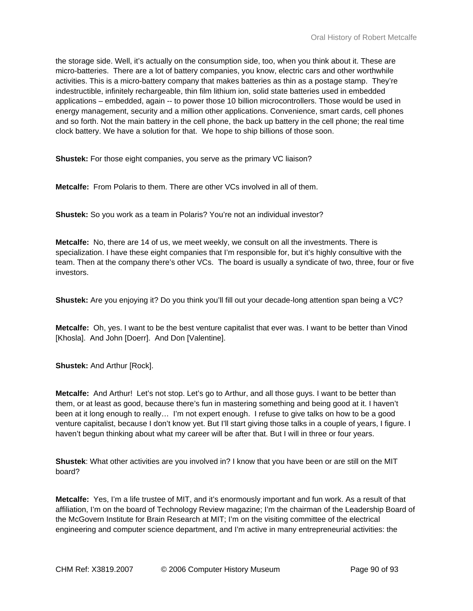the storage side. Well, it's actually on the consumption side, too, when you think about it. These are micro-batteries. There are a lot of battery companies, you know, electric cars and other worthwhile activities. This is a micro-battery company that makes batteries as thin as a postage stamp. They're indestructible, infinitely rechargeable, thin film lithium ion, solid state batteries used in embedded applications – embedded, again -- to power those 10 billion microcontrollers. Those would be used in energy management, security and a million other applications. Convenience, smart cards, cell phones and so forth. Not the main battery in the cell phone, the back up battery in the cell phone; the real time clock battery. We have a solution for that. We hope to ship billions of those soon.

**Shustek:** For those eight companies, you serve as the primary VC liaison?

**Metcalfe:** From Polaris to them. There are other VCs involved in all of them.

**Shustek:** So you work as a team in Polaris? You're not an individual investor?

**Metcalfe:** No, there are 14 of us, we meet weekly, we consult on all the investments. There is specialization. I have these eight companies that I'm responsible for, but it's highly consultive with the team. Then at the company there's other VCs. The board is usually a syndicate of two, three, four or five investors.

**Shustek:** Are you enjoying it? Do you think you'll fill out your decade-long attention span being a VC?

**Metcalfe:** Oh, yes. I want to be the best venture capitalist that ever was. I want to be better than Vinod [Khosla]. And John [Doerr]. And Don [Valentine].

**Shustek:** And Arthur [Rock].

**Metcalfe:** And Arthur! Let's not stop. Let's go to Arthur, and all those guys. I want to be better than them, or at least as good, because there's fun in mastering something and being good at it. I haven't been at it long enough to really… I'm not expert enough. I refuse to give talks on how to be a good venture capitalist, because I don't know yet. But I'll start giving those talks in a couple of years, I figure. I haven't begun thinking about what my career will be after that. But I will in three or four years.

**Shustek**: What other activities are you involved in? I know that you have been or are still on the MIT board?

**Metcalfe:** Yes, I'm a life trustee of MIT, and it's enormously important and fun work. As a result of that affiliation, I'm on the board of Technology Review magazine; I'm the chairman of the Leadership Board of the McGovern Institute for Brain Research at MIT; I'm on the visiting committee of the electrical engineering and computer science department, and I'm active in many entrepreneurial activities: the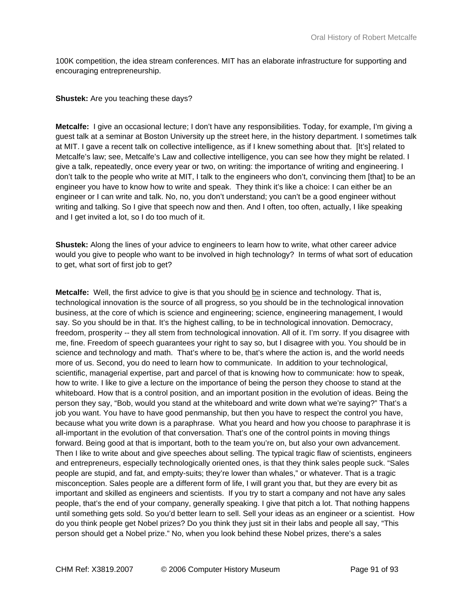100K competition, the idea stream conferences. MIT has an elaborate infrastructure for supporting and encouraging entrepreneurship.

## **Shustek:** Are you teaching these days?

**Metcalfe:** I give an occasional lecture; I don't have any responsibilities. Today, for example, I'm giving a guest talk at a seminar at Boston University up the street here, in the history department. I sometimes talk at MIT. I gave a recent talk on collective intelligence, as if I knew something about that. [It's] related to Metcalfe's law; see, Metcalfe's Law and collective intelligence, you can see how they might be related. I give a talk, repeatedly, once every year or two, on writing: the importance of writing and engineering. I don't talk to the people who write at MIT, I talk to the engineers who don't, convincing them [that] to be an engineer you have to know how to write and speak. They think it's like a choice: I can either be an engineer or I can write and talk. No, no, you don't understand; you can't be a good engineer without writing and talking. So I give that speech now and then. And I often, too often, actually, I like speaking and I get invited a lot, so I do too much of it.

**Shustek:** Along the lines of your advice to engineers to learn how to write, what other career advice would you give to people who want to be involved in high technology? In terms of what sort of education to get, what sort of first job to get?

**Metcalfe:** Well, the first advice to give is that you should be in science and technology. That is, technological innovation is the source of all progress, so you should be in the technological innovation business, at the core of which is science and engineering; science, engineering management, I would say. So you should be in that. It's the highest calling, to be in technological innovation. Democracy, freedom, prosperity -- they all stem from technological innovation. All of it. I'm sorry. If you disagree with me, fine. Freedom of speech guarantees your right to say so, but I disagree with you. You should be in science and technology and math. That's where to be, that's where the action is, and the world needs more of us. Second, you do need to learn how to communicate. In addition to your technological, scientific, managerial expertise, part and parcel of that is knowing how to communicate: how to speak, how to write. I like to give a lecture on the importance of being the person they choose to stand at the whiteboard. How that is a control position, and an important position in the evolution of ideas. Being the person they say, "Bob, would you stand at the whiteboard and write down what we're saying?" That's a job you want. You have to have good penmanship, but then you have to respect the control you have, because what you write down is a paraphrase. What you heard and how you choose to paraphrase it is all-important in the evolution of that conversation. That's one of the control points in moving things forward. Being good at that is important, both to the team you're on, but also your own advancement. Then I like to write about and give speeches about selling. The typical tragic flaw of scientists, engineers and entrepreneurs, especially technologically oriented ones, is that they think sales people suck. "Sales people are stupid, and fat, and empty-suits; they're lower than whales," or whatever. That is a tragic misconception. Sales people are a different form of life, I will grant you that, but they are every bit as important and skilled as engineers and scientists. If you try to start a company and not have any sales people, that's the end of your company, generally speaking. I give that pitch a lot. That nothing happens until something gets sold. So you'd better learn to sell. Sell your ideas as an engineer or a scientist. How do you think people get Nobel prizes? Do you think they just sit in their labs and people all say, "This person should get a Nobel prize." No, when you look behind these Nobel prizes, there's a sales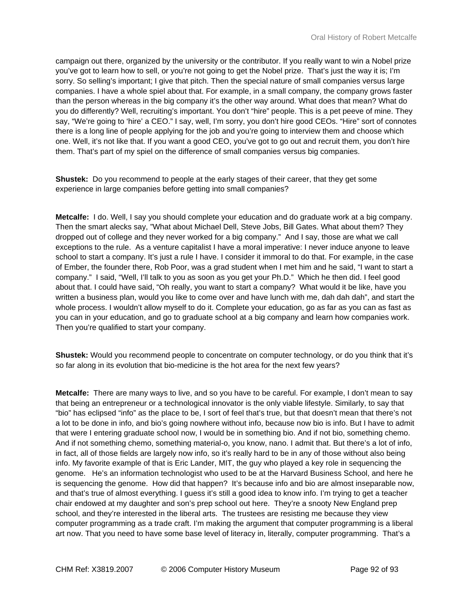campaign out there, organized by the university or the contributor. If you really want to win a Nobel prize you've got to learn how to sell, or you're not going to get the Nobel prize. That's just the way it is; I'm sorry. So selling's important; I give that pitch. Then the special nature of small companies versus large companies. I have a whole spiel about that. For example, in a small company, the company grows faster than the person whereas in the big company it's the other way around. What does that mean? What do you do differently? Well, recruiting's important. You don't "hire" people. This is a pet peeve of mine. They say, "We're going to 'hire' a CEO." I say, well, I'm sorry, you don't hire good CEOs. "Hire" sort of connotes there is a long line of people applying for the job and you're going to interview them and choose which one. Well, it's not like that. If you want a good CEO, you've got to go out and recruit them, you don't hire them. That's part of my spiel on the difference of small companies versus big companies.

**Shustek:** Do you recommend to people at the early stages of their career, that they get some experience in large companies before getting into small companies?

**Metcalfe:** I do. Well, I say you should complete your education and do graduate work at a big company. Then the smart alecks say, "What about Michael Dell, Steve Jobs, Bill Gates. What about them? They dropped out of college and they never worked for a big company." And I say, those are what we call exceptions to the rule. As a venture capitalist I have a moral imperative: I never induce anyone to leave school to start a company. It's just a rule I have. I consider it immoral to do that. For example, in the case of Ember, the founder there, Rob Poor, was a grad student when I met him and he said, "I want to start a company." I said, "Well, I'll talk to you as soon as you get your Ph.D." Which he then did. I feel good about that. I could have said, "Oh really, you want to start a company? What would it be like, have you written a business plan, would you like to come over and have lunch with me, dah dah dah", and start the whole process. I wouldn't allow myself to do it. Complete your education, go as far as you can as fast as you can in your education, and go to graduate school at a big company and learn how companies work. Then you're qualified to start your company.

**Shustek:** Would you recommend people to concentrate on computer technology, or do you think that it's so far along in its evolution that bio-medicine is the hot area for the next few years?

**Metcalfe:** There are many ways to live, and so you have to be careful. For example, I don't mean to say that being an entrepreneur or a technological innovator is the only viable lifestyle. Similarly, to say that "bio" has eclipsed "info" as the place to be, I sort of feel that's true, but that doesn't mean that there's not a lot to be done in info, and bio's going nowhere without info, because now bio is info. But I have to admit that were I entering graduate school now, I would be in something bio. And if not bio, something chemo. And if not something chemo, something material-o, you know, nano. I admit that. But there's a lot of info, in fact, all of those fields are largely now info, so it's really hard to be in any of those without also being info. My favorite example of that is Eric Lander, MIT, the guy who played a key role in sequencing the genome. He's an information technologist who used to be at the Harvard Business School, and here he is sequencing the genome. How did that happen? It's because info and bio are almost inseparable now, and that's true of almost everything. I guess it's still a good idea to know info. I'm trying to get a teacher chair endowed at my daughter and son's prep school out here. They're a snooty New England prep school, and they're interested in the liberal arts. The trustees are resisting me because they view computer programming as a trade craft. I'm making the argument that computer programming is a liberal art now. That you need to have some base level of literacy in, literally, computer programming. That's a